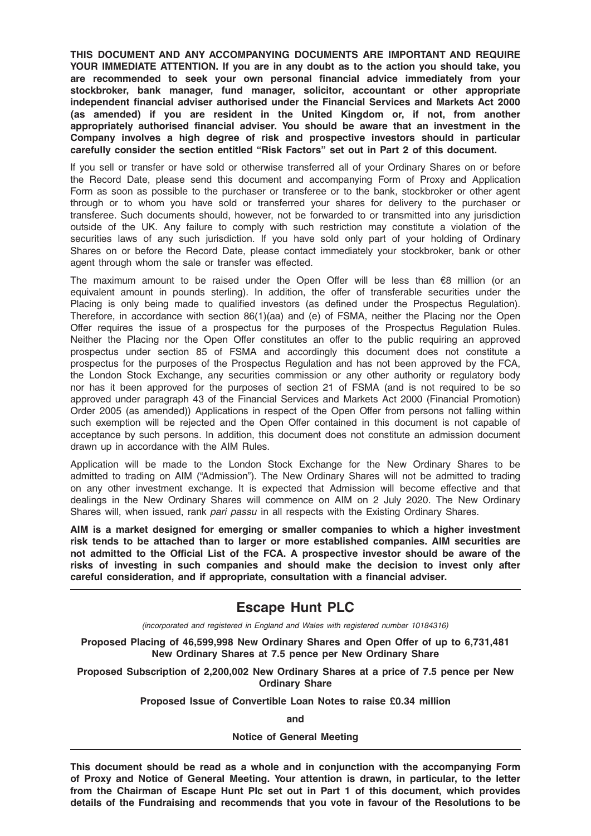THIS DOCUMENT AND ANY ACCOMPANYING DOCUMENTS ARE IMPORTANT AND REQUIRE YOUR IMMEDIATE ATTENTION. If you are in any doubt as to the action you should take, you are recommended to seek your own personal financial advice immediately from your stockbroker, bank manager, fund manager, solicitor, accountant or other appropriate independent financial adviser authorised under the Financial Services and Markets Act 2000 (as amended) if you are resident in the United Kingdom or, if not, from another appropriately authorised financial adviser. You should be aware that an investment in the Company involves a high degree of risk and prospective investors should in particular carefully consider the section entitled "Risk Factors" set out in Part 2 of this document.

If you sell or transfer or have sold or otherwise transferred all of your Ordinary Shares on or before the Record Date, please send this document and accompanying Form of Proxy and Application Form as soon as possible to the purchaser or transferee or to the bank, stockbroker or other agent through or to whom you have sold or transferred your shares for delivery to the purchaser or transferee. Such documents should, however, not be forwarded to or transmitted into any jurisdiction outside of the UK. Any failure to comply with such restriction may constitute a violation of the securities laws of any such jurisdiction. If you have sold only part of your holding of Ordinary Shares on or before the Record Date, please contact immediately your stockbroker, bank or other agent through whom the sale or transfer was effected.

The maximum amount to be raised under the Open Offer will be less than €8 million (or an equivalent amount in pounds sterling). In addition, the offer of transferable securities under the Placing is only being made to qualified investors (as defined under the Prospectus Regulation). Therefore, in accordance with section 86(1)(aa) and (e) of FSMA, neither the Placing nor the Open Offer requires the issue of a prospectus for the purposes of the Prospectus Regulation Rules. Neither the Placing nor the Open Offer constitutes an offer to the public requiring an approved prospectus under section 85 of FSMA and accordingly this document does not constitute a prospectus for the purposes of the Prospectus Regulation and has not been approved by the FCA, the London Stock Exchange, any securities commission or any other authority or regulatory body nor has it been approved for the purposes of section 21 of FSMA (and is not required to be so approved under paragraph 43 of the Financial Services and Markets Act 2000 (Financial Promotion) Order 2005 (as amended)) Applications in respect of the Open Offer from persons not falling within such exemption will be rejected and the Open Offer contained in this document is not capable of acceptance by such persons. In addition, this document does not constitute an admission document drawn up in accordance with the AIM Rules.

Application will be made to the London Stock Exchange for the New Ordinary Shares to be admitted to trading on AIM ("Admission"). The New Ordinary Shares will not be admitted to trading on any other investment exchange. It is expected that Admission will become effective and that dealings in the New Ordinary Shares will commence on AIM on 2 July 2020. The New Ordinary Shares will, when issued, rank pari passu in all respects with the Existing Ordinary Shares.

AIM is a market designed for emerging or smaller companies to which a higher investment risk tends to be attached than to larger or more established companies. AIM securities are not admitted to the Official List of the FCA. A prospective investor should be aware of the risks of investing in such companies and should make the decision to invest only after careful consideration, and if appropriate, consultation with a financial adviser.

# Escape Hunt PLC

(incorporated and registered in England and Wales with registered number 10184316)

Proposed Placing of 46,599,998 New Ordinary Shares and Open Offer of up to 6,731,481 New Ordinary Shares at 7.5 pence per New Ordinary Share

Proposed Subscription of 2,200,002 New Ordinary Shares at a price of 7.5 pence per New Ordinary Share

Proposed Issue of Convertible Loan Notes to raise £0.34 million

and

#### Notice of General Meeting

This document should be read as a whole and in conjunction with the accompanying Form of Proxy and Notice of General Meeting. Your attention is drawn, in particular, to the letter from the Chairman of Escape Hunt Plc set out in Part 1 of this document, which provides details of the Fundraising and recommends that you vote in favour of the Resolutions to be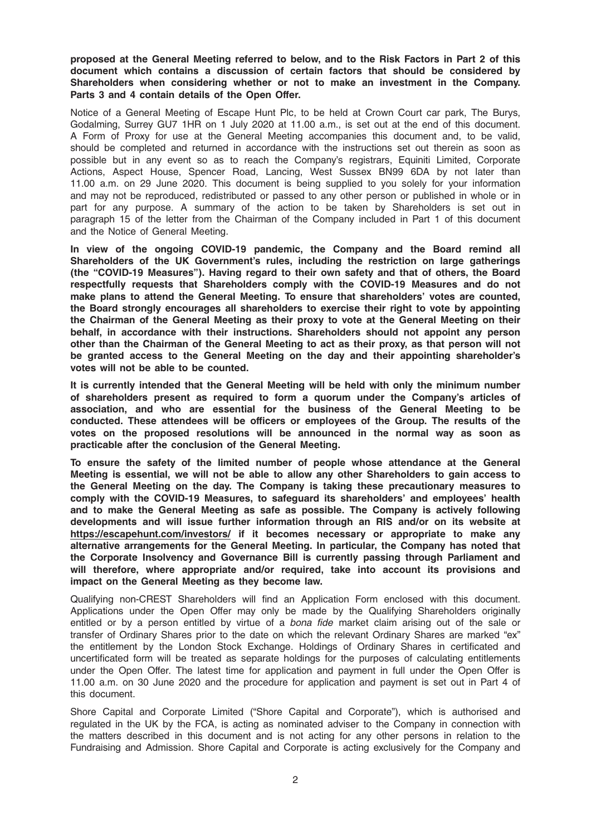proposed at the General Meeting referred to below, and to the Risk Factors in Part 2 of this document which contains a discussion of certain factors that should be considered by Shareholders when considering whether or not to make an investment in the Company. Parts 3 and 4 contain details of the Open Offer.

Notice of a General Meeting of Escape Hunt Plc, to be held at Crown Court car park, The Burys, Godalming, Surrey GU7 1HR on 1 July 2020 at 11.00 a.m., is set out at the end of this document. A Form of Proxy for use at the General Meeting accompanies this document and, to be valid, should be completed and returned in accordance with the instructions set out therein as soon as possible but in any event so as to reach the Company's registrars, Equiniti Limited, Corporate Actions, Aspect House, Spencer Road, Lancing, West Sussex BN99 6DA by not later than 11.00 a.m. on 29 June 2020. This document is being supplied to you solely for your information and may not be reproduced, redistributed or passed to any other person or published in whole or in part for any purpose. A summary of the action to be taken by Shareholders is set out in paragraph 15 of the letter from the Chairman of the Company included in Part 1 of this document and the Notice of General Meeting.

In view of the ongoing COVID-19 pandemic, the Company and the Board remind all Shareholders of the UK Government's rules, including the restriction on large gatherings (the "COVID-19 Measures"). Having regard to their own safety and that of others, the Board respectfully requests that Shareholders comply with the COVID-19 Measures and do not make plans to attend the General Meeting. To ensure that shareholders' votes are counted, the Board strongly encourages all shareholders to exercise their right to vote by appointing the Chairman of the General Meeting as their proxy to vote at the General Meeting on their behalf, in accordance with their instructions. Shareholders should not appoint any person other than the Chairman of the General Meeting to act as their proxy, as that person will not be granted access to the General Meeting on the day and their appointing shareholder's votes will not be able to be counted.

It is currently intended that the General Meeting will be held with only the minimum number of shareholders present as required to form a quorum under the Company's articles of association, and who are essential for the business of the General Meeting to be conducted. These attendees will be officers or employees of the Group. The results of the votes on the proposed resolutions will be announced in the normal way as soon as practicable after the conclusion of the General Meeting.

To ensure the safety of the limited number of people whose attendance at the General Meeting is essential, we will not be able to allow any other Shareholders to gain access to the General Meeting on the day. The Company is taking these precautionary measures to comply with the COVID-19 Measures, to safeguard its shareholders' and employees' health and to make the General Meeting as safe as possible. The Company is actively following developments and will issue further information through an RIS and/or on its website at https://escapehunt.com/investors/ if it becomes necessary or appropriate to make any alternative arrangements for the General Meeting. In particular, the Company has noted that the Corporate Insolvency and Governance Bill is currently passing through Parliament and will therefore, where appropriate and/or required, take into account its provisions and impact on the General Meeting as they become law.

Qualifying non-CREST Shareholders will find an Application Form enclosed with this document. Applications under the Open Offer may only be made by the Qualifying Shareholders originally entitled or by a person entitled by virtue of a bona fide market claim arising out of the sale or transfer of Ordinary Shares prior to the date on which the relevant Ordinary Shares are marked "ex" the entitlement by the London Stock Exchange. Holdings of Ordinary Shares in certificated and uncertificated form will be treated as separate holdings for the purposes of calculating entitlements under the Open Offer. The latest time for application and payment in full under the Open Offer is 11.00 a.m. on 30 June 2020 and the procedure for application and payment is set out in Part 4 of this document.

Shore Capital and Corporate Limited ("Shore Capital and Corporate"), which is authorised and regulated in the UK by the FCA, is acting as nominated adviser to the Company in connection with the matters described in this document and is not acting for any other persons in relation to the Fundraising and Admission. Shore Capital and Corporate is acting exclusively for the Company and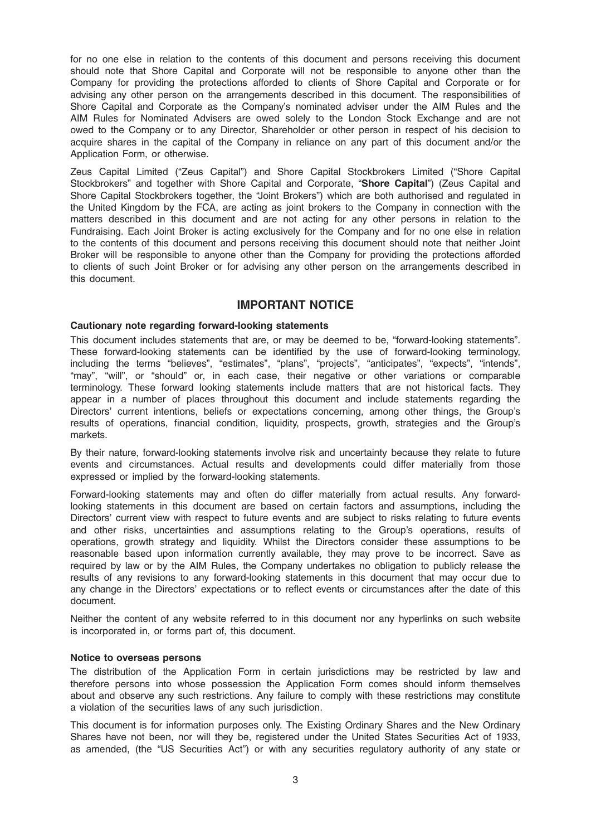for no one else in relation to the contents of this document and persons receiving this document should note that Shore Capital and Corporate will not be responsible to anyone other than the Company for providing the protections afforded to clients of Shore Capital and Corporate or for advising any other person on the arrangements described in this document. The responsibilities of Shore Capital and Corporate as the Company's nominated adviser under the AIM Rules and the AIM Rules for Nominated Advisers are owed solely to the London Stock Exchange and are not owed to the Company or to any Director, Shareholder or other person in respect of his decision to acquire shares in the capital of the Company in reliance on any part of this document and/or the Application Form, or otherwise.

Zeus Capital Limited ("Zeus Capital") and Shore Capital Stockbrokers Limited ("Shore Capital Stockbrokers" and together with Shore Capital and Corporate, "Shore Capital") (Zeus Capital and Shore Capital Stockbrokers together, the "Joint Brokers") which are both authorised and regulated in the United Kingdom by the FCA, are acting as joint brokers to the Company in connection with the matters described in this document and are not acting for any other persons in relation to the Fundraising. Each Joint Broker is acting exclusively for the Company and for no one else in relation to the contents of this document and persons receiving this document should note that neither Joint Broker will be responsible to anyone other than the Company for providing the protections afforded to clients of such Joint Broker or for advising any other person on the arrangements described in this document.

## IMPORTANT NOTICE

#### Cautionary note regarding forward-looking statements

This document includes statements that are, or may be deemed to be, "forward-looking statements". These forward-looking statements can be identified by the use of forward-looking terminology, including the terms "believes", "estimates", "plans", "projects", "anticipates", "expects", "intends", "may", "will", or "should" or, in each case, their negative or other variations or comparable terminology. These forward looking statements include matters that are not historical facts. They appear in a number of places throughout this document and include statements regarding the Directors' current intentions, beliefs or expectations concerning, among other things, the Group's results of operations, financial condition, liquidity, prospects, growth, strategies and the Group's markets.

By their nature, forward-looking statements involve risk and uncertainty because they relate to future events and circumstances. Actual results and developments could differ materially from those expressed or implied by the forward-looking statements.

Forward-looking statements may and often do differ materially from actual results. Any forwardlooking statements in this document are based on certain factors and assumptions, including the Directors' current view with respect to future events and are subject to risks relating to future events and other risks, uncertainties and assumptions relating to the Group's operations, results of operations, growth strategy and liquidity. Whilst the Directors consider these assumptions to be reasonable based upon information currently available, they may prove to be incorrect. Save as required by law or by the AIM Rules, the Company undertakes no obligation to publicly release the results of any revisions to any forward-looking statements in this document that may occur due to any change in the Directors' expectations or to reflect events or circumstances after the date of this document.

Neither the content of any website referred to in this document nor any hyperlinks on such website is incorporated in, or forms part of, this document.

#### Notice to overseas persons

The distribution of the Application Form in certain jurisdictions may be restricted by law and therefore persons into whose possession the Application Form comes should inform themselves about and observe any such restrictions. Any failure to comply with these restrictions may constitute a violation of the securities laws of any such jurisdiction.

This document is for information purposes only. The Existing Ordinary Shares and the New Ordinary Shares have not been, nor will they be, registered under the United States Securities Act of 1933, as amended, (the "US Securities Act") or with any securities regulatory authority of any state or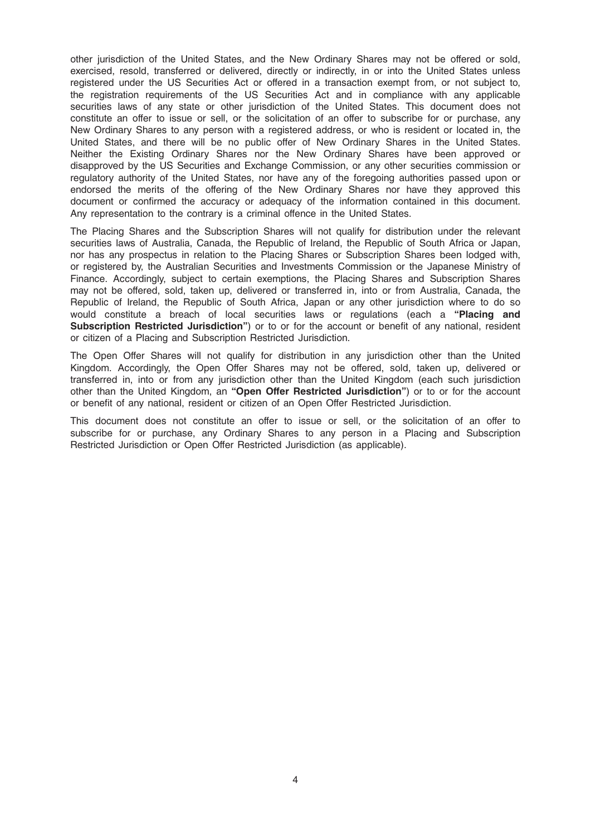other jurisdiction of the United States, and the New Ordinary Shares may not be offered or sold, exercised, resold, transferred or delivered, directly or indirectly, in or into the United States unless registered under the US Securities Act or offered in a transaction exempt from, or not subject to, the registration requirements of the US Securities Act and in compliance with any applicable securities laws of any state or other jurisdiction of the United States. This document does not constitute an offer to issue or sell, or the solicitation of an offer to subscribe for or purchase, any New Ordinary Shares to any person with a registered address, or who is resident or located in, the United States, and there will be no public offer of New Ordinary Shares in the United States. Neither the Existing Ordinary Shares nor the New Ordinary Shares have been approved or disapproved by the US Securities and Exchange Commission, or any other securities commission or regulatory authority of the United States, nor have any of the foregoing authorities passed upon or endorsed the merits of the offering of the New Ordinary Shares nor have they approved this document or confirmed the accuracy or adequacy of the information contained in this document. Any representation to the contrary is a criminal offence in the United States.

The Placing Shares and the Subscription Shares will not qualify for distribution under the relevant securities laws of Australia, Canada, the Republic of Ireland, the Republic of South Africa or Japan, nor has any prospectus in relation to the Placing Shares or Subscription Shares been lodged with, or registered by, the Australian Securities and Investments Commission or the Japanese Ministry of Finance. Accordingly, subject to certain exemptions, the Placing Shares and Subscription Shares may not be offered, sold, taken up, delivered or transferred in, into or from Australia, Canada, the Republic of Ireland, the Republic of South Africa, Japan or any other jurisdiction where to do so would constitute a breach of local securities laws or requlations (each a "Placing and Subscription Restricted Jurisdiction") or to or for the account or benefit of any national, resident or citizen of a Placing and Subscription Restricted Jurisdiction.

The Open Offer Shares will not qualify for distribution in any jurisdiction other than the United Kingdom. Accordingly, the Open Offer Shares may not be offered, sold, taken up, delivered or transferred in, into or from any jurisdiction other than the United Kingdom (each such jurisdiction other than the United Kingdom, an "Open Offer Restricted Jurisdiction") or to or for the account or benefit of any national, resident or citizen of an Open Offer Restricted Jurisdiction.

This document does not constitute an offer to issue or sell, or the solicitation of an offer to subscribe for or purchase, any Ordinary Shares to any person in a Placing and Subscription Restricted Jurisdiction or Open Offer Restricted Jurisdiction (as applicable).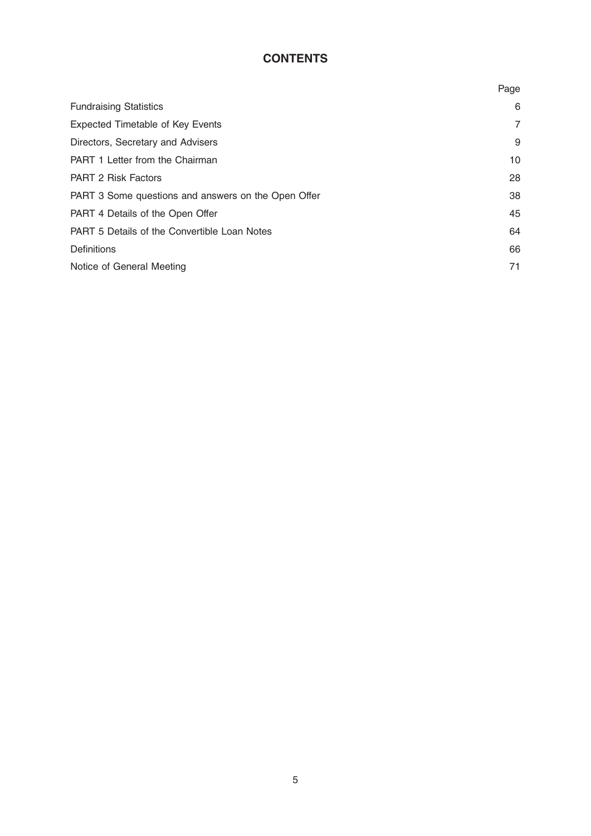# **CONTENTS**

|                                                     | Page           |
|-----------------------------------------------------|----------------|
| <b>Fundraising Statistics</b>                       | 6              |
| <b>Expected Timetable of Key Events</b>             | $\overline{7}$ |
| Directors, Secretary and Advisers                   | 9              |
| <b>PART 1 Letter from the Chairman</b>              | 10             |
| <b>PART 2 Risk Factors</b>                          | 28             |
| PART 3 Some questions and answers on the Open Offer | 38             |
| PART 4 Details of the Open Offer                    | 45             |
| <b>PART 5 Details of the Convertible Loan Notes</b> | 64             |
| <b>Definitions</b>                                  | 66             |
| Notice of General Meeting                           | 71             |
|                                                     |                |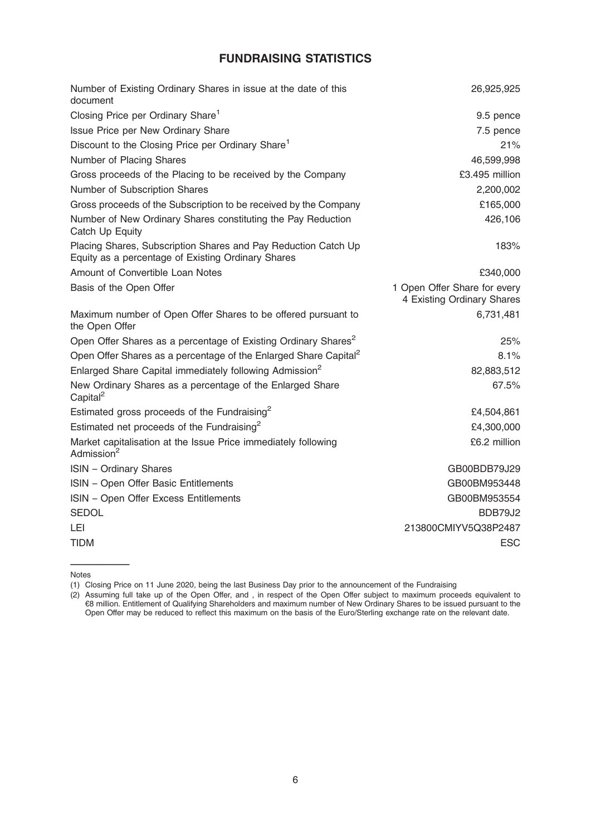# FUNDRAISING STATISTICS

| Number of Existing Ordinary Shares in issue at the date of this<br>document                                          | 26,925,925                                                 |
|----------------------------------------------------------------------------------------------------------------------|------------------------------------------------------------|
| Closing Price per Ordinary Share <sup>1</sup>                                                                        | 9.5 pence                                                  |
| Issue Price per New Ordinary Share                                                                                   | 7.5 pence                                                  |
| Discount to the Closing Price per Ordinary Share <sup>1</sup>                                                        | 21%                                                        |
| Number of Placing Shares                                                                                             | 46,599,998                                                 |
| Gross proceeds of the Placing to be received by the Company                                                          | £3.495 million                                             |
| Number of Subscription Shares                                                                                        | 2,200,002                                                  |
| Gross proceeds of the Subscription to be received by the Company                                                     | £165,000                                                   |
| Number of New Ordinary Shares constituting the Pay Reduction<br>Catch Up Equity                                      | 426,106                                                    |
| Placing Shares, Subscription Shares and Pay Reduction Catch Up<br>Equity as a percentage of Existing Ordinary Shares | 183%                                                       |
| Amount of Convertible Loan Notes                                                                                     | £340,000                                                   |
| Basis of the Open Offer                                                                                              | 1 Open Offer Share for every<br>4 Existing Ordinary Shares |
| Maximum number of Open Offer Shares to be offered pursuant to<br>the Open Offer                                      | 6,731,481                                                  |
| Open Offer Shares as a percentage of Existing Ordinary Shares <sup>2</sup>                                           | 25%                                                        |
| Open Offer Shares as a percentage of the Enlarged Share Capital <sup>2</sup>                                         | 8.1%                                                       |
| Enlarged Share Capital immediately following Admission <sup>2</sup>                                                  | 82,883,512                                                 |
| New Ordinary Shares as a percentage of the Enlarged Share<br>Capital <sup>2</sup>                                    | 67.5%                                                      |
| Estimated gross proceeds of the Fundraising <sup>2</sup>                                                             | £4,504,861                                                 |
| Estimated net proceeds of the Fundraising <sup>2</sup>                                                               | £4,300,000                                                 |
| Market capitalisation at the Issue Price immediately following<br>Admission <sup>2</sup>                             | £6.2 million                                               |
| <b>ISIN</b> - Ordinary Shares                                                                                        | GB00BDB79J29                                               |
| ISIN - Open Offer Basic Entitlements                                                                                 | GB00BM953448                                               |
| ISIN - Open Offer Excess Entitlements                                                                                | GB00BM953554                                               |
| <b>SEDOL</b>                                                                                                         | BDB79J2                                                    |
| LEI                                                                                                                  | 213800CMIYV5Q38P2487                                       |
| <b>TIDM</b>                                                                                                          | <b>ESC</b>                                                 |
|                                                                                                                      |                                                            |

————— Notes

(1) Closing Price on 11 June 2020, being the last Business Day prior to the announcement of the Fundraising

(2) Assuming full take up of the Open Offer, and , in respect of the Open Offer subject to maximum proceeds equivalent to €8 million. Entitlement of Qualifying Shareholders and maximum number of New Ordinary Shares to be issued pursuant to the Open Offer may be reduced to reflect this maximum on the basis of the Euro/Sterling exchange rate on the relevant date.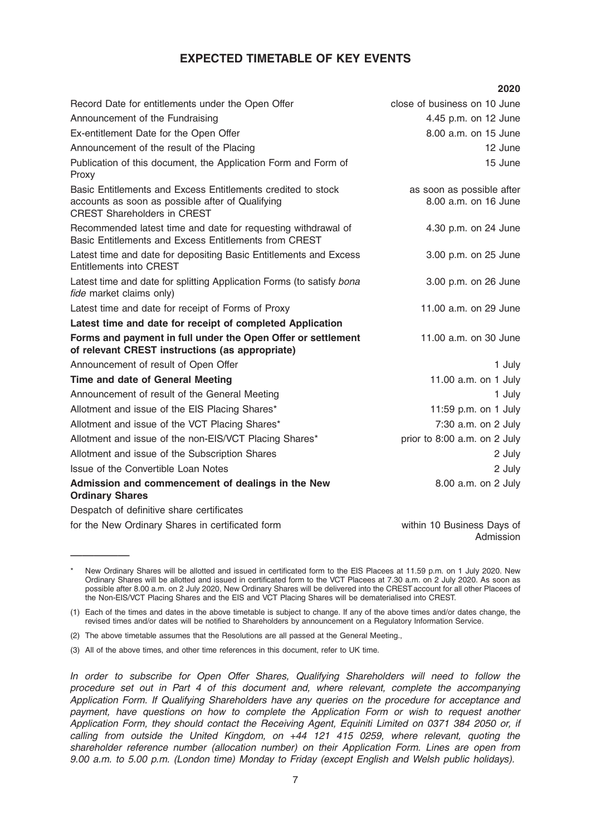## EXPECTED TIMETABLE OF KEY EVENTS

|                                                                                                                                                        | 2020                                              |
|--------------------------------------------------------------------------------------------------------------------------------------------------------|---------------------------------------------------|
| Record Date for entitlements under the Open Offer                                                                                                      | close of business on 10 June                      |
| Announcement of the Fundraising                                                                                                                        | 4.45 p.m. on 12 June                              |
| Ex-entitlement Date for the Open Offer                                                                                                                 | 8.00 a.m. on 15 June                              |
| Announcement of the result of the Placing                                                                                                              | 12 June                                           |
| Publication of this document, the Application Form and Form of<br>Proxy                                                                                | 15 June                                           |
| Basic Entitlements and Excess Entitlements credited to stock<br>accounts as soon as possible after of Qualifying<br><b>CREST Shareholders in CREST</b> | as soon as possible after<br>8.00 a.m. on 16 June |
| Recommended latest time and date for requesting withdrawal of<br>Basic Entitlements and Excess Entitlements from CREST                                 | 4.30 p.m. on 24 June                              |
| Latest time and date for depositing Basic Entitlements and Excess<br><b>Entitlements into CREST</b>                                                    | 3.00 p.m. on 25 June                              |
| Latest time and date for splitting Application Forms (to satisfy bona<br>fide market claims only)                                                      | 3.00 p.m. on 26 June                              |
| Latest time and date for receipt of Forms of Proxy                                                                                                     | 11.00 a.m. on 29 June                             |
| Latest time and date for receipt of completed Application                                                                                              |                                                   |
| Forms and payment in full under the Open Offer or settlement<br>of relevant CREST instructions (as appropriate)                                        | 11.00 a.m. on 30 June                             |
| Announcement of result of Open Offer                                                                                                                   | 1 July                                            |
| <b>Time and date of General Meeting</b>                                                                                                                | 11.00 a.m. on 1 July                              |
| Announcement of result of the General Meeting                                                                                                          | 1 July                                            |
| Allotment and issue of the EIS Placing Shares*                                                                                                         | 11:59 p.m. on 1 July                              |
| Allotment and issue of the VCT Placing Shares*                                                                                                         | 7:30 a.m. on 2 July                               |
| Allotment and issue of the non-EIS/VCT Placing Shares*                                                                                                 | prior to 8:00 a.m. on 2 July                      |
| Allotment and issue of the Subscription Shares                                                                                                         | 2 July                                            |
| Issue of the Convertible Loan Notes                                                                                                                    | 2 July                                            |
| Admission and commencement of dealings in the New<br><b>Ordinary Shares</b>                                                                            | 8.00 a.m. on 2 July                               |
| Despatch of definitive share certificates                                                                                                              |                                                   |
| for the New Ordinary Shares in certificated form                                                                                                       | within 10 Business Days of                        |

—————

Admission

New Ordinary Shares will be allotted and issued in certificated form to the EIS Placees at 11.59 p.m. on 1 July 2020. New Ordinary Shares will be allotted and issued in certificated form to the VCT Placees at 7.30 a.m. on 2 July 2020. As soon as possible after 8.00 a.m. on 2 July 2020, New Ordinary Shares will be delivered into the CREST account for all other Placees of the Non-EIS/VCT Placing Shares and the EIS and VCT Placing Shares will be dematerialised into CREST.

<sup>(1)</sup> Each of the times and dates in the above timetable is subject to change. If any of the above times and/or dates change, the revised times and/or dates will be notified to Shareholders by announcement on a Regulatory Information Service.

<sup>(2)</sup> The above timetable assumes that the Resolutions are all passed at the General Meeting.,

<sup>(3)</sup> All of the above times, and other time references in this document, refer to UK time.

In order to subscribe for Open Offer Shares, Qualifying Shareholders will need to follow the procedure set out in Part 4 of this document and, where relevant, complete the accompanying Application Form. If Qualifying Shareholders have any queries on the procedure for acceptance and payment, have questions on how to complete the Application Form or wish to request another Application Form, they should contact the Receiving Agent, Equiniti Limited on 0371 384 2050 or, if calling from outside the United Kingdom, on +44 121 415 0259, where relevant, quoting the shareholder reference number (allocation number) on their Application Form. Lines are open from 9.00 a.m. to 5.00 p.m. (London time) Monday to Friday (except English and Welsh public holidays).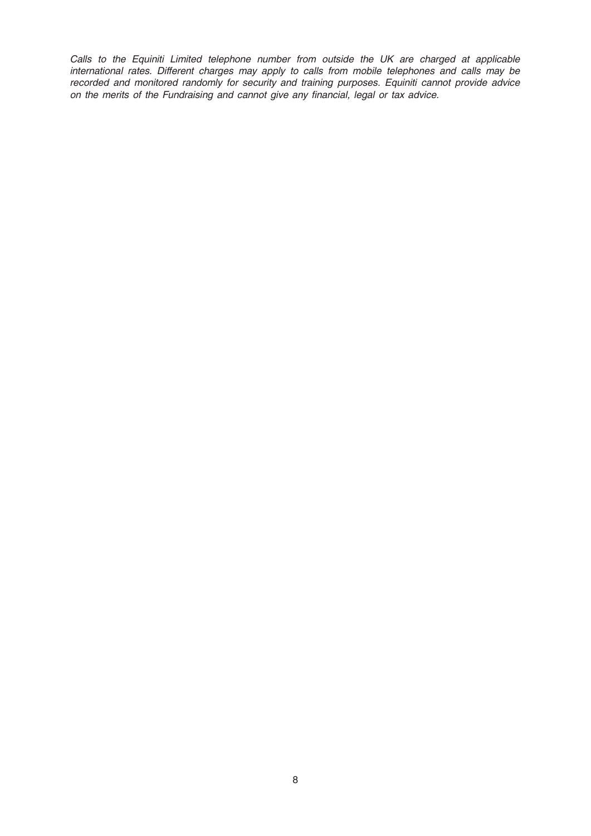Calls to the Equiniti Limited telephone number from outside the UK are charged at applicable international rates. Different charges may apply to calls from mobile telephones and calls may be recorded and monitored randomly for security and training purposes. Equiniti cannot provide advice on the merits of the Fundraising and cannot give any financial, legal or tax advice.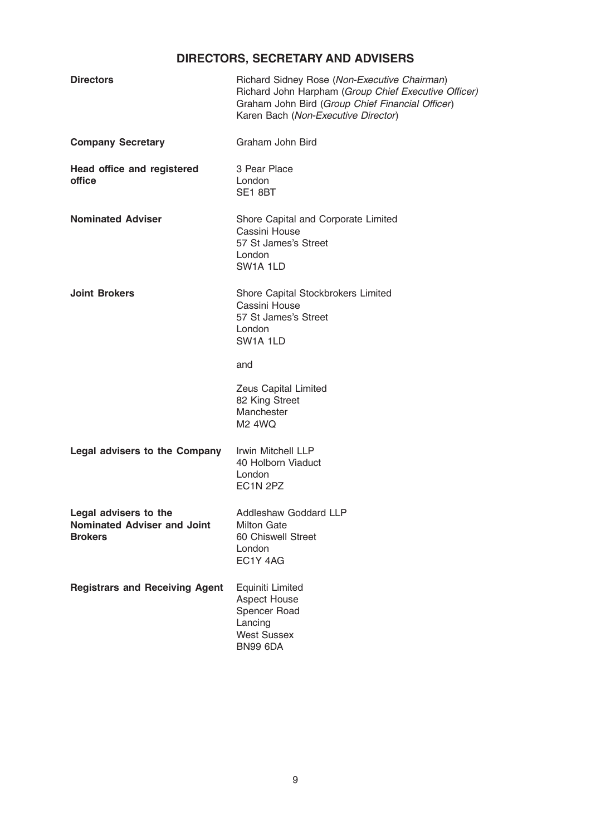# DIRECTORS, SECRETARY AND ADVISERS

| Richard Sidney Rose (Non-Executive Chairman)<br>Richard John Harpham (Group Chief Executive Officer)<br>Graham John Bird (Group Chief Financial Officer)<br>Karen Bach (Non-Executive Director) |
|-------------------------------------------------------------------------------------------------------------------------------------------------------------------------------------------------|
| Graham John Bird                                                                                                                                                                                |
| 3 Pear Place<br>London<br>SE1 8BT                                                                                                                                                               |
| Shore Capital and Corporate Limited<br>Cassini House<br>57 St James's Street<br>London<br>SW <sub>1</sub> A 1LD                                                                                 |
| Shore Capital Stockbrokers Limited<br>Cassini House<br>57 St James's Street<br>London<br>SW <sub>1</sub> A <sub>1</sub> LD                                                                      |
| and                                                                                                                                                                                             |
| Zeus Capital Limited<br>82 King Street<br>Manchester<br>M <sub>2</sub> 4WQ                                                                                                                      |
| Irwin Mitchell LLP<br>40 Holborn Viaduct<br>London<br>EC <sub>1</sub> N <sub>2PZ</sub>                                                                                                          |
| <b>Addleshaw Goddard LLP</b><br><b>Milton Gate</b><br>60 Chiswell Street<br>London<br>EC1Y 4AG                                                                                                  |
| Equiniti Limited<br><b>Aspect House</b><br>Spencer Road<br>Lancing<br><b>West Sussex</b><br><b>BN99 6DA</b>                                                                                     |
|                                                                                                                                                                                                 |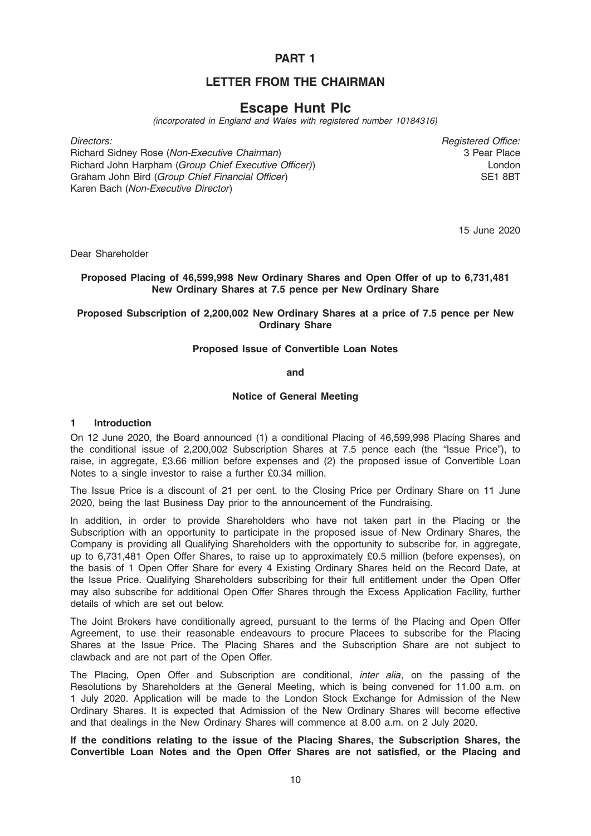## PART 1

## LETTER FROM THE CHAIRMAN

# Escape Hunt Plc

(incorporated in England and Wales with registered number 10184316)

Richard Sidney Rose (Non-Executive Chairman) Richard John Harpham (Group Chief Executive Officer)) Graham John Bird (Group Chief Financial Officer) Karen Bach (Non-Executive Director)

Directors: Registered Office: 3 Pear Place London SE1 8BT

15 June 2020

Dear Shareholder

## Proposed Placing of 46,599,998 New Ordinary Shares and Open Offer of up to 6,731,481 New Ordinary Shares at 7.5 pence per New Ordinary Share

## Proposed Subscription of 2,200,002 New Ordinary Shares at a price of 7.5 pence per New Ordinary Share

## Proposed Issue of Convertible Loan Notes

and

## Notice of General Meeting

#### 1 Introduction

On 12 June 2020, the Board announced (1) a conditional Placing of 46,599,998 Placing Shares and the conditional issue of 2,200,002 Subscription Shares at 7.5 pence each (the "Issue Price"), to raise, in aggregate, £3.66 million before expenses and (2) the proposed issue of Convertible Loan Notes to a single investor to raise a further £0.34 million.

The Issue Price is a discount of 21 per cent. to the Closing Price per Ordinary Share on 11 June 2020, being the last Business Day prior to the announcement of the Fundraising.

In addition, in order to provide Shareholders who have not taken part in the Placing or the Subscription with an opportunity to participate in the proposed issue of New Ordinary Shares, the Company is providing all Qualifying Shareholders with the opportunity to subscribe for, in aggregate, up to 6,731,481 Open Offer Shares, to raise up to approximately £0.5 million (before expenses), on the basis of 1 Open Offer Share for every 4 Existing Ordinary Shares held on the Record Date, at the Issue Price. Qualifying Shareholders subscribing for their full entitlement under the Open Offer may also subscribe for additional Open Offer Shares through the Excess Application Facility, further details of which are set out below.

The Joint Brokers have conditionally agreed, pursuant to the terms of the Placing and Open Offer Agreement, to use their reasonable endeavours to procure Placees to subscribe for the Placing Shares at the Issue Price. The Placing Shares and the Subscription Share are not subject to clawback and are not part of the Open Offer.

The Placing, Open Offer and Subscription are conditional, inter alia, on the passing of the Resolutions by Shareholders at the General Meeting, which is being convened for 11.00 a.m. on 1 July 2020. Application will be made to the London Stock Exchange for Admission of the New Ordinary Shares. It is expected that Admission of the New Ordinary Shares will become effective and that dealings in the New Ordinary Shares will commence at 8.00 a.m. on 2 July 2020.

If the conditions relating to the issue of the Placing Shares, the Subscription Shares, the Convertible Loan Notes and the Open Offer Shares are not satisfied, or the Placing and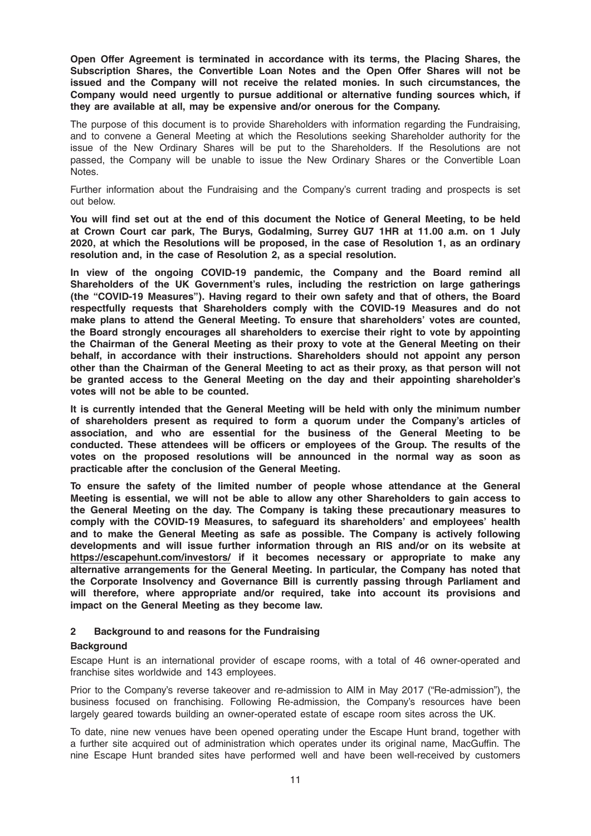Open Offer Agreement is terminated in accordance with its terms, the Placing Shares, the Subscription Shares, the Convertible Loan Notes and the Open Offer Shares will not be issued and the Company will not receive the related monies. In such circumstances, the Company would need urgently to pursue additional or alternative funding sources which, if they are available at all, may be expensive and/or onerous for the Company.

The purpose of this document is to provide Shareholders with information regarding the Fundraising, and to convene a General Meeting at which the Resolutions seeking Shareholder authority for the issue of the New Ordinary Shares will be put to the Shareholders. If the Resolutions are not passed, the Company will be unable to issue the New Ordinary Shares or the Convertible Loan Notes.

Further information about the Fundraising and the Company's current trading and prospects is set out below.

You will find set out at the end of this document the Notice of General Meeting, to be held at Crown Court car park, The Burys, Godalming, Surrey GU7 1HR at 11.00 a.m. on 1 July 2020, at which the Resolutions will be proposed, in the case of Resolution 1, as an ordinary resolution and, in the case of Resolution 2, as a special resolution.

In view of the ongoing COVID-19 pandemic, the Company and the Board remind all Shareholders of the UK Government's rules, including the restriction on large gatherings (the "COVID-19 Measures"). Having regard to their own safety and that of others, the Board respectfully requests that Shareholders comply with the COVID-19 Measures and do not make plans to attend the General Meeting. To ensure that shareholders' votes are counted, the Board strongly encourages all shareholders to exercise their right to vote by appointing the Chairman of the General Meeting as their proxy to vote at the General Meeting on their behalf, in accordance with their instructions. Shareholders should not appoint any person other than the Chairman of the General Meeting to act as their proxy, as that person will not be granted access to the General Meeting on the day and their appointing shareholder's votes will not be able to be counted.

It is currently intended that the General Meeting will be held with only the minimum number of shareholders present as required to form a quorum under the Company's articles of association, and who are essential for the business of the General Meeting to be conducted. These attendees will be officers or employees of the Group. The results of the votes on the proposed resolutions will be announced in the normal way as soon as practicable after the conclusion of the General Meeting.

To ensure the safety of the limited number of people whose attendance at the General Meeting is essential, we will not be able to allow any other Shareholders to gain access to the General Meeting on the day. The Company is taking these precautionary measures to comply with the COVID-19 Measures, to safeguard its shareholders' and employees' health and to make the General Meeting as safe as possible. The Company is actively following developments and will issue further information through an RIS and/or on its website at https://escapehunt.com/investors/ if it becomes necessary or appropriate to make any alternative arrangements for the General Meeting. In particular, the Company has noted that the Corporate Insolvency and Governance Bill is currently passing through Parliament and will therefore, where appropriate and/or required, take into account its provisions and impact on the General Meeting as they become law.

#### 2 Background to and reasons for the Fundraising

#### **Background**

Escape Hunt is an international provider of escape rooms, with a total of 46 owner-operated and franchise sites worldwide and 143 employees.

Prior to the Company's reverse takeover and re-admission to AIM in May 2017 ("Re-admission"), the business focused on franchising. Following Re-admission, the Company's resources have been largely geared towards building an owner-operated estate of escape room sites across the UK.

To date, nine new venues have been opened operating under the Escape Hunt brand, together with a further site acquired out of administration which operates under its original name, MacGuffin. The nine Escape Hunt branded sites have performed well and have been well-received by customers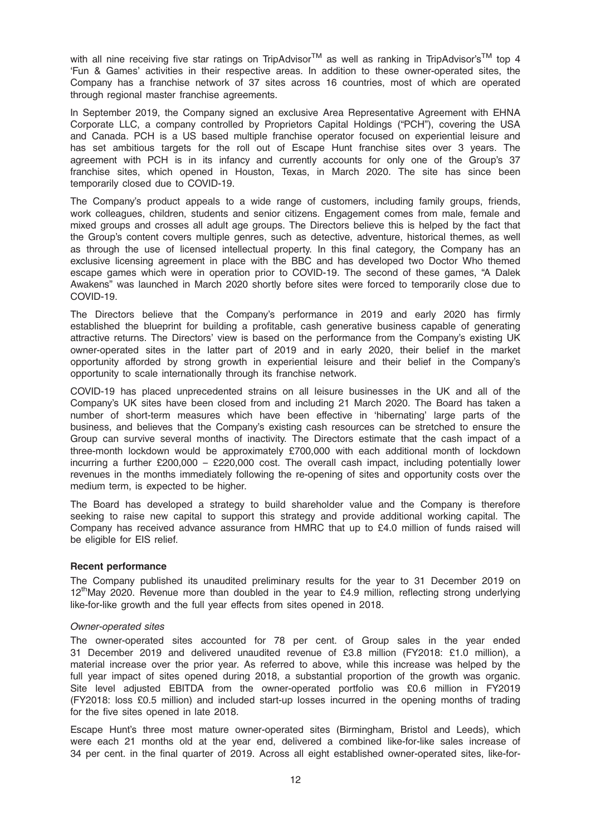with all nine receiving five star ratings on TripAdvisor<sup>TM</sup> as well as ranking in TripAdvisor's<sup>TM</sup> top 4 'Fun & Games' activities in their respective areas. In addition to these owner-operated sites, the Company has a franchise network of 37 sites across 16 countries, most of which are operated through regional master franchise agreements.

In September 2019, the Company signed an exclusive Area Representative Agreement with EHNA Corporate LLC, a company controlled by Proprietors Capital Holdings ("PCH"), covering the USA and Canada. PCH is a US based multiple franchise operator focused on experiential leisure and has set ambitious targets for the roll out of Escape Hunt franchise sites over 3 years. The agreement with PCH is in its infancy and currently accounts for only one of the Group's 37 franchise sites, which opened in Houston, Texas, in March 2020. The site has since been temporarily closed due to COVID-19.

The Company's product appeals to a wide range of customers, including family groups, friends, work colleagues, children, students and senior citizens. Engagement comes from male, female and mixed groups and crosses all adult age groups. The Directors believe this is helped by the fact that the Group's content covers multiple genres, such as detective, adventure, historical themes, as well as through the use of licensed intellectual property. In this final category, the Company has an exclusive licensing agreement in place with the BBC and has developed two Doctor Who themed escape games which were in operation prior to COVID-19. The second of these games, "A Dalek Awakens" was launched in March 2020 shortly before sites were forced to temporarily close due to COVID-19.

The Directors believe that the Company's performance in 2019 and early 2020 has firmly established the blueprint for building a profitable, cash generative business capable of generating attractive returns. The Directors' view is based on the performance from the Company's existing UK owner-operated sites in the latter part of 2019 and in early 2020, their belief in the market opportunity afforded by strong growth in experiential leisure and their belief in the Company's opportunity to scale internationally through its franchise network.

COVID-19 has placed unprecedented strains on all leisure businesses in the UK and all of the Company's UK sites have been closed from and including 21 March 2020. The Board has taken a number of short-term measures which have been effective in 'hibernating' large parts of the business, and believes that the Company's existing cash resources can be stretched to ensure the Group can survive several months of inactivity. The Directors estimate that the cash impact of a three-month lockdown would be approximately £700,000 with each additional month of lockdown incurring a further £200,000 – £220,000 cost. The overall cash impact, including potentially lower revenues in the months immediately following the re-opening of sites and opportunity costs over the medium term, is expected to be higher.

The Board has developed a strategy to build shareholder value and the Company is therefore seeking to raise new capital to support this strategy and provide additional working capital. The Company has received advance assurance from HMRC that up to £4.0 million of funds raised will be eligible for EIS relief.

#### Recent performance

The Company published its unaudited preliminary results for the year to 31 December 2019 on  $12<sup>th</sup>$ May 2020. Revenue more than doubled in the year to £4.9 million, reflecting strong underlying like-for-like growth and the full year effects from sites opened in 2018.

#### Owner-operated sites

The owner-operated sites accounted for 78 per cent. of Group sales in the year ended 31 December 2019 and delivered unaudited revenue of £3.8 million (FY2018: £1.0 million), a material increase over the prior year. As referred to above, while this increase was helped by the full year impact of sites opened during 2018, a substantial proportion of the growth was organic. Site level adjusted EBITDA from the owner-operated portfolio was £0.6 million in FY2019 (FY2018: loss £0.5 million) and included start-up losses incurred in the opening months of trading for the five sites opened in late 2018.

Escape Hunt's three most mature owner-operated sites (Birmingham, Bristol and Leeds), which were each 21 months old at the year end, delivered a combined like-for-like sales increase of 34 per cent. in the final quarter of 2019. Across all eight established owner-operated sites, like-for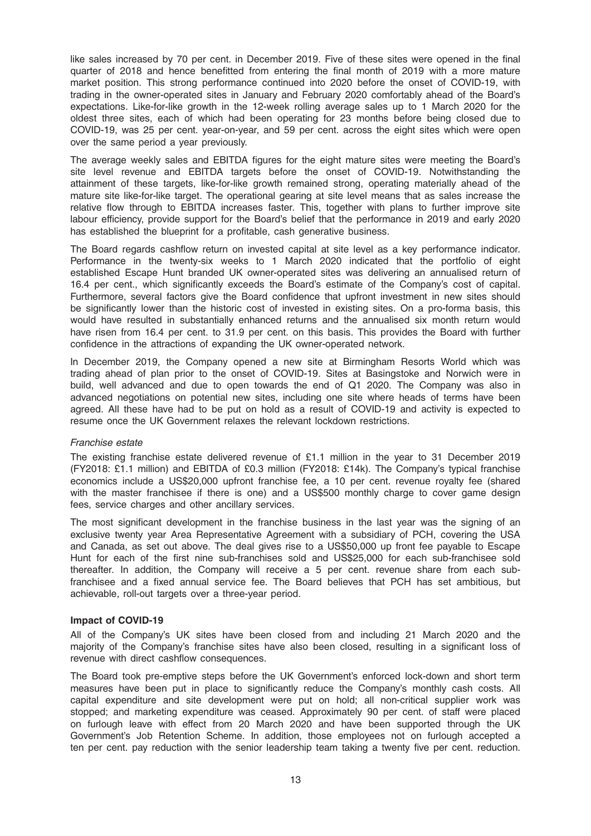like sales increased by 70 per cent. in December 2019. Five of these sites were opened in the final quarter of 2018 and hence benefitted from entering the final month of 2019 with a more mature market position. This strong performance continued into 2020 before the onset of COVID-19, with trading in the owner-operated sites in January and February 2020 comfortably ahead of the Board's expectations. Like-for-like growth in the 12-week rolling average sales up to 1 March 2020 for the oldest three sites, each of which had been operating for 23 months before being closed due to COVID-19, was 25 per cent. year-on-year, and 59 per cent. across the eight sites which were open over the same period a year previously.

The average weekly sales and EBITDA figures for the eight mature sites were meeting the Board's site level revenue and EBITDA targets before the onset of COVID-19. Notwithstanding the attainment of these targets, like-for-like growth remained strong, operating materially ahead of the mature site like-for-like target. The operational gearing at site level means that as sales increase the relative flow through to EBITDA increases faster. This, together with plans to further improve site labour efficiency, provide support for the Board's belief that the performance in 2019 and early 2020 has established the blueprint for a profitable, cash generative business.

The Board regards cashflow return on invested capital at site level as a key performance indicator. Performance in the twenty-six weeks to 1 March 2020 indicated that the portfolio of eight established Escape Hunt branded UK owner-operated sites was delivering an annualised return of 16.4 per cent., which significantly exceeds the Board's estimate of the Company's cost of capital. Furthermore, several factors give the Board confidence that upfront investment in new sites should be significantly lower than the historic cost of invested in existing sites. On a pro-forma basis, this would have resulted in substantially enhanced returns and the annualised six month return would have risen from 16.4 per cent. to 31.9 per cent. on this basis. This provides the Board with further confidence in the attractions of expanding the UK owner-operated network.

In December 2019, the Company opened a new site at Birmingham Resorts World which was trading ahead of plan prior to the onset of COVID-19. Sites at Basingstoke and Norwich were in build, well advanced and due to open towards the end of Q1 2020. The Company was also in advanced negotiations on potential new sites, including one site where heads of terms have been agreed. All these have had to be put on hold as a result of COVID-19 and activity is expected to resume once the UK Government relaxes the relevant lockdown restrictions.

#### Franchise estate

The existing franchise estate delivered revenue of £1.1 million in the year to 31 December 2019 (FY2018: £1.1 million) and EBITDA of £0.3 million (FY2018: £14k). The Company's typical franchise economics include a US\$20,000 upfront franchise fee, a 10 per cent. revenue royalty fee (shared with the master franchisee if there is one) and a US\$500 monthly charge to cover game design fees, service charges and other ancillary services.

The most significant development in the franchise business in the last year was the signing of an exclusive twenty year Area Representative Agreement with a subsidiary of PCH, covering the USA and Canada, as set out above. The deal gives rise to a US\$50,000 up front fee payable to Escape Hunt for each of the first nine sub-franchises sold and US\$25,000 for each sub-franchisee sold thereafter. In addition, the Company will receive a 5 per cent. revenue share from each subfranchisee and a fixed annual service fee. The Board believes that PCH has set ambitious, but achievable, roll-out targets over a three-year period.

#### Impact of COVID-19

All of the Company's UK sites have been closed from and including 21 March 2020 and the majority of the Company's franchise sites have also been closed, resulting in a significant loss of revenue with direct cashflow consequences.

The Board took pre-emptive steps before the UK Government's enforced lock-down and short term measures have been put in place to significantly reduce the Company's monthly cash costs. All capital expenditure and site development were put on hold; all non-critical supplier work was stopped; and marketing expenditure was ceased. Approximately 90 per cent. of staff were placed on furlough leave with effect from 20 March 2020 and have been supported through the UK Government's Job Retention Scheme. In addition, those employees not on furlough accepted a ten per cent. pay reduction with the senior leadership team taking a twenty five per cent. reduction.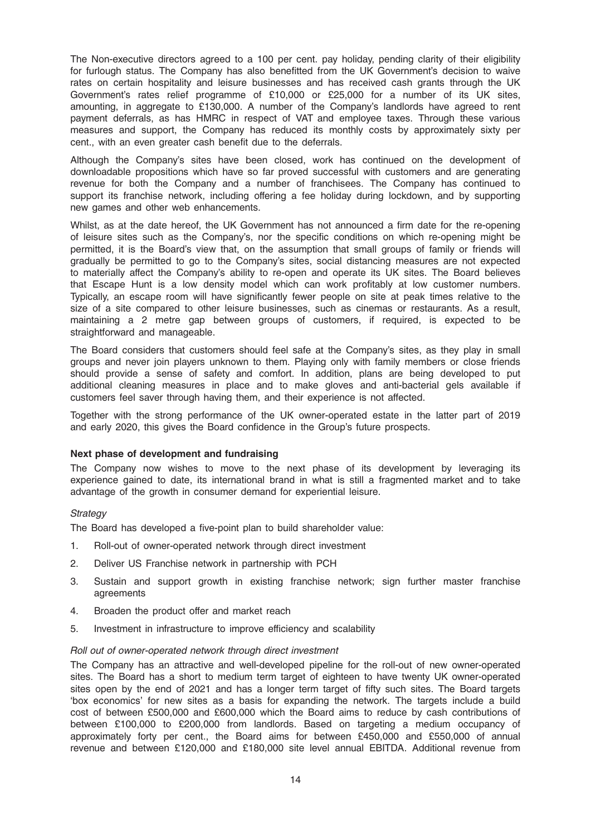The Non-executive directors agreed to a 100 per cent. pay holiday, pending clarity of their eligibility for furlough status. The Company has also benefitted from the UK Government's decision to waive rates on certain hospitality and leisure businesses and has received cash grants through the UK Government's rates relief programme of £10,000 or £25,000 for a number of its UK sites, amounting, in aggregate to £130,000. A number of the Company's landlords have agreed to rent payment deferrals, as has HMRC in respect of VAT and employee taxes. Through these various measures and support, the Company has reduced its monthly costs by approximately sixty per cent., with an even greater cash benefit due to the deferrals.

Although the Company's sites have been closed, work has continued on the development of downloadable propositions which have so far proved successful with customers and are generating revenue for both the Company and a number of franchisees. The Company has continued to support its franchise network, including offering a fee holiday during lockdown, and by supporting new games and other web enhancements.

Whilst, as at the date hereof, the UK Government has not announced a firm date for the re-opening of leisure sites such as the Company's, nor the specific conditions on which re-opening might be permitted, it is the Board's view that, on the assumption that small groups of family or friends will gradually be permitted to go to the Company's sites, social distancing measures are not expected to materially affect the Company's ability to re-open and operate its UK sites. The Board believes that Escape Hunt is a low density model which can work profitably at low customer numbers. Typically, an escape room will have significantly fewer people on site at peak times relative to the size of a site compared to other leisure businesses, such as cinemas or restaurants. As a result, maintaining a 2 metre gap between groups of customers, if required, is expected to be straightforward and manageable.

The Board considers that customers should feel safe at the Company's sites, as they play in small groups and never join players unknown to them. Playing only with family members or close friends should provide a sense of safety and comfort. In addition, plans are being developed to put additional cleaning measures in place and to make gloves and anti-bacterial gels available if customers feel saver through having them, and their experience is not affected.

Together with the strong performance of the UK owner-operated estate in the latter part of 2019 and early 2020, this gives the Board confidence in the Group's future prospects.

#### Next phase of development and fundraising

The Company now wishes to move to the next phase of its development by leveraging its experience gained to date, its international brand in what is still a fragmented market and to take advantage of the growth in consumer demand for experiential leisure.

#### **Strategy**

The Board has developed a five-point plan to build shareholder value:

- 1. Roll-out of owner-operated network through direct investment
- 2. Deliver US Franchise network in partnership with PCH
- 3. Sustain and support growth in existing franchise network; sign further master franchise agreements
- 4. Broaden the product offer and market reach
- 5. Investment in infrastructure to improve efficiency and scalability

#### Roll out of owner-operated network through direct investment

The Company has an attractive and well-developed pipeline for the roll-out of new owner-operated sites. The Board has a short to medium term target of eighteen to have twenty UK owner-operated sites open by the end of 2021 and has a longer term target of fifty such sites. The Board targets 'box economics' for new sites as a basis for expanding the network. The targets include a build cost of between £500,000 and £600,000 which the Board aims to reduce by cash contributions of between £100,000 to £200,000 from landlords. Based on targeting a medium occupancy of approximately forty per cent., the Board aims for between £450,000 and £550,000 of annual revenue and between £120,000 and £180,000 site level annual EBITDA. Additional revenue from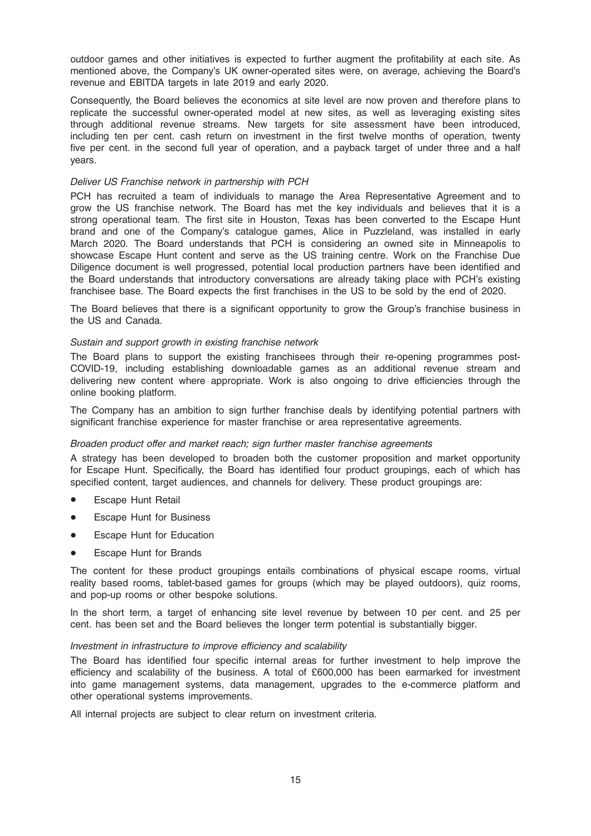outdoor games and other initiatives is expected to further augment the profitability at each site. As mentioned above, the Company's UK owner-operated sites were, on average, achieving the Board's revenue and EBITDA targets in late 2019 and early 2020.

Consequently, the Board believes the economics at site level are now proven and therefore plans to replicate the successful owner-operated model at new sites, as well as leveraging existing sites through additional revenue streams. New targets for site assessment have been introduced, including ten per cent. cash return on investment in the first twelve months of operation, twenty five per cent. in the second full year of operation, and a payback target of under three and a half years.

#### Deliver US Franchise network in partnership with PCH

PCH has recruited a team of individuals to manage the Area Representative Agreement and to grow the US franchise network. The Board has met the key individuals and believes that it is a strong operational team. The first site in Houston, Texas has been converted to the Escape Hunt brand and one of the Company's catalogue games, Alice in Puzzleland, was installed in early March 2020. The Board understands that PCH is considering an owned site in Minneapolis to showcase Escape Hunt content and serve as the US training centre. Work on the Franchise Due Diligence document is well progressed, potential local production partners have been identified and the Board understands that introductory conversations are already taking place with PCH's existing franchisee base. The Board expects the first franchises in the US to be sold by the end of 2020.

The Board believes that there is a significant opportunity to grow the Group's franchise business in the US and Canada.

## Sustain and support growth in existing franchise network

The Board plans to support the existing franchisees through their re-opening programmes post-COVID-19, including establishing downloadable games as an additional revenue stream and delivering new content where appropriate. Work is also ongoing to drive efficiencies through the online booking platform.

The Company has an ambition to sign further franchise deals by identifying potential partners with significant franchise experience for master franchise or area representative agreements.

#### Broaden product offer and market reach; sign further master franchise agreements

A strategy has been developed to broaden both the customer proposition and market opportunity for Escape Hunt. Specifically, the Board has identified four product groupings, each of which has specified content, target audiences, and channels for delivery. These product groupings are:

- **Escape Hunt Retail**
- Escape Hunt for Business
- **Escape Hunt for Education**
- Escape Hunt for Brands

The content for these product groupings entails combinations of physical escape rooms, virtual reality based rooms, tablet-based games for groups (which may be played outdoors), quiz rooms, and pop-up rooms or other bespoke solutions.

In the short term, a target of enhancing site level revenue by between 10 per cent. and 25 per cent. has been set and the Board believes the longer term potential is substantially bigger.

#### Investment in infrastructure to improve efficiency and scalability

The Board has identified four specific internal areas for further investment to help improve the efficiency and scalability of the business. A total of £600,000 has been earmarked for investment into game management systems, data management, upgrades to the e-commerce platform and other operational systems improvements.

All internal projects are subject to clear return on investment criteria.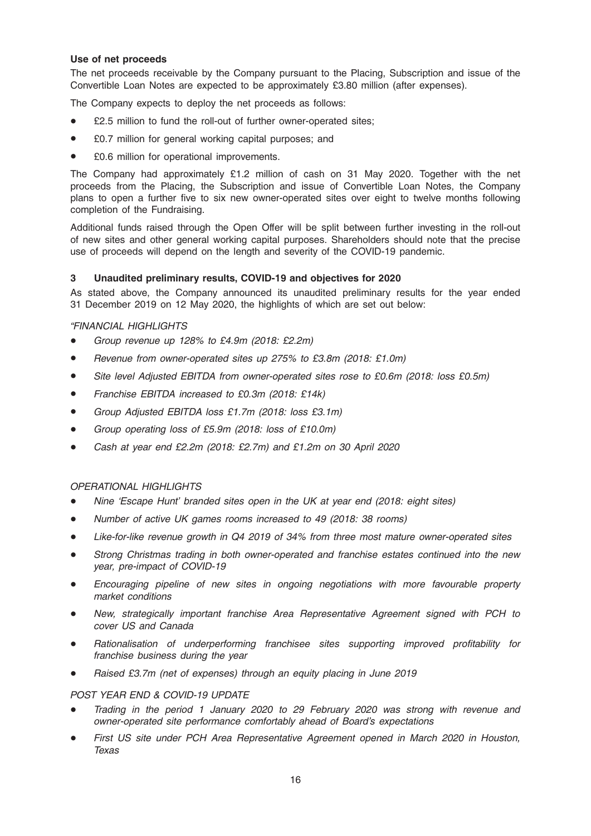## Use of net proceeds

The net proceeds receivable by the Company pursuant to the Placing, Subscription and issue of the Convertible Loan Notes are expected to be approximately £3.80 million (after expenses).

The Company expects to deploy the net proceeds as follows:

- £2.5 million to fund the roll-out of further owner-operated sites;
- £0.7 million for general working capital purposes; and
- £0.6 million for operational improvements.

The Company had approximately £1.2 million of cash on 31 May 2020. Together with the net proceeds from the Placing, the Subscription and issue of Convertible Loan Notes, the Company plans to open a further five to six new owner-operated sites over eight to twelve months following completion of the Fundraising.

Additional funds raised through the Open Offer will be split between further investing in the roll-out of new sites and other general working capital purposes. Shareholders should note that the precise use of proceeds will depend on the length and severity of the COVID-19 pandemic.

## 3 Unaudited preliminary results, COVID-19 and objectives for 2020

As stated above, the Company announced its unaudited preliminary results for the year ended 31 December 2019 on 12 May 2020, the highlights of which are set out below:

## "FINANCIAL HIGHLIGHTS

- Group revenue up 128% to £4.9m (2018: £2.2m)
- Revenue from owner-operated sites up 275% to £3.8m (2018: £1.0m)
- Site level Adjusted EBITDA from owner-operated sites rose to £0.6m (2018: loss £0.5m)
- Franchise EBITDA increased to £0.3m (2018: £14k)
- \* Group Adjusted EBITDA loss £1.7m (2018: loss £3.1m)
- Group operating loss of £5.9m (2018: loss of £10.0m)
- Cash at year end £2.2m (2018: £2.7m) and £1.2m on 30 April 2020

## OPERATIONAL HIGHLIGHTS

- Nine 'Escape Hunt' branded sites open in the UK at year end (2018: eight sites)
- Number of active UK games rooms increased to 49 (2018: 38 rooms)
- Like-for-like revenue growth in Q4 2019 of 34% from three most mature owner-operated sites
- Strong Christmas trading in both owner-operated and franchise estates continued into the new year, pre-impact of COVID-19
- Encouraging pipeline of new sites in ongoing negotiations with more favourable property market conditions
- New, strategically important franchise Area Representative Agreement signed with PCH to cover US and Canada
- Rationalisation of underperforming franchisee sites supporting improved profitability for franchise business during the year
- Raised £3.7m (net of expenses) through an equity placing in June 2019

#### POST YEAR END & COVID-19 UPDATE

- Trading in the period 1 January 2020 to 29 February 2020 was strong with revenue and owner-operated site performance comfortably ahead of Board's expectations
- First US site under PCH Area Representative Agreement opened in March 2020 in Houston, Texas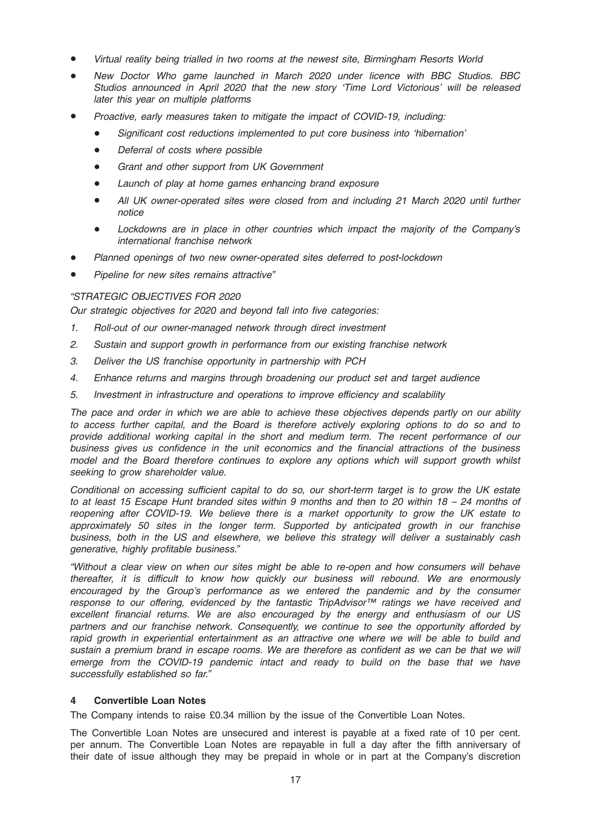- Virtual reality being trialled in two rooms at the newest site, Birmingham Resorts World
- New Doctor Who game launched in March 2020 under licence with BBC Studios. BBC Studios announced in April 2020 that the new story 'Time Lord Victorious' will be released later this year on multiple platforms
- Proactive, early measures taken to mitigate the impact of COVID-19, including:
	- Significant cost reductions implemented to put core business into 'hibernation'
	- Deferral of costs where possible
	- Grant and other support from UK Government
	- Launch of play at home games enhancing brand exposure
	- All UK owner-operated sites were closed from and including 21 March 2020 until further notice
	- Lockdowns are in place in other countries which impact the majority of the Company's international franchise network
- Planned openings of two new owner-operated sites deferred to post-lockdown
- Pipeline for new sites remains attractive"

## "STRATEGIC OBJECTIVES FOR 2020

Our strategic objectives for 2020 and beyond fall into five categories:

- 1. Roll-out of our owner-managed network through direct investment
- 2. Sustain and support growth in performance from our existing franchise network
- 3. Deliver the US franchise opportunity in partnership with PCH
- 4. Enhance returns and margins through broadening our product set and target audience
- 5. Investment in infrastructure and operations to improve efficiency and scalability

The pace and order in which we are able to achieve these objectives depends partly on our ability to access further capital, and the Board is therefore actively exploring options to do so and to provide additional working capital in the short and medium term. The recent performance of our business gives us confidence in the unit economics and the financial attractions of the business model and the Board therefore continues to explore any options which will support growth whilst seeking to grow shareholder value.

Conditional on accessing sufficient capital to do so, our short-term target is to grow the UK estate to at least 15 Escape Hunt branded sites within 9 months and then to 20 within 18 – 24 months of reopening after COVID-19. We believe there is a market opportunity to grow the UK estate to approximately 50 sites in the longer term. Supported by anticipated growth in our franchise business, both in the US and elsewhere, we believe this strategy will deliver a sustainably cash generative, highly profitable business."

"Without a clear view on when our sites might be able to re-open and how consumers will behave thereafter, it is difficult to know how quickly our business will rebound. We are enormously encouraged by the Group's performance as we entered the pandemic and by the consumer response to our offering, evidenced by the fantastic TripAdvisor™ ratings we have received and excellent financial returns. We are also encouraged by the energy and enthusiasm of our US partners and our franchise network. Consequently, we continue to see the opportunity afforded by rapid growth in experiential entertainment as an attractive one where we will be able to build and sustain a premium brand in escape rooms. We are therefore as confident as we can be that we will emerge from the COVID-19 pandemic intact and ready to build on the base that we have successfully established so far."

## 4 Convertible Loan Notes

The Company intends to raise £0.34 million by the issue of the Convertible Loan Notes.

The Convertible Loan Notes are unsecured and interest is payable at a fixed rate of 10 per cent. per annum. The Convertible Loan Notes are repayable in full a day after the fifth anniversary of their date of issue although they may be prepaid in whole or in part at the Company's discretion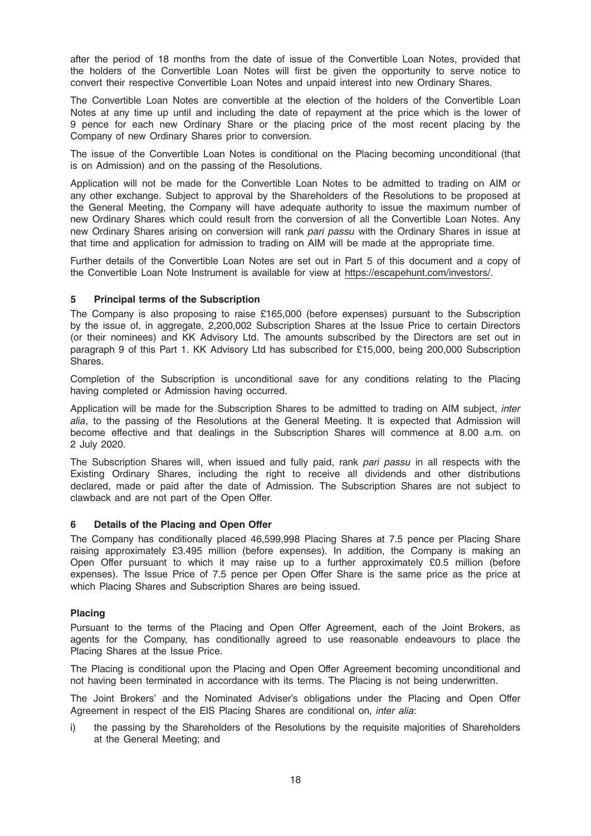after the period of 18 months from the date of issue of the Convertible Loan Notes, provided that the holders of the Convertible Loan Notes will first be given the opportunity to serve notice to convert their respective Convertible Loan Notes and unpaid interest into new Ordinary Shares.

The Convertible Loan Notes are convertible at the election of the holders of the Convertible Loan Notes at any time up until and including the date of repayment at the price which is the lower of 9 pence for each new Ordinary Share or the placing price of the most recent placing by the Company of new Ordinary Shares prior to conversion.

The issue of the Convertible Loan Notes is conditional on the Placing becoming unconditional (that is on Admission) and on the passing of the Resolutions.

Application will not be made for the Convertible Loan Notes to be admitted to trading on AIM or any other exchange. Subject to approval by the Shareholders of the Resolutions to be proposed at the General Meeting, the Company will have adequate authority to issue the maximum number of new Ordinary Shares which could result from the conversion of all the Convertible Loan Notes. Any new Ordinary Shares arising on conversion will rank pari passu with the Ordinary Shares in issue at that time and application for admission to trading on AIM will be made at the appropriate time.

Further details of the Convertible Loan Notes are set out in Part 5 of this document and a copy of the Convertible Loan Note Instrument is available for view at https://escapehunt.com/investors/.

## 5 Principal terms of the Subscription

The Company is also proposing to raise £165,000 (before expenses) pursuant to the Subscription by the issue of, in aggregate, 2,200,002 Subscription Shares at the Issue Price to certain Directors (or their nominees) and KK Advisory Ltd. The amounts subscribed by the Directors are set out in paragraph 9 of this Part 1. KK Advisory Ltd has subscribed for £15,000, being 200,000 Subscription Shares.

Completion of the Subscription is unconditional save for any conditions relating to the Placing having completed or Admission having occurred.

Application will be made for the Subscription Shares to be admitted to trading on AIM subject, inter alia, to the passing of the Resolutions at the General Meeting. It is expected that Admission will become effective and that dealings in the Subscription Shares will commence at 8.00 a.m. on 2 July 2020.

The Subscription Shares will, when issued and fully paid, rank pari passu in all respects with the Existing Ordinary Shares, including the right to receive all dividends and other distributions declared, made or paid after the date of Admission. The Subscription Shares are not subject to clawback and are not part of the Open Offer.

#### 6 Details of the Placing and Open Offer

The Company has conditionally placed 46,599,998 Placing Shares at 7.5 pence per Placing Share raising approximately £3.495 million (before expenses). In addition, the Company is making an Open Offer pursuant to which it may raise up to a further approximately £0.5 million (before expenses). The Issue Price of 7.5 pence per Open Offer Share is the same price as the price at which Placing Shares and Subscription Shares are being issued.

#### Placing

Pursuant to the terms of the Placing and Open Offer Agreement, each of the Joint Brokers, as agents for the Company, has conditionally agreed to use reasonable endeavours to place the Placing Shares at the Issue Price.

The Placing is conditional upon the Placing and Open Offer Agreement becoming unconditional and not having been terminated in accordance with its terms. The Placing is not being underwritten.

The Joint Brokers' and the Nominated Adviser's obligations under the Placing and Open Offer Agreement in respect of the EIS Placing Shares are conditional on, inter alia:

i) the passing by the Shareholders of the Resolutions by the requisite majorities of Shareholders at the General Meeting; and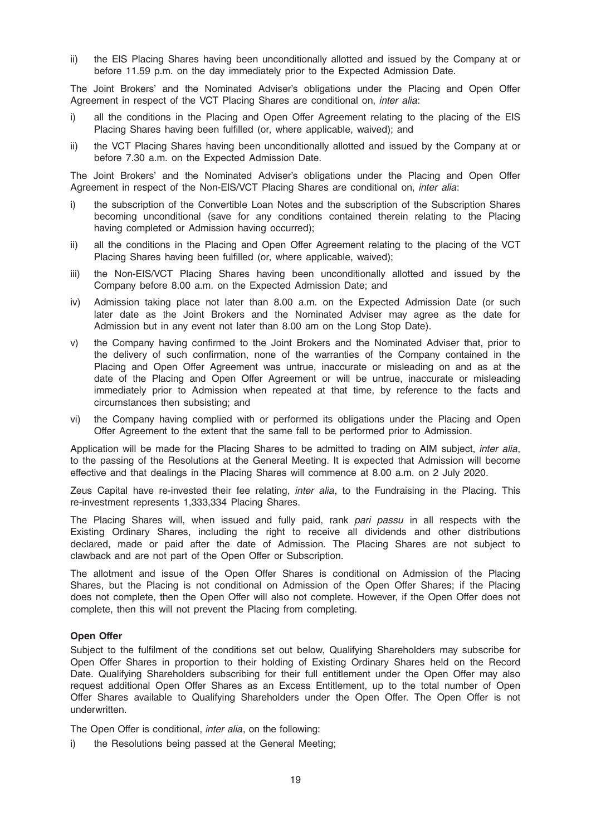ii) the EIS Placing Shares having been unconditionally allotted and issued by the Company at or before 11.59 p.m. on the day immediately prior to the Expected Admission Date.

The Joint Brokers' and the Nominated Adviser's obligations under the Placing and Open Offer Agreement in respect of the VCT Placing Shares are conditional on, inter alia:

- i) all the conditions in the Placing and Open Offer Agreement relating to the placing of the EIS Placing Shares having been fulfilled (or, where applicable, waived); and
- ii) the VCT Placing Shares having been unconditionally allotted and issued by the Company at or before 7.30 a.m. on the Expected Admission Date.

The Joint Brokers' and the Nominated Adviser's obligations under the Placing and Open Offer Agreement in respect of the Non-EIS/VCT Placing Shares are conditional on, inter alia:

- i) the subscription of the Convertible Loan Notes and the subscription of the Subscription Shares becoming unconditional (save for any conditions contained therein relating to the Placing having completed or Admission having occurred);
- ii) all the conditions in the Placing and Open Offer Agreement relating to the placing of the VCT Placing Shares having been fulfilled (or, where applicable, waived);
- iii) the Non-EIS/VCT Placing Shares having been unconditionally allotted and issued by the Company before 8.00 a.m. on the Expected Admission Date; and
- iv) Admission taking place not later than 8.00 a.m. on the Expected Admission Date (or such later date as the Joint Brokers and the Nominated Adviser may agree as the date for Admission but in any event not later than 8.00 am on the Long Stop Date).
- v) the Company having confirmed to the Joint Brokers and the Nominated Adviser that, prior to the delivery of such confirmation, none of the warranties of the Company contained in the Placing and Open Offer Agreement was untrue, inaccurate or misleading on and as at the date of the Placing and Open Offer Agreement or will be untrue, inaccurate or misleading immediately prior to Admission when repeated at that time, by reference to the facts and circumstances then subsisting; and
- vi) the Company having complied with or performed its obligations under the Placing and Open Offer Agreement to the extent that the same fall to be performed prior to Admission.

Application will be made for the Placing Shares to be admitted to trading on AIM subject, inter alia, to the passing of the Resolutions at the General Meeting. It is expected that Admission will become effective and that dealings in the Placing Shares will commence at 8.00 a.m. on 2 July 2020.

Zeus Capital have re-invested their fee relating, *inter alia*, to the Fundraising in the Placing. This re-investment represents 1,333,334 Placing Shares.

The Placing Shares will, when issued and fully paid, rank pari passu in all respects with the Existing Ordinary Shares, including the right to receive all dividends and other distributions declared, made or paid after the date of Admission. The Placing Shares are not subject to clawback and are not part of the Open Offer or Subscription.

The allotment and issue of the Open Offer Shares is conditional on Admission of the Placing Shares, but the Placing is not conditional on Admission of the Open Offer Shares; if the Placing does not complete, then the Open Offer will also not complete. However, if the Open Offer does not complete, then this will not prevent the Placing from completing.

## Open Offer

Subject to the fulfilment of the conditions set out below, Qualifying Shareholders may subscribe for Open Offer Shares in proportion to their holding of Existing Ordinary Shares held on the Record Date. Qualifying Shareholders subscribing for their full entitlement under the Open Offer may also request additional Open Offer Shares as an Excess Entitlement, up to the total number of Open Offer Shares available to Qualifying Shareholders under the Open Offer. The Open Offer is not underwritten.

The Open Offer is conditional, inter alia, on the following:

i) the Resolutions being passed at the General Meeting;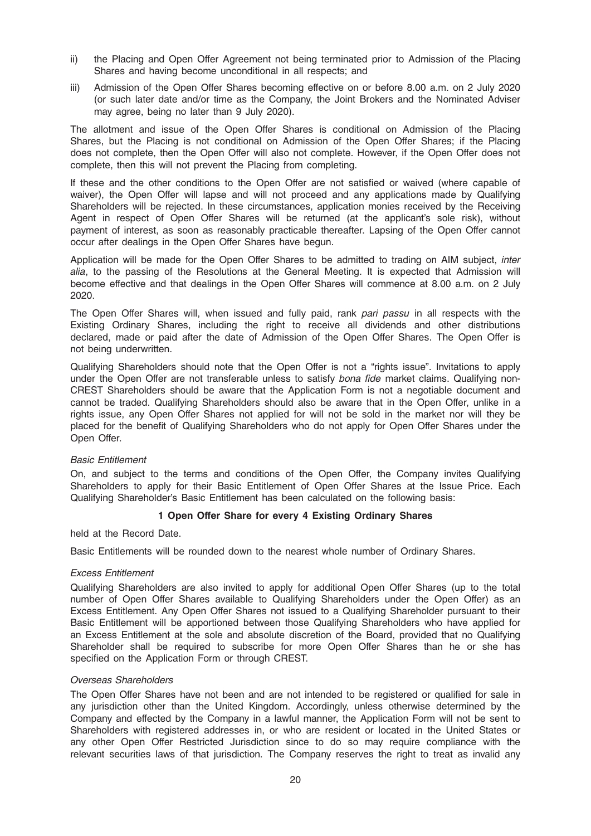- ii) the Placing and Open Offer Agreement not being terminated prior to Admission of the Placing Shares and having become unconditional in all respects; and
- iii) Admission of the Open Offer Shares becoming effective on or before 8.00 a.m. on 2 July 2020 (or such later date and/or time as the Company, the Joint Brokers and the Nominated Adviser may agree, being no later than 9 July 2020).

The allotment and issue of the Open Offer Shares is conditional on Admission of the Placing Shares, but the Placing is not conditional on Admission of the Open Offer Shares; if the Placing does not complete, then the Open Offer will also not complete. However, if the Open Offer does not complete, then this will not prevent the Placing from completing.

If these and the other conditions to the Open Offer are not satisfied or waived (where capable of waiver), the Open Offer will lapse and will not proceed and any applications made by Qualifying Shareholders will be rejected. In these circumstances, application monies received by the Receiving Agent in respect of Open Offer Shares will be returned (at the applicant's sole risk), without payment of interest, as soon as reasonably practicable thereafter. Lapsing of the Open Offer cannot occur after dealings in the Open Offer Shares have begun.

Application will be made for the Open Offer Shares to be admitted to trading on AIM subject, inter alia, to the passing of the Resolutions at the General Meeting. It is expected that Admission will become effective and that dealings in the Open Offer Shares will commence at 8.00 a.m. on 2 July 2020.

The Open Offer Shares will, when issued and fully paid, rank pari passu in all respects with the Existing Ordinary Shares, including the right to receive all dividends and other distributions declared, made or paid after the date of Admission of the Open Offer Shares. The Open Offer is not being underwritten.

Qualifying Shareholders should note that the Open Offer is not a "rights issue". Invitations to apply under the Open Offer are not transferable unless to satisfy bona fide market claims. Qualifying non-CREST Shareholders should be aware that the Application Form is not a negotiable document and cannot be traded. Qualifying Shareholders should also be aware that in the Open Offer, unlike in a rights issue, any Open Offer Shares not applied for will not be sold in the market nor will they be placed for the benefit of Qualifying Shareholders who do not apply for Open Offer Shares under the Open Offer.

## Basic Entitlement

On, and subject to the terms and conditions of the Open Offer, the Company invites Qualifying Shareholders to apply for their Basic Entitlement of Open Offer Shares at the Issue Price. Each Qualifying Shareholder's Basic Entitlement has been calculated on the following basis:

## 1 Open Offer Share for every 4 Existing Ordinary Shares

held at the Record Date.

Basic Entitlements will be rounded down to the nearest whole number of Ordinary Shares.

#### Excess Entitlement

Qualifying Shareholders are also invited to apply for additional Open Offer Shares (up to the total number of Open Offer Shares available to Qualifying Shareholders under the Open Offer) as an Excess Entitlement. Any Open Offer Shares not issued to a Qualifying Shareholder pursuant to their Basic Entitlement will be apportioned between those Qualifying Shareholders who have applied for an Excess Entitlement at the sole and absolute discretion of the Board, provided that no Qualifying Shareholder shall be required to subscribe for more Open Offer Shares than he or she has specified on the Application Form or through CREST.

## Overseas Shareholders

The Open Offer Shares have not been and are not intended to be registered or qualified for sale in any jurisdiction other than the United Kingdom. Accordingly, unless otherwise determined by the Company and effected by the Company in a lawful manner, the Application Form will not be sent to Shareholders with registered addresses in, or who are resident or located in the United States or any other Open Offer Restricted Jurisdiction since to do so may require compliance with the relevant securities laws of that jurisdiction. The Company reserves the right to treat as invalid any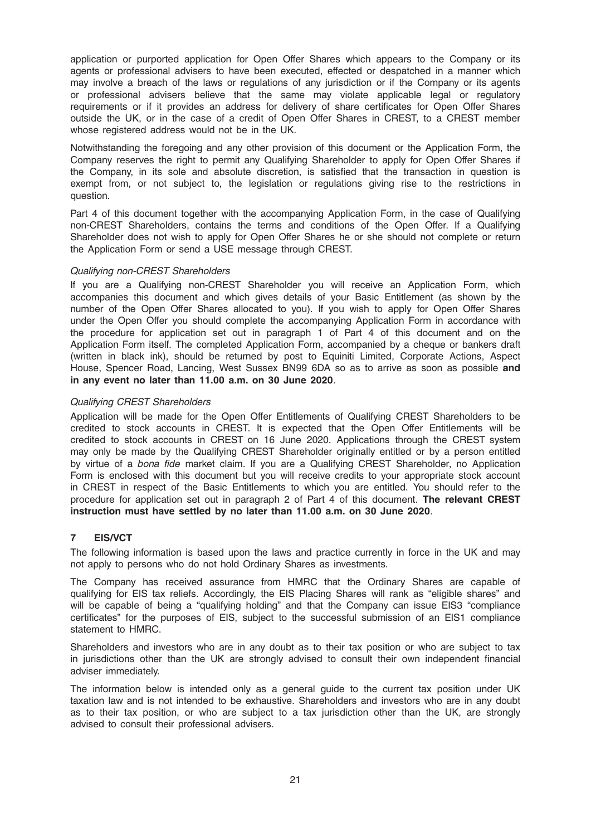application or purported application for Open Offer Shares which appears to the Company or its agents or professional advisers to have been executed, effected or despatched in a manner which may involve a breach of the laws or regulations of any jurisdiction or if the Company or its agents or professional advisers believe that the same may violate applicable legal or regulatory requirements or if it provides an address for delivery of share certificates for Open Offer Shares outside the UK, or in the case of a credit of Open Offer Shares in CREST, to a CREST member whose registered address would not be in the UK.

Notwithstanding the foregoing and any other provision of this document or the Application Form, the Company reserves the right to permit any Qualifying Shareholder to apply for Open Offer Shares if the Company, in its sole and absolute discretion, is satisfied that the transaction in question is exempt from, or not subject to, the legislation or regulations giving rise to the restrictions in question.

Part 4 of this document together with the accompanying Application Form, in the case of Qualifying non-CREST Shareholders, contains the terms and conditions of the Open Offer. If a Qualifying Shareholder does not wish to apply for Open Offer Shares he or she should not complete or return the Application Form or send a USE message through CREST.

## Qualifying non-CREST Shareholders

If you are a Qualifying non-CREST Shareholder you will receive an Application Form, which accompanies this document and which gives details of your Basic Entitlement (as shown by the number of the Open Offer Shares allocated to you). If you wish to apply for Open Offer Shares under the Open Offer you should complete the accompanying Application Form in accordance with the procedure for application set out in paragraph 1 of Part 4 of this document and on the Application Form itself. The completed Application Form, accompanied by a cheque or bankers draft (written in black ink), should be returned by post to Equiniti Limited, Corporate Actions, Aspect House, Spencer Road, Lancing, West Sussex BN99 6DA so as to arrive as soon as possible and in any event no later than 11.00 a.m. on 30 June 2020.

## Qualifying CREST Shareholders

Application will be made for the Open Offer Entitlements of Qualifying CREST Shareholders to be credited to stock accounts in CREST. It is expected that the Open Offer Entitlements will be credited to stock accounts in CREST on 16 June 2020. Applications through the CREST system may only be made by the Qualifying CREST Shareholder originally entitled or by a person entitled by virtue of a bona fide market claim. If you are a Qualifying CREST Shareholder, no Application Form is enclosed with this document but you will receive credits to your appropriate stock account in CREST in respect of the Basic Entitlements to which you are entitled. You should refer to the procedure for application set out in paragraph 2 of Part 4 of this document. The relevant CREST instruction must have settled by no later than 11.00 a.m. on 30 June 2020.

## 7 EIS/VCT

The following information is based upon the laws and practice currently in force in the UK and may not apply to persons who do not hold Ordinary Shares as investments.

The Company has received assurance from HMRC that the Ordinary Shares are capable of qualifying for EIS tax reliefs. Accordingly, the EIS Placing Shares will rank as "eligible shares" and will be capable of being a "qualifying holding" and that the Company can issue EIS3 "compliance certificates" for the purposes of EIS, subject to the successful submission of an EIS1 compliance statement to HMRC.

Shareholders and investors who are in any doubt as to their tax position or who are subject to tax in jurisdictions other than the UK are strongly advised to consult their own independent financial adviser immediately.

The information below is intended only as a general guide to the current tax position under UK taxation law and is not intended to be exhaustive. Shareholders and investors who are in any doubt as to their tax position, or who are subject to a tax jurisdiction other than the UK, are strongly advised to consult their professional advisers.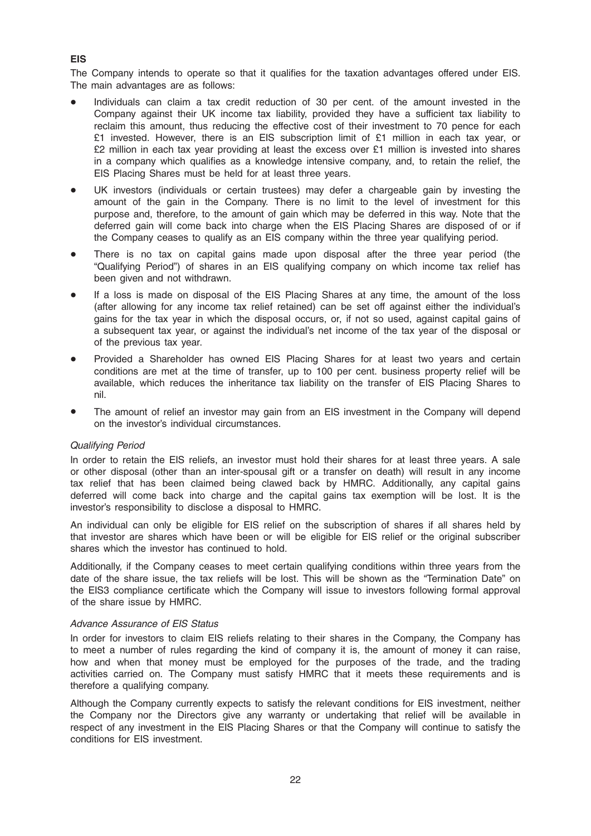The Company intends to operate so that it qualifies for the taxation advantages offered under EIS. The main advantages are as follows:

- Individuals can claim a tax credit reduction of 30 per cent. of the amount invested in the Company against their UK income tax liability, provided they have a sufficient tax liability to reclaim this amount, thus reducing the effective cost of their investment to 70 pence for each £1 invested. However, there is an EIS subscription limit of £1 million in each tax year, or  $£2$  million in each tax year providing at least the excess over  $£1$  million is invested into shares in a company which qualifies as a knowledge intensive company, and, to retain the relief, the EIS Placing Shares must be held for at least three years.
- UK investors (individuals or certain trustees) may defer a chargeable gain by investing the amount of the gain in the Company. There is no limit to the level of investment for this purpose and, therefore, to the amount of gain which may be deferred in this way. Note that the deferred gain will come back into charge when the EIS Placing Shares are disposed of or if the Company ceases to qualify as an EIS company within the three year qualifying period.
- There is no tax on capital gains made upon disposal after the three year period (the "Qualifying Period") of shares in an EIS qualifying company on which income tax relief has been given and not withdrawn.
- If a loss is made on disposal of the EIS Placing Shares at any time, the amount of the loss (after allowing for any income tax relief retained) can be set off against either the individual's gains for the tax year in which the disposal occurs, or, if not so used, against capital gains of a subsequent tax year, or against the individual's net income of the tax year of the disposal or of the previous tax year.
- Provided a Shareholder has owned EIS Placing Shares for at least two years and certain conditions are met at the time of transfer, up to 100 per cent. business property relief will be available, which reduces the inheritance tax liability on the transfer of EIS Placing Shares to nil.
- The amount of relief an investor may gain from an EIS investment in the Company will depend on the investor's individual circumstances.

#### Qualifying Period

In order to retain the EIS reliefs, an investor must hold their shares for at least three years. A sale or other disposal (other than an inter-spousal gift or a transfer on death) will result in any income tax relief that has been claimed being clawed back by HMRC. Additionally, any capital gains deferred will come back into charge and the capital gains tax exemption will be lost. It is the investor's responsibility to disclose a disposal to HMRC.

An individual can only be eligible for EIS relief on the subscription of shares if all shares held by that investor are shares which have been or will be eligible for EIS relief or the original subscriber shares which the investor has continued to hold.

Additionally, if the Company ceases to meet certain qualifying conditions within three years from the date of the share issue, the tax reliefs will be lost. This will be shown as the "Termination Date" on the EIS3 compliance certificate which the Company will issue to investors following formal approval of the share issue by HMRC.

#### Advance Assurance of EIS Status

In order for investors to claim EIS reliefs relating to their shares in the Company, the Company has to meet a number of rules regarding the kind of company it is, the amount of money it can raise, how and when that money must be employed for the purposes of the trade, and the trading activities carried on. The Company must satisfy HMRC that it meets these requirements and is therefore a qualifying company.

Although the Company currently expects to satisfy the relevant conditions for EIS investment, neither the Company nor the Directors give any warranty or undertaking that relief will be available in respect of any investment in the EIS Placing Shares or that the Company will continue to satisfy the conditions for EIS investment.

## EIS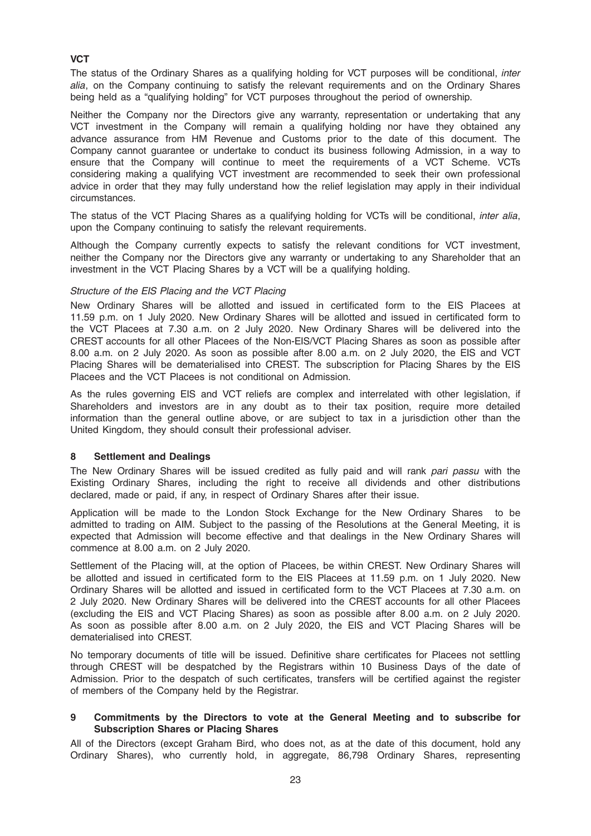## **VCT**

The status of the Ordinary Shares as a qualifying holding for VCT purposes will be conditional, *inter* alia, on the Company continuing to satisfy the relevant requirements and on the Ordinary Shares being held as a "qualifying holding" for VCT purposes throughout the period of ownership.

Neither the Company nor the Directors give any warranty, representation or undertaking that any VCT investment in the Company will remain a qualifying holding nor have they obtained any advance assurance from HM Revenue and Customs prior to the date of this document. The Company cannot guarantee or undertake to conduct its business following Admission, in a way to ensure that the Company will continue to meet the requirements of a VCT Scheme. VCTs considering making a qualifying VCT investment are recommended to seek their own professional advice in order that they may fully understand how the relief legislation may apply in their individual circumstances.

The status of the VCT Placing Shares as a qualifying holding for VCTs will be conditional, *inter alia*, upon the Company continuing to satisfy the relevant requirements.

Although the Company currently expects to satisfy the relevant conditions for VCT investment, neither the Company nor the Directors give any warranty or undertaking to any Shareholder that an investment in the VCT Placing Shares by a VCT will be a qualifying holding.

#### Structure of the EIS Placing and the VCT Placing

New Ordinary Shares will be allotted and issued in certificated form to the EIS Placees at 11.59 p.m. on 1 July 2020. New Ordinary Shares will be allotted and issued in certificated form to the VCT Placees at 7.30 a.m. on 2 July 2020. New Ordinary Shares will be delivered into the CREST accounts for all other Placees of the Non-EIS/VCT Placing Shares as soon as possible after 8.00 a.m. on 2 July 2020. As soon as possible after 8.00 a.m. on 2 July 2020, the EIS and VCT Placing Shares will be dematerialised into CREST. The subscription for Placing Shares by the EIS Placees and the VCT Placees is not conditional on Admission.

As the rules governing EIS and VCT reliefs are complex and interrelated with other legislation, if Shareholders and investors are in any doubt as to their tax position, require more detailed information than the general outline above, or are subject to tax in a jurisdiction other than the United Kingdom, they should consult their professional adviser.

#### 8 Settlement and Dealings

The New Ordinary Shares will be issued credited as fully paid and will rank pari passu with the Existing Ordinary Shares, including the right to receive all dividends and other distributions declared, made or paid, if any, in respect of Ordinary Shares after their issue.

Application will be made to the London Stock Exchange for the New Ordinary Shares to be admitted to trading on AIM. Subject to the passing of the Resolutions at the General Meeting, it is expected that Admission will become effective and that dealings in the New Ordinary Shares will commence at 8.00 a.m. on 2 July 2020.

Settlement of the Placing will, at the option of Placees, be within CREST. New Ordinary Shares will be allotted and issued in certificated form to the EIS Placees at 11.59 p.m. on 1 July 2020. New Ordinary Shares will be allotted and issued in certificated form to the VCT Placees at 7.30 a.m. on 2 July 2020. New Ordinary Shares will be delivered into the CREST accounts for all other Placees (excluding the EIS and VCT Placing Shares) as soon as possible after 8.00 a.m. on 2 July 2020. As soon as possible after 8.00 a.m. on 2 July 2020, the EIS and VCT Placing Shares will be dematerialised into CREST.

No temporary documents of title will be issued. Definitive share certificates for Placees not settling through CREST will be despatched by the Registrars within 10 Business Days of the date of Admission. Prior to the despatch of such certificates, transfers will be certified against the register of members of the Company held by the Registrar.

#### 9 Commitments by the Directors to vote at the General Meeting and to subscribe for Subscription Shares or Placing Shares

All of the Directors (except Graham Bird, who does not, as at the date of this document, hold any Ordinary Shares), who currently hold, in aggregate, 86,798 Ordinary Shares, representing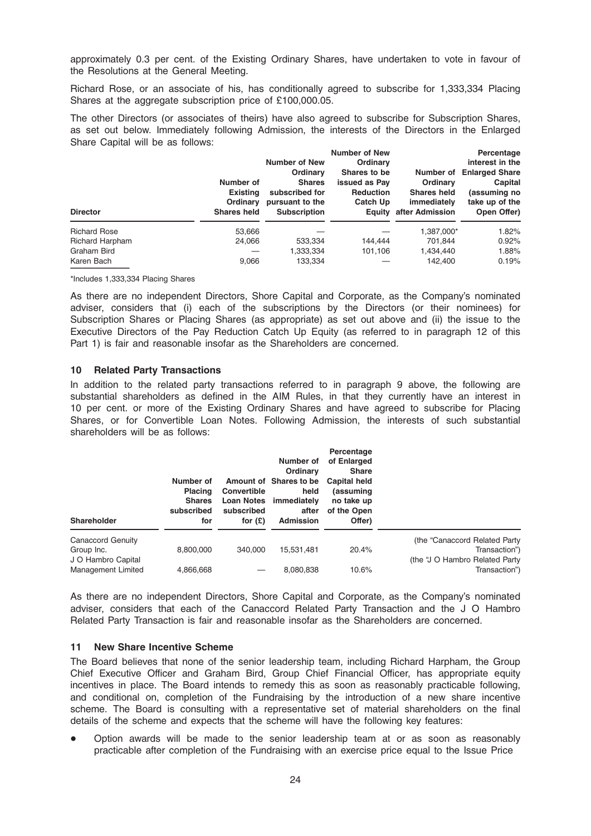approximately 0.3 per cent. of the Existing Ordinary Shares, have undertaken to vote in favour of the Resolutions at the General Meeting.

Richard Rose, or an associate of his, has conditionally agreed to subscribe for 1,333,334 Placing Shares at the aggregate subscription price of £100,000.05.

The other Directors (or associates of theirs) have also agreed to subscribe for Subscription Shares, as set out below. Immediately following Admission, the interests of the Directors in the Enlarged Share Capital will be as follows:

| <b>Director</b>     | Number of<br><b>Existing</b><br>Ordinary<br><b>Shares held</b> | <b>Number of New</b><br>Ordinary<br><b>Shares</b><br>subscribed for<br>pursuant to the<br><b>Subscription</b> | <b>Number of New</b><br>Ordinary<br>Shares to be<br>issued as Pay<br><b>Reduction</b><br>Catch Up | Number of<br><b>Ordinary</b><br><b>Shares held</b><br>immediately<br><b>Equity after Admission</b> | Percentage<br>interest in the<br><b>Enlarged Share</b><br>Capital<br>(assuming no<br>take up of the<br>Open Offer) |
|---------------------|----------------------------------------------------------------|---------------------------------------------------------------------------------------------------------------|---------------------------------------------------------------------------------------------------|----------------------------------------------------------------------------------------------------|--------------------------------------------------------------------------------------------------------------------|
| <b>Richard Rose</b> | 53,666                                                         |                                                                                                               |                                                                                                   | 1,387,000*                                                                                         | 1.82%                                                                                                              |
| Richard Harpham     | 24.066                                                         | 533,334                                                                                                       | 144.444                                                                                           | 701.844                                                                                            | 0.92%                                                                                                              |
| Graham Bird         |                                                                | 1,333,334                                                                                                     | 101.106                                                                                           | 1,434,440                                                                                          | 1.88%                                                                                                              |
| Karen Bach          | 9,066                                                          | 133,334                                                                                                       |                                                                                                   | 142.400                                                                                            | 0.19%                                                                                                              |

\*Includes 1,333,334 Placing Shares

As there are no independent Directors, Shore Capital and Corporate, as the Company's nominated adviser, considers that (i) each of the subscriptions by the Directors (or their nominees) for Subscription Shares or Placing Shares (as appropriate) as set out above and (ii) the issue to the Executive Directors of the Pay Reduction Catch Up Equity (as referred to in paragraph 12 of this Part 1) is fair and reasonable insofar as the Shareholders are concerned.

#### 10 Related Party Transactions

In addition to the related party transactions referred to in paragraph 9 above, the following are substantial shareholders as defined in the AIM Rules, in that they currently have an interest in 10 per cent. or more of the Existing Ordinary Shares and have agreed to subscribe for Placing Shares, or for Convertible Loan Notes. Following Admission, the interests of such substantial shareholders will be as follows:

| Shareholder        | Number of<br><b>Placing</b><br><b>Shares</b><br>subscribed<br>for | <b>Convertible</b><br>subscribed<br>for $(E)$ | Number of<br>Ordinary<br>Amount of Shares to be<br>held<br>Loan Notes immediately<br>after<br><b>Admission</b> | Percentage<br>of Enlarged<br><b>Share</b><br><b>Capital held</b><br>(assuming<br>no take up<br>of the Open<br>Offer) |                                |
|--------------------|-------------------------------------------------------------------|-----------------------------------------------|----------------------------------------------------------------------------------------------------------------|----------------------------------------------------------------------------------------------------------------------|--------------------------------|
| Canaccord Genuity  |                                                                   |                                               |                                                                                                                |                                                                                                                      | (the "Canaccord Related Party  |
| Group Inc.         | 8,800,000                                                         | 340,000                                       | 15.531.481                                                                                                     | 20.4%                                                                                                                | Transaction")                  |
| J O Hambro Capital |                                                                   |                                               |                                                                                                                |                                                                                                                      | (the "J O Hambro Related Party |
| Management Limited | 4,866,668                                                         |                                               | 8,080,838                                                                                                      | 10.6%                                                                                                                | Transaction")                  |

As there are no independent Directors, Shore Capital and Corporate, as the Company's nominated adviser, considers that each of the Canaccord Related Party Transaction and the J O Hambro Related Party Transaction is fair and reasonable insofar as the Shareholders are concerned.

#### 11 New Share Incentive Scheme

The Board believes that none of the senior leadership team, including Richard Harpham, the Group Chief Executive Officer and Graham Bird, Group Chief Financial Officer, has appropriate equity incentives in place. The Board intends to remedy this as soon as reasonably practicable following, and conditional on, completion of the Fundraising by the introduction of a new share incentive scheme. The Board is consulting with a representative set of material shareholders on the final details of the scheme and expects that the scheme will have the following key features:

Option awards will be made to the senior leadership team at or as soon as reasonably practicable after completion of the Fundraising with an exercise price equal to the Issue Price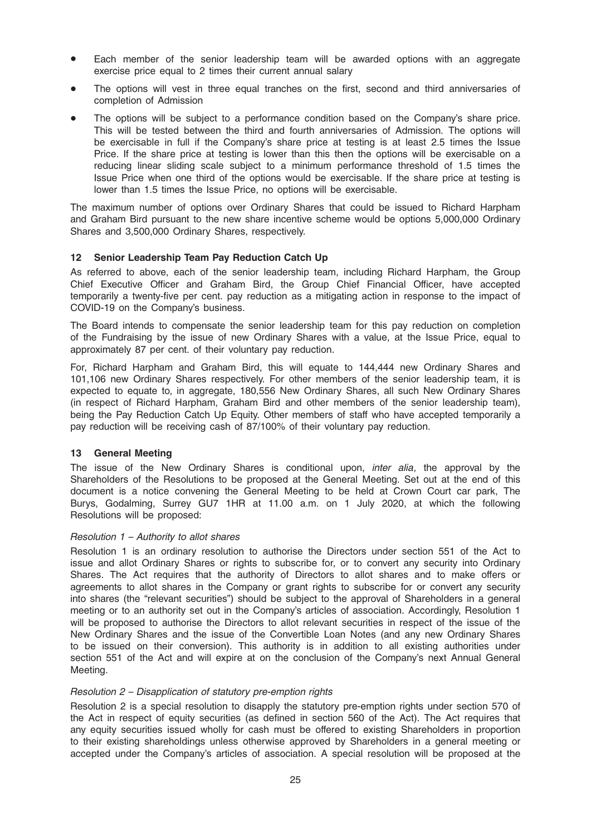- Each member of the senior leadership team will be awarded options with an aggregate exercise price equal to 2 times their current annual salary
- The options will vest in three equal tranches on the first, second and third anniversaries of completion of Admission
- The options will be subject to a performance condition based on the Company's share price. This will be tested between the third and fourth anniversaries of Admission. The options will be exercisable in full if the Company's share price at testing is at least 2.5 times the Issue Price. If the share price at testing is lower than this then the options will be exercisable on a reducing linear sliding scale subject to a minimum performance threshold of 1.5 times the Issue Price when one third of the options would be exercisable. If the share price at testing is lower than 1.5 times the Issue Price, no options will be exercisable.

The maximum number of options over Ordinary Shares that could be issued to Richard Harpham and Graham Bird pursuant to the new share incentive scheme would be options 5,000,000 Ordinary Shares and 3,500,000 Ordinary Shares, respectively.

## 12 Senior Leadership Team Pay Reduction Catch Up

As referred to above, each of the senior leadership team, including Richard Harpham, the Group Chief Executive Officer and Graham Bird, the Group Chief Financial Officer, have accepted temporarily a twenty-five per cent. pay reduction as a mitigating action in response to the impact of COVID-19 on the Company's business.

The Board intends to compensate the senior leadership team for this pay reduction on completion of the Fundraising by the issue of new Ordinary Shares with a value, at the Issue Price, equal to approximately 87 per cent. of their voluntary pay reduction.

For, Richard Harpham and Graham Bird, this will equate to 144,444 new Ordinary Shares and 101,106 new Ordinary Shares respectively. For other members of the senior leadership team, it is expected to equate to, in aggregate, 180,556 New Ordinary Shares, all such New Ordinary Shares (in respect of Richard Harpham, Graham Bird and other members of the senior leadership team), being the Pay Reduction Catch Up Equity. Other members of staff who have accepted temporarily a pay reduction will be receiving cash of 87/100% of their voluntary pay reduction.

#### 13 General Meeting

The issue of the New Ordinary Shares is conditional upon, *inter alia*, the approval by the Shareholders of the Resolutions to be proposed at the General Meeting. Set out at the end of this document is a notice convening the General Meeting to be held at Crown Court car park, The Burys, Godalming, Surrey GU7 1HR at 11.00 a.m. on 1 July 2020, at which the following Resolutions will be proposed:

#### Resolution 1 – Authority to allot shares

Resolution 1 is an ordinary resolution to authorise the Directors under section 551 of the Act to issue and allot Ordinary Shares or rights to subscribe for, or to convert any security into Ordinary Shares. The Act requires that the authority of Directors to allot shares and to make offers or agreements to allot shares in the Company or grant rights to subscribe for or convert any security into shares (the "relevant securities") should be subject to the approval of Shareholders in a general meeting or to an authority set out in the Company's articles of association. Accordingly, Resolution 1 will be proposed to authorise the Directors to allot relevant securities in respect of the issue of the New Ordinary Shares and the issue of the Convertible Loan Notes (and any new Ordinary Shares to be issued on their conversion). This authority is in addition to all existing authorities under section 551 of the Act and will expire at on the conclusion of the Company's next Annual General Meeting.

#### Resolution 2 – Disapplication of statutory pre-emption rights

Resolution 2 is a special resolution to disapply the statutory pre-emption rights under section 570 of the Act in respect of equity securities (as defined in section 560 of the Act). The Act requires that any equity securities issued wholly for cash must be offered to existing Shareholders in proportion to their existing shareholdings unless otherwise approved by Shareholders in a general meeting or accepted under the Company's articles of association. A special resolution will be proposed at the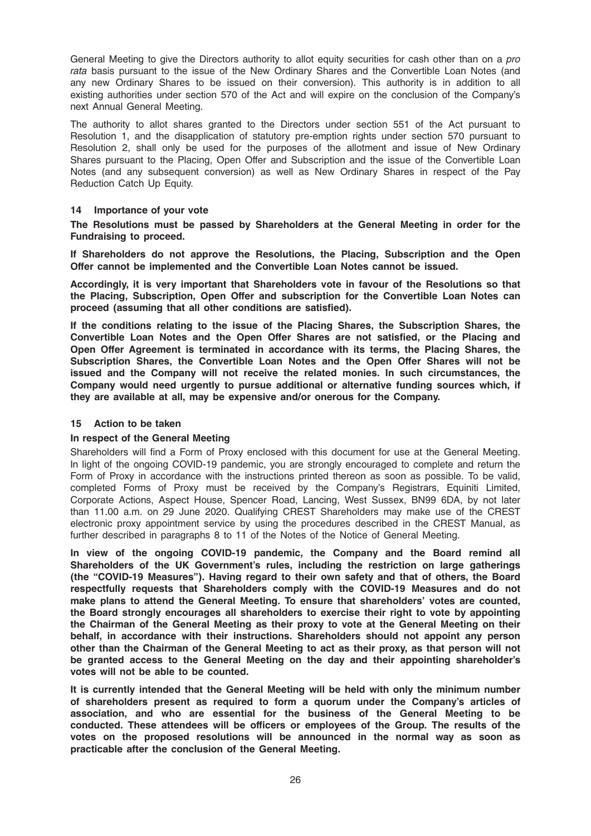General Meeting to give the Directors authority to allot equity securities for cash other than on a pro rata basis pursuant to the issue of the New Ordinary Shares and the Convertible Loan Notes (and any new Ordinary Shares to be issued on their conversion). This authority is in addition to all existing authorities under section 570 of the Act and will expire on the conclusion of the Company's next Annual General Meeting.

The authority to allot shares granted to the Directors under section 551 of the Act pursuant to Resolution 1, and the disapplication of statutory pre-emption rights under section 570 pursuant to Resolution 2, shall only be used for the purposes of the allotment and issue of New Ordinary Shares pursuant to the Placing, Open Offer and Subscription and the issue of the Convertible Loan Notes (and any subsequent conversion) as well as New Ordinary Shares in respect of the Pay Reduction Catch Up Equity.

## 14 Importance of your vote

The Resolutions must be passed by Shareholders at the General Meeting in order for the Fundraising to proceed.

If Shareholders do not approve the Resolutions, the Placing, Subscription and the Open Offer cannot be implemented and the Convertible Loan Notes cannot be issued.

Accordingly, it is very important that Shareholders vote in favour of the Resolutions so that the Placing, Subscription, Open Offer and subscription for the Convertible Loan Notes can proceed (assuming that all other conditions are satisfied).

If the conditions relating to the issue of the Placing Shares, the Subscription Shares, the Convertible Loan Notes and the Open Offer Shares are not satisfied, or the Placing and Open Offer Agreement is terminated in accordance with its terms, the Placing Shares, the Subscription Shares, the Convertible Loan Notes and the Open Offer Shares will not be issued and the Company will not receive the related monies. In such circumstances, the Company would need urgently to pursue additional or alternative funding sources which, if they are available at all, may be expensive and/or onerous for the Company.

## 15 Action to be taken

## In respect of the General Meeting

Shareholders will find a Form of Proxy enclosed with this document for use at the General Meeting. In light of the ongoing COVID-19 pandemic, you are strongly encouraged to complete and return the Form of Proxy in accordance with the instructions printed thereon as soon as possible. To be valid, completed Forms of Proxy must be received by the Company's Registrars, Equiniti Limited, Corporate Actions, Aspect House, Spencer Road, Lancing, West Sussex, BN99 6DA, by not later than 11.00 a.m. on 29 June 2020. Qualifying CREST Shareholders may make use of the CREST electronic proxy appointment service by using the procedures described in the CREST Manual, as further described in paragraphs 8 to 11 of the Notes of the Notice of General Meeting.

In view of the ongoing COVID-19 pandemic, the Company and the Board remind all Shareholders of the UK Government's rules, including the restriction on large gatherings (the "COVID-19 Measures"). Having regard to their own safety and that of others, the Board respectfully requests that Shareholders comply with the COVID-19 Measures and do not make plans to attend the General Meeting. To ensure that shareholders' votes are counted, the Board strongly encourages all shareholders to exercise their right to vote by appointing the Chairman of the General Meeting as their proxy to vote at the General Meeting on their behalf, in accordance with their instructions. Shareholders should not appoint any person other than the Chairman of the General Meeting to act as their proxy, as that person will not be granted access to the General Meeting on the day and their appointing shareholder's votes will not be able to be counted.

It is currently intended that the General Meeting will be held with only the minimum number of shareholders present as required to form a quorum under the Company's articles of association, and who are essential for the business of the General Meeting to be conducted. These attendees will be officers or employees of the Group. The results of the votes on the proposed resolutions will be announced in the normal way as soon as practicable after the conclusion of the General Meeting.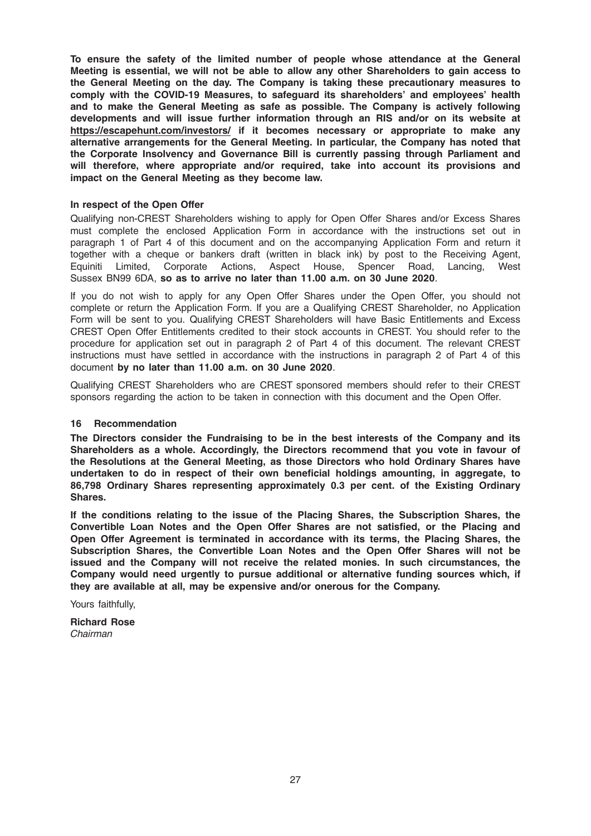To ensure the safety of the limited number of people whose attendance at the General Meeting is essential, we will not be able to allow any other Shareholders to gain access to the General Meeting on the day. The Company is taking these precautionary measures to comply with the COVID-19 Measures, to safeguard its shareholders' and employees' health and to make the General Meeting as safe as possible. The Company is actively following developments and will issue further information through an RIS and/or on its website at https://escapehunt.com/investors/ if it becomes necessary or appropriate to make any alternative arrangements for the General Meeting. In particular, the Company has noted that the Corporate Insolvency and Governance Bill is currently passing through Parliament and will therefore, where appropriate and/or required, take into account its provisions and impact on the General Meeting as they become law.

#### In respect of the Open Offer

Qualifying non-CREST Shareholders wishing to apply for Open Offer Shares and/or Excess Shares must complete the enclosed Application Form in accordance with the instructions set out in paragraph 1 of Part 4 of this document and on the accompanying Application Form and return it together with a cheque or bankers draft (written in black ink) by post to the Receiving Agent, Equiniti Limited, Corporate Actions, Aspect House, Spencer Road, Lancing, West Sussex BN99 6DA, so as to arrive no later than 11.00 a.m. on 30 June 2020.

If you do not wish to apply for any Open Offer Shares under the Open Offer, you should not complete or return the Application Form. If you are a Qualifying CREST Shareholder, no Application Form will be sent to you. Qualifying CREST Shareholders will have Basic Entitlements and Excess CREST Open Offer Entitlements credited to their stock accounts in CREST. You should refer to the procedure for application set out in paragraph 2 of Part 4 of this document. The relevant CREST instructions must have settled in accordance with the instructions in paragraph 2 of Part 4 of this document by no later than 11.00 a.m. on 30 June 2020.

Qualifying CREST Shareholders who are CREST sponsored members should refer to their CREST sponsors regarding the action to be taken in connection with this document and the Open Offer.

#### 16 Recommendation

The Directors consider the Fundraising to be in the best interests of the Company and its Shareholders as a whole. Accordingly, the Directors recommend that you vote in favour of the Resolutions at the General Meeting, as those Directors who hold Ordinary Shares have undertaken to do in respect of their own beneficial holdings amounting, in aggregate, to 86,798 Ordinary Shares representing approximately 0.3 per cent. of the Existing Ordinary Shares.

If the conditions relating to the issue of the Placing Shares, the Subscription Shares, the Convertible Loan Notes and the Open Offer Shares are not satisfied, or the Placing and Open Offer Agreement is terminated in accordance with its terms, the Placing Shares, the Subscription Shares, the Convertible Loan Notes and the Open Offer Shares will not be issued and the Company will not receive the related monies. In such circumstances, the Company would need urgently to pursue additional or alternative funding sources which, if they are available at all, may be expensive and/or onerous for the Company.

Yours faithfully.

Richard Rose Chairman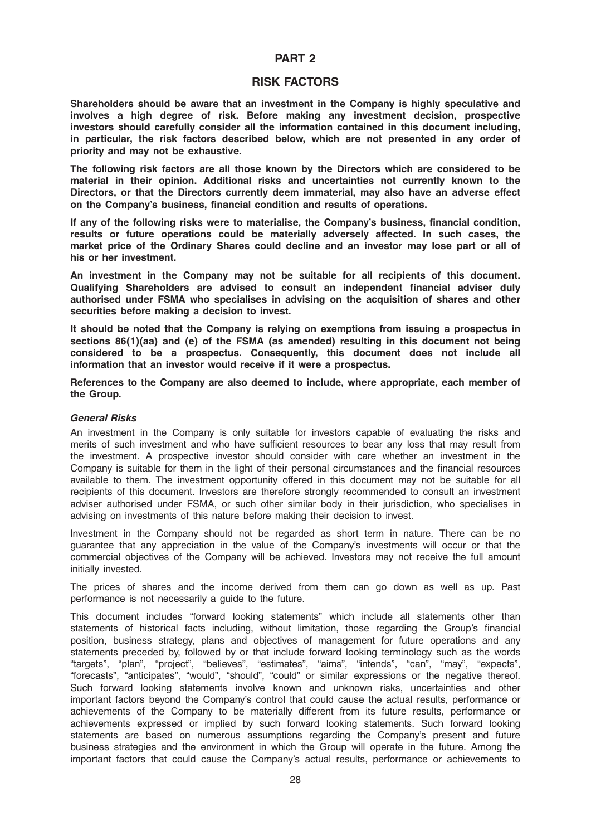## PART 2

## RISK FACTORS

Shareholders should be aware that an investment in the Company is highly speculative and involves a high degree of risk. Before making any investment decision, prospective investors should carefully consider all the information contained in this document including, in particular, the risk factors described below, which are not presented in any order of priority and may not be exhaustive.

The following risk factors are all those known by the Directors which are considered to be material in their opinion. Additional risks and uncertainties not currently known to the Directors, or that the Directors currently deem immaterial, may also have an adverse effect on the Company's business, financial condition and results of operations.

If any of the following risks were to materialise, the Company's business, financial condition, results or future operations could be materially adversely affected. In such cases, the market price of the Ordinary Shares could decline and an investor may lose part or all of his or her investment.

An investment in the Company may not be suitable for all recipients of this document. Qualifying Shareholders are advised to consult an independent financial adviser duly authorised under FSMA who specialises in advising on the acquisition of shares and other securities before making a decision to invest.

It should be noted that the Company is relying on exemptions from issuing a prospectus in sections 86(1)(aa) and (e) of the FSMA (as amended) resulting in this document not being considered to be a prospectus. Consequently, this document does not include all information that an investor would receive if it were a prospectus.

References to the Company are also deemed to include, where appropriate, each member of the Group.

#### General Risks

An investment in the Company is only suitable for investors capable of evaluating the risks and merits of such investment and who have sufficient resources to bear any loss that may result from the investment. A prospective investor should consider with care whether an investment in the Company is suitable for them in the light of their personal circumstances and the financial resources available to them. The investment opportunity offered in this document may not be suitable for all recipients of this document. Investors are therefore strongly recommended to consult an investment adviser authorised under FSMA, or such other similar body in their jurisdiction, who specialises in advising on investments of this nature before making their decision to invest.

Investment in the Company should not be regarded as short term in nature. There can be no guarantee that any appreciation in the value of the Company's investments will occur or that the commercial objectives of the Company will be achieved. Investors may not receive the full amount initially invested.

The prices of shares and the income derived from them can go down as well as up. Past performance is not necessarily a guide to the future.

This document includes "forward looking statements" which include all statements other than statements of historical facts including, without limitation, those regarding the Group's financial position, business strategy, plans and objectives of management for future operations and any statements preceded by, followed by or that include forward looking terminology such as the words "targets", "plan", "project", "believes", "estimates", "aims", "intends", "can", "may", "expects", "forecasts", "anticipates", "would", "should", "could" or similar expressions or the negative thereof. Such forward looking statements involve known and unknown risks, uncertainties and other important factors beyond the Company's control that could cause the actual results, performance or achievements of the Company to be materially different from its future results, performance or achievements expressed or implied by such forward looking statements. Such forward looking statements are based on numerous assumptions regarding the Company's present and future business strategies and the environment in which the Group will operate in the future. Among the important factors that could cause the Company's actual results, performance or achievements to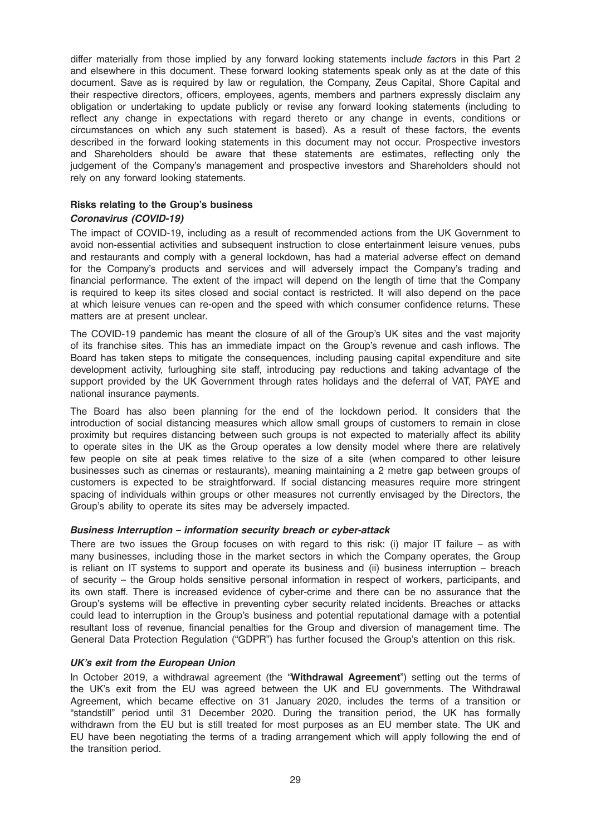differ materially from those implied by any forward looking statements include factors in this Part 2 and elsewhere in this document. These forward looking statements speak only as at the date of this document. Save as is required by law or regulation, the Company, Zeus Capital, Shore Capital and their respective directors, officers, employees, agents, members and partners expressly disclaim any obligation or undertaking to update publicly or revise any forward looking statements (including to reflect any change in expectations with regard thereto or any change in events, conditions or circumstances on which any such statement is based). As a result of these factors, the events described in the forward looking statements in this document may not occur. Prospective investors and Shareholders should be aware that these statements are estimates, reflecting only the judgement of the Company's management and prospective investors and Shareholders should not rely on any forward looking statements.

## Risks relating to the Group's business

## Coronavirus (COVID-19)

The impact of COVID-19, including as a result of recommended actions from the UK Government to avoid non-essential activities and subsequent instruction to close entertainment leisure venues, pubs and restaurants and comply with a general lockdown, has had a material adverse effect on demand for the Company's products and services and will adversely impact the Company's trading and financial performance. The extent of the impact will depend on the length of time that the Company is required to keep its sites closed and social contact is restricted. It will also depend on the pace at which leisure venues can re-open and the speed with which consumer confidence returns. These matters are at present unclear.

The COVID-19 pandemic has meant the closure of all of the Group's UK sites and the vast majority of its franchise sites. This has an immediate impact on the Group's revenue and cash inflows. The Board has taken steps to mitigate the consequences, including pausing capital expenditure and site development activity, furloughing site staff, introducing pay reductions and taking advantage of the support provided by the UK Government through rates holidays and the deferral of VAT, PAYE and national insurance payments.

The Board has also been planning for the end of the lockdown period. It considers that the introduction of social distancing measures which allow small groups of customers to remain in close proximity but requires distancing between such groups is not expected to materially affect its ability to operate sites in the UK as the Group operates a low density model where there are relatively few people on site at peak times relative to the size of a site (when compared to other leisure businesses such as cinemas or restaurants), meaning maintaining a 2 metre gap between groups of customers is expected to be straightforward. If social distancing measures require more stringent spacing of individuals within groups or other measures not currently envisaged by the Directors, the Group's ability to operate its sites may be adversely impacted.

## Business Interruption – information security breach or cyber-attack

There are two issues the Group focuses on with regard to this risk: (i) major IT failure – as with many businesses, including those in the market sectors in which the Company operates, the Group is reliant on IT systems to support and operate its business and (ii) business interruption – breach of security – the Group holds sensitive personal information in respect of workers, participants, and its own staff. There is increased evidence of cyber-crime and there can be no assurance that the Group's systems will be effective in preventing cyber security related incidents. Breaches or attacks could lead to interruption in the Group's business and potential reputational damage with a potential resultant loss of revenue, financial penalties for the Group and diversion of management time. The General Data Protection Regulation ("GDPR") has further focused the Group's attention on this risk.

## UK's exit from the European Union

In October 2019, a withdrawal agreement (the "Withdrawal Agreement") setting out the terms of the UK's exit from the EU was agreed between the UK and EU governments. The Withdrawal Agreement, which became effective on 31 January 2020, includes the terms of a transition or "standstill" period until 31 December 2020. During the transition period, the UK has formally withdrawn from the EU but is still treated for most purposes as an EU member state. The UK and EU have been negotiating the terms of a trading arrangement which will apply following the end of the transition period.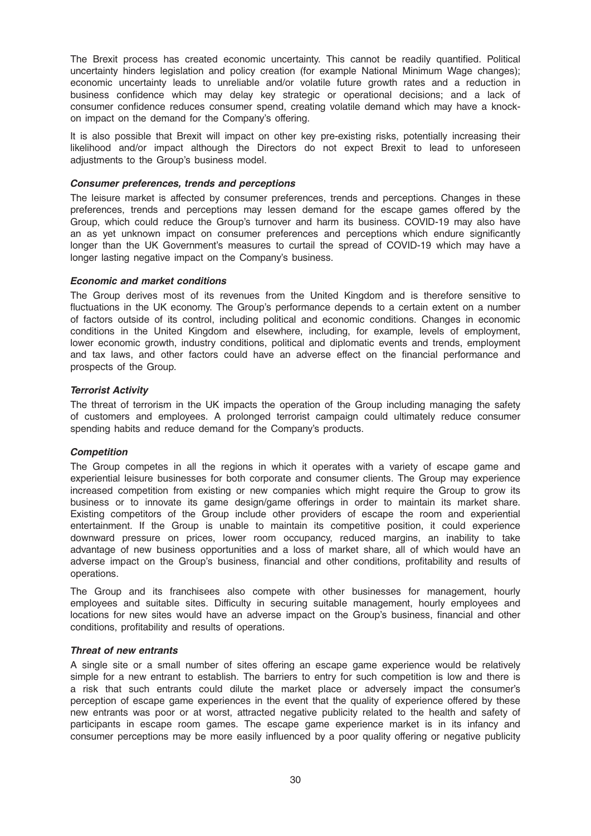The Brexit process has created economic uncertainty. This cannot be readily quantified. Political uncertainty hinders legislation and policy creation (for example National Minimum Wage changes); economic uncertainty leads to unreliable and/or volatile future growth rates and a reduction in business confidence which may delay key strategic or operational decisions; and a lack of consumer confidence reduces consumer spend, creating volatile demand which may have a knockon impact on the demand for the Company's offering.

It is also possible that Brexit will impact on other key pre-existing risks, potentially increasing their likelihood and/or impact although the Directors do not expect Brexit to lead to unforeseen adjustments to the Group's business model.

#### Consumer preferences, trends and perceptions

The leisure market is affected by consumer preferences, trends and perceptions. Changes in these preferences, trends and perceptions may lessen demand for the escape games offered by the Group, which could reduce the Group's turnover and harm its business. COVID-19 may also have an as yet unknown impact on consumer preferences and perceptions which endure significantly longer than the UK Government's measures to curtail the spread of COVID-19 which may have a longer lasting negative impact on the Company's business.

#### Economic and market conditions

The Group derives most of its revenues from the United Kingdom and is therefore sensitive to fluctuations in the UK economy. The Group's performance depends to a certain extent on a number of factors outside of its control, including political and economic conditions. Changes in economic conditions in the United Kingdom and elsewhere, including, for example, levels of employment, lower economic growth, industry conditions, political and diplomatic events and trends, employment and tax laws, and other factors could have an adverse effect on the financial performance and prospects of the Group.

## Terrorist Activity

The threat of terrorism in the UK impacts the operation of the Group including managing the safety of customers and employees. A prolonged terrorist campaign could ultimately reduce consumer spending habits and reduce demand for the Company's products.

## **Competition**

The Group competes in all the regions in which it operates with a variety of escape game and experiential leisure businesses for both corporate and consumer clients. The Group may experience increased competition from existing or new companies which might require the Group to grow its business or to innovate its game design/game offerings in order to maintain its market share. Existing competitors of the Group include other providers of escape the room and experiential entertainment. If the Group is unable to maintain its competitive position, it could experience downward pressure on prices, lower room occupancy, reduced margins, an inability to take advantage of new business opportunities and a loss of market share, all of which would have an adverse impact on the Group's business, financial and other conditions, profitability and results of operations.

The Group and its franchisees also compete with other businesses for management, hourly employees and suitable sites. Difficulty in securing suitable management, hourly employees and locations for new sites would have an adverse impact on the Group's business, financial and other conditions, profitability and results of operations.

#### Threat of new entrants

A single site or a small number of sites offering an escape game experience would be relatively simple for a new entrant to establish. The barriers to entry for such competition is low and there is a risk that such entrants could dilute the market place or adversely impact the consumer's perception of escape game experiences in the event that the quality of experience offered by these new entrants was poor or at worst, attracted negative publicity related to the health and safety of participants in escape room games. The escape game experience market is in its infancy and consumer perceptions may be more easily influenced by a poor quality offering or negative publicity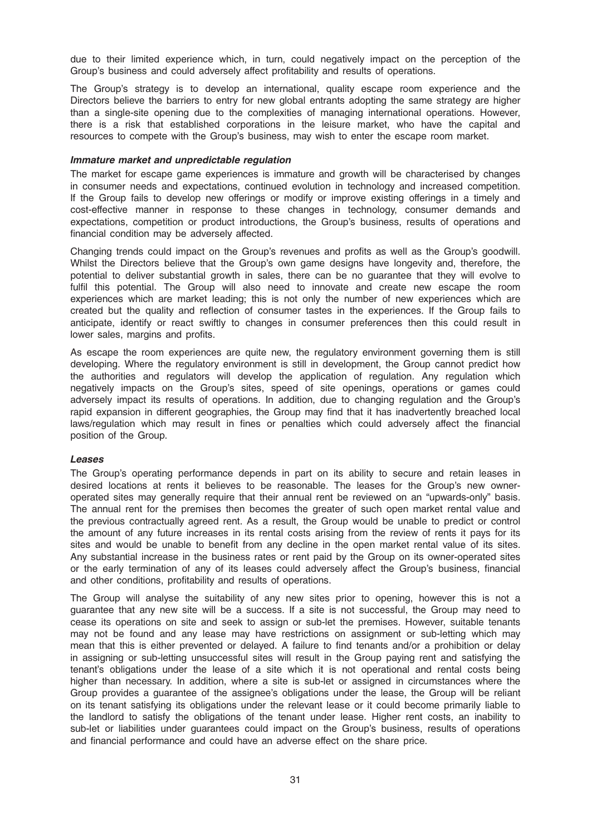due to their limited experience which, in turn, could negatively impact on the perception of the Group's business and could adversely affect profitability and results of operations.

The Group's strategy is to develop an international, quality escape room experience and the Directors believe the barriers to entry for new global entrants adopting the same strategy are higher than a single-site opening due to the complexities of managing international operations. However, there is a risk that established corporations in the leisure market, who have the capital and resources to compete with the Group's business, may wish to enter the escape room market.

#### Immature market and unpredictable regulation

The market for escape game experiences is immature and growth will be characterised by changes in consumer needs and expectations, continued evolution in technology and increased competition. If the Group fails to develop new offerings or modify or improve existing offerings in a timely and cost-effective manner in response to these changes in technology, consumer demands and expectations, competition or product introductions, the Group's business, results of operations and financial condition may be adversely affected.

Changing trends could impact on the Group's revenues and profits as well as the Group's goodwill. Whilst the Directors believe that the Group's own game designs have longevity and, therefore, the potential to deliver substantial growth in sales, there can be no guarantee that they will evolve to fulfil this potential. The Group will also need to innovate and create new escape the room experiences which are market leading; this is not only the number of new experiences which are created but the quality and reflection of consumer tastes in the experiences. If the Group fails to anticipate, identify or react swiftly to changes in consumer preferences then this could result in lower sales, margins and profits.

As escape the room experiences are quite new, the regulatory environment governing them is still developing. Where the regulatory environment is still in development, the Group cannot predict how the authorities and regulators will develop the application of regulation. Any regulation which negatively impacts on the Group's sites, speed of site openings, operations or games could adversely impact its results of operations. In addition, due to changing regulation and the Group's rapid expansion in different geographies, the Group may find that it has inadvertently breached local laws/regulation which may result in fines or penalties which could adversely affect the financial position of the Group.

#### Leases

The Group's operating performance depends in part on its ability to secure and retain leases in desired locations at rents it believes to be reasonable. The leases for the Group's new owneroperated sites may generally require that their annual rent be reviewed on an "upwards-only" basis. The annual rent for the premises then becomes the greater of such open market rental value and the previous contractually agreed rent. As a result, the Group would be unable to predict or control the amount of any future increases in its rental costs arising from the review of rents it pays for its sites and would be unable to benefit from any decline in the open market rental value of its sites. Any substantial increase in the business rates or rent paid by the Group on its owner-operated sites or the early termination of any of its leases could adversely affect the Group's business, financial and other conditions, profitability and results of operations.

The Group will analyse the suitability of any new sites prior to opening, however this is not a guarantee that any new site will be a success. If a site is not successful, the Group may need to cease its operations on site and seek to assign or sub-let the premises. However, suitable tenants may not be found and any lease may have restrictions on assignment or sub-letting which may mean that this is either prevented or delayed. A failure to find tenants and/or a prohibition or delay in assigning or sub-letting unsuccessful sites will result in the Group paying rent and satisfying the tenant's obligations under the lease of a site which it is not operational and rental costs being higher than necessary. In addition, where a site is sub-let or assigned in circumstances where the Group provides a guarantee of the assignee's obligations under the lease, the Group will be reliant on its tenant satisfying its obligations under the relevant lease or it could become primarily liable to the landlord to satisfy the obligations of the tenant under lease. Higher rent costs, an inability to sub-let or liabilities under guarantees could impact on the Group's business, results of operations and financial performance and could have an adverse effect on the share price.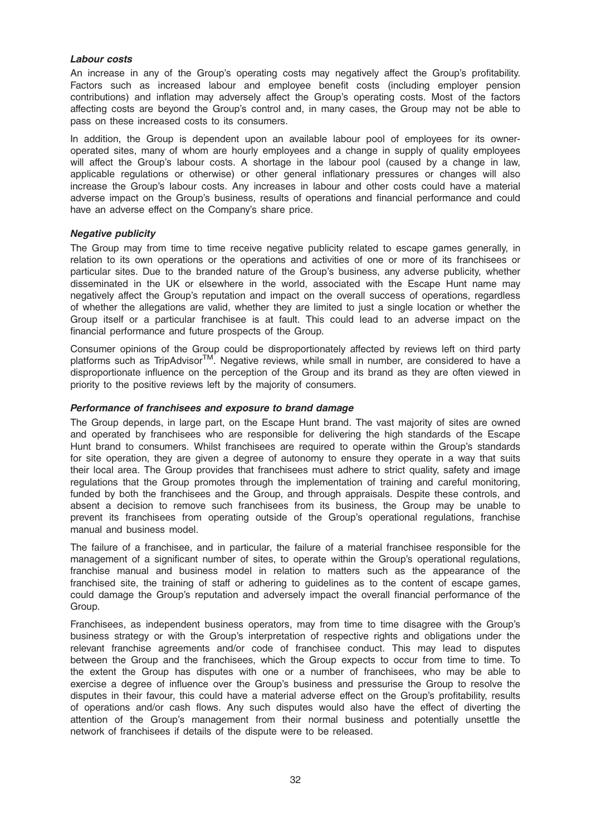#### Labour costs

An increase in any of the Group's operating costs may negatively affect the Group's profitability. Factors such as increased labour and employee benefit costs (including employer pension contributions) and inflation may adversely affect the Group's operating costs. Most of the factors affecting costs are beyond the Group's control and, in many cases, the Group may not be able to pass on these increased costs to its consumers.

In addition, the Group is dependent upon an available labour pool of employees for its owneroperated sites, many of whom are hourly employees and a change in supply of quality employees will affect the Group's labour costs. A shortage in the labour pool (caused by a change in law, applicable regulations or otherwise) or other general inflationary pressures or changes will also increase the Group's labour costs. Any increases in labour and other costs could have a material adverse impact on the Group's business, results of operations and financial performance and could have an adverse effect on the Company's share price.

#### Negative publicity

The Group may from time to time receive negative publicity related to escape games generally, in relation to its own operations or the operations and activities of one or more of its franchisees or particular sites. Due to the branded nature of the Group's business, any adverse publicity, whether disseminated in the UK or elsewhere in the world, associated with the Escape Hunt name may negatively affect the Group's reputation and impact on the overall success of operations, regardless of whether the allegations are valid, whether they are limited to just a single location or whether the Group itself or a particular franchisee is at fault. This could lead to an adverse impact on the financial performance and future prospects of the Group.

Consumer opinions of the Group could be disproportionately affected by reviews left on third party platforms such as TripAdvisor<sup>TM</sup>. Negative reviews, while small in number, are considered to have a disproportionate influence on the perception of the Group and its brand as they are often viewed in priority to the positive reviews left by the majority of consumers.

#### Performance of franchisees and exposure to brand damage

The Group depends, in large part, on the Escape Hunt brand. The vast majority of sites are owned and operated by franchisees who are responsible for delivering the high standards of the Escape Hunt brand to consumers. Whilst franchisees are required to operate within the Group's standards for site operation, they are given a degree of autonomy to ensure they operate in a way that suits their local area. The Group provides that franchisees must adhere to strict quality, safety and image regulations that the Group promotes through the implementation of training and careful monitoring, funded by both the franchisees and the Group, and through appraisals. Despite these controls, and absent a decision to remove such franchisees from its business, the Group may be unable to prevent its franchisees from operating outside of the Group's operational regulations, franchise manual and business model.

The failure of a franchisee, and in particular, the failure of a material franchisee responsible for the management of a significant number of sites, to operate within the Group's operational regulations, franchise manual and business model in relation to matters such as the appearance of the franchised site, the training of staff or adhering to guidelines as to the content of escape games, could damage the Group's reputation and adversely impact the overall financial performance of the Group.

Franchisees, as independent business operators, may from time to time disagree with the Group's business strategy or with the Group's interpretation of respective rights and obligations under the relevant franchise agreements and/or code of franchisee conduct. This may lead to disputes between the Group and the franchisees, which the Group expects to occur from time to time. To the extent the Group has disputes with one or a number of franchisees, who may be able to exercise a degree of influence over the Group's business and pressurise the Group to resolve the disputes in their favour, this could have a material adverse effect on the Group's profitability, results of operations and/or cash flows. Any such disputes would also have the effect of diverting the attention of the Group's management from their normal business and potentially unsettle the network of franchisees if details of the dispute were to be released.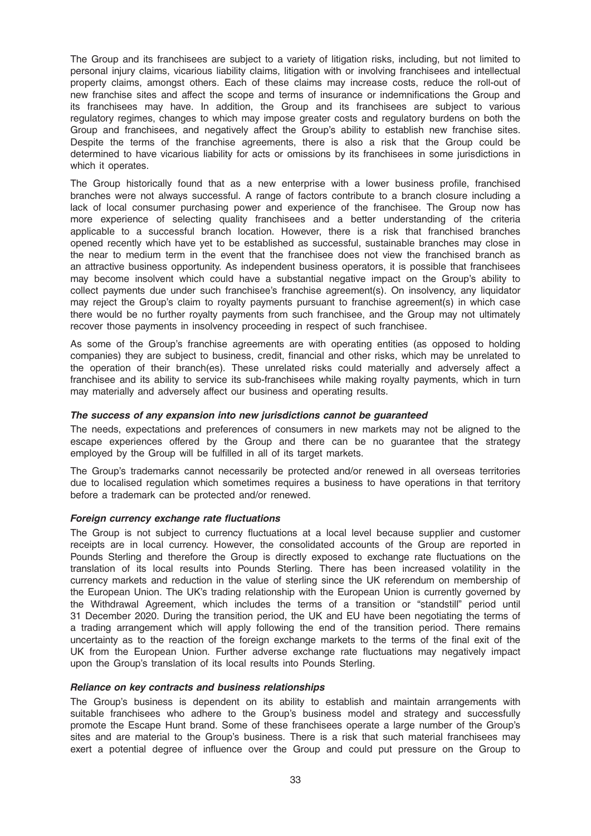The Group and its franchisees are subject to a variety of litigation risks, including, but not limited to personal injury claims, vicarious liability claims, litigation with or involving franchisees and intellectual property claims, amongst others. Each of these claims may increase costs, reduce the roll-out of new franchise sites and affect the scope and terms of insurance or indemnifications the Group and its franchisees may have. In addition, the Group and its franchisees are subject to various regulatory regimes, changes to which may impose greater costs and regulatory burdens on both the Group and franchisees, and negatively affect the Group's ability to establish new franchise sites. Despite the terms of the franchise agreements, there is also a risk that the Group could be determined to have vicarious liability for acts or omissions by its franchisees in some jurisdictions in which it operates.

The Group historically found that as a new enterprise with a lower business profile, franchised branches were not always successful. A range of factors contribute to a branch closure including a lack of local consumer purchasing power and experience of the franchisee. The Group now has more experience of selecting quality franchisees and a better understanding of the criteria applicable to a successful branch location. However, there is a risk that franchised branches opened recently which have yet to be established as successful, sustainable branches may close in the near to medium term in the event that the franchisee does not view the franchised branch as an attractive business opportunity. As independent business operators, it is possible that franchisees may become insolvent which could have a substantial negative impact on the Group's ability to collect payments due under such franchisee's franchise agreement(s). On insolvency, any liquidator may reject the Group's claim to royalty payments pursuant to franchise agreement(s) in which case there would be no further royalty payments from such franchisee, and the Group may not ultimately recover those payments in insolvency proceeding in respect of such franchisee.

As some of the Group's franchise agreements are with operating entities (as opposed to holding companies) they are subject to business, credit, financial and other risks, which may be unrelated to the operation of their branch(es). These unrelated risks could materially and adversely affect a franchisee and its ability to service its sub-franchisees while making royalty payments, which in turn may materially and adversely affect our business and operating results.

#### The success of any expansion into new jurisdictions cannot be guaranteed

The needs, expectations and preferences of consumers in new markets may not be aligned to the escape experiences offered by the Group and there can be no guarantee that the strategy employed by the Group will be fulfilled in all of its target markets.

The Group's trademarks cannot necessarily be protected and/or renewed in all overseas territories due to localised regulation which sometimes requires a business to have operations in that territory before a trademark can be protected and/or renewed.

#### Foreign currency exchange rate fluctuations

The Group is not subject to currency fluctuations at a local level because supplier and customer receipts are in local currency. However, the consolidated accounts of the Group are reported in Pounds Sterling and therefore the Group is directly exposed to exchange rate fluctuations on the translation of its local results into Pounds Sterling. There has been increased volatility in the currency markets and reduction in the value of sterling since the UK referendum on membership of the European Union. The UK's trading relationship with the European Union is currently governed by the Withdrawal Agreement, which includes the terms of a transition or "standstill" period until 31 December 2020. During the transition period, the UK and EU have been negotiating the terms of a trading arrangement which will apply following the end of the transition period. There remains uncertainty as to the reaction of the foreign exchange markets to the terms of the final exit of the UK from the European Union. Further adverse exchange rate fluctuations may negatively impact upon the Group's translation of its local results into Pounds Sterling.

#### Reliance on key contracts and business relationships

The Group's business is dependent on its ability to establish and maintain arrangements with suitable franchisees who adhere to the Group's business model and strategy and successfully promote the Escape Hunt brand. Some of these franchisees operate a large number of the Group's sites and are material to the Group's business. There is a risk that such material franchisees may exert a potential degree of influence over the Group and could put pressure on the Group to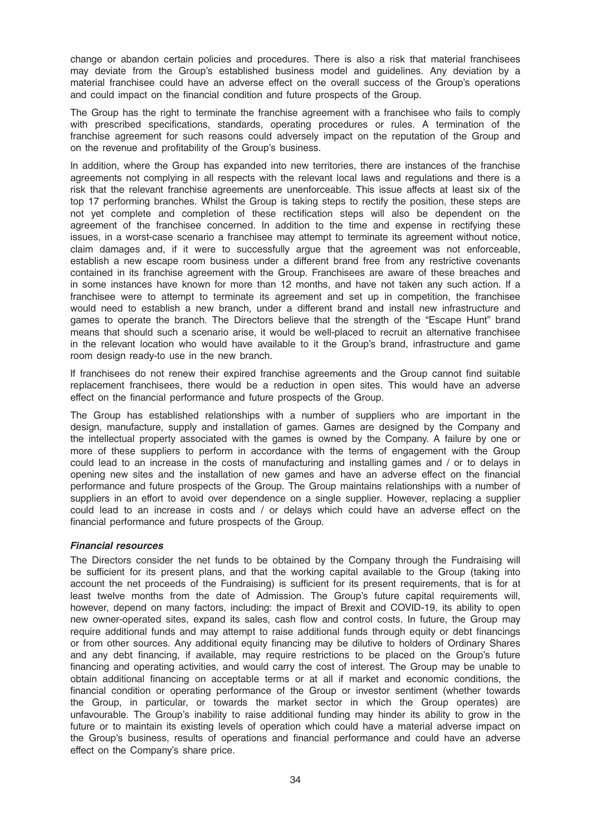change or abandon certain policies and procedures. There is also a risk that material franchisees may deviate from the Group's established business model and guidelines. Any deviation by a material franchisee could have an adverse effect on the overall success of the Group's operations and could impact on the financial condition and future prospects of the Group.

The Group has the right to terminate the franchise agreement with a franchisee who fails to comply with prescribed specifications, standards, operating procedures or rules. A termination of the franchise agreement for such reasons could adversely impact on the reputation of the Group and on the revenue and profitability of the Group's business.

In addition, where the Group has expanded into new territories, there are instances of the franchise agreements not complying in all respects with the relevant local laws and regulations and there is a risk that the relevant franchise agreements are unenforceable. This issue affects at least six of the top 17 performing branches. Whilst the Group is taking steps to rectify the position, these steps are not yet complete and completion of these rectification steps will also be dependent on the agreement of the franchisee concerned. In addition to the time and expense in rectifying these issues, in a worst-case scenario a franchisee may attempt to terminate its agreement without notice, claim damages and, if it were to successfully argue that the agreement was not enforceable, establish a new escape room business under a different brand free from any restrictive covenants contained in its franchise agreement with the Group. Franchisees are aware of these breaches and in some instances have known for more than 12 months, and have not taken any such action. If a franchisee were to attempt to terminate its agreement and set up in competition, the franchisee would need to establish a new branch, under a different brand and install new infrastructure and games to operate the branch. The Directors believe that the strength of the "Escape Hunt" brand means that should such a scenario arise, it would be well-placed to recruit an alternative franchisee in the relevant location who would have available to it the Group's brand, infrastructure and game room design ready-to use in the new branch.

If franchisees do not renew their expired franchise agreements and the Group cannot find suitable replacement franchisees, there would be a reduction in open sites. This would have an adverse effect on the financial performance and future prospects of the Group.

The Group has established relationships with a number of suppliers who are important in the design, manufacture, supply and installation of games. Games are designed by the Company and the intellectual property associated with the games is owned by the Company. A failure by one or more of these suppliers to perform in accordance with the terms of engagement with the Group could lead to an increase in the costs of manufacturing and installing games and / or to delays in opening new sites and the installation of new games and have an adverse effect on the financial performance and future prospects of the Group. The Group maintains relationships with a number of suppliers in an effort to avoid over dependence on a single supplier. However, replacing a supplier could lead to an increase in costs and / or delays which could have an adverse effect on the financial performance and future prospects of the Group.

## Financial resources

The Directors consider the net funds to be obtained by the Company through the Fundraising will be sufficient for its present plans, and that the working capital available to the Group (taking into account the net proceeds of the Fundraising) is sufficient for its present requirements, that is for at least twelve months from the date of Admission. The Group's future capital requirements will, however, depend on many factors, including: the impact of Brexit and COVID-19, its ability to open new owner-operated sites, expand its sales, cash flow and control costs. In future, the Group may require additional funds and may attempt to raise additional funds through equity or debt financings or from other sources. Any additional equity financing may be dilutive to holders of Ordinary Shares and any debt financing, if available, may require restrictions to be placed on the Group's future financing and operating activities, and would carry the cost of interest. The Group may be unable to obtain additional financing on acceptable terms or at all if market and economic conditions, the financial condition or operating performance of the Group or investor sentiment (whether towards the Group, in particular, or towards the market sector in which the Group operates) are unfavourable. The Group's inability to raise additional funding may hinder its ability to grow in the future or to maintain its existing levels of operation which could have a material adverse impact on the Group's business, results of operations and financial performance and could have an adverse effect on the Company's share price.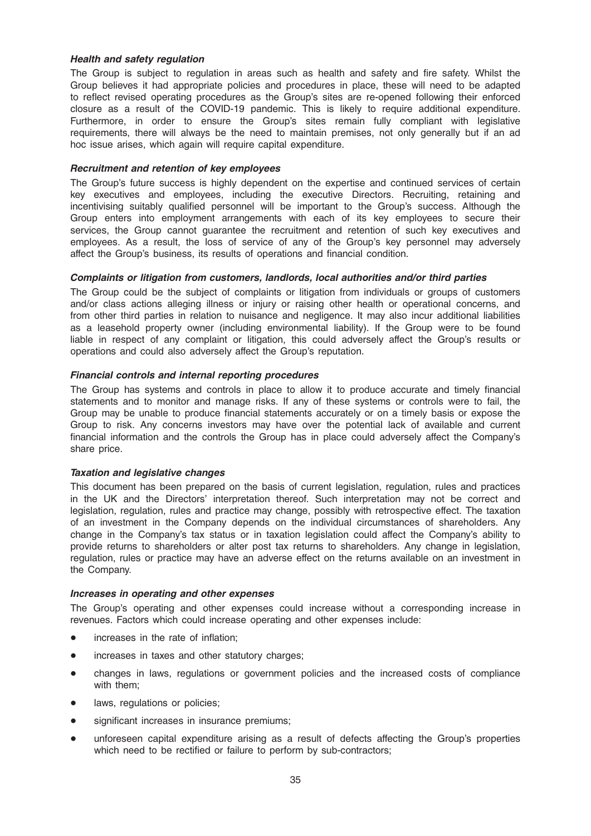## Health and safety regulation

The Group is subject to regulation in areas such as health and safety and fire safety. Whilst the Group believes it had appropriate policies and procedures in place, these will need to be adapted to reflect revised operating procedures as the Group's sites are re-opened following their enforced closure as a result of the COVID-19 pandemic. This is likely to require additional expenditure. Furthermore, in order to ensure the Group's sites remain fully compliant with legislative requirements, there will always be the need to maintain premises, not only generally but if an ad hoc issue arises, which again will require capital expenditure.

#### Recruitment and retention of key employees

The Group's future success is highly dependent on the expertise and continued services of certain key executives and employees, including the executive Directors. Recruiting, retaining and incentivising suitably qualified personnel will be important to the Group's success. Although the Group enters into employment arrangements with each of its key employees to secure their services, the Group cannot guarantee the recruitment and retention of such key executives and employees. As a result, the loss of service of any of the Group's key personnel may adversely affect the Group's business, its results of operations and financial condition.

## Complaints or litigation from customers, landlords, local authorities and/or third parties

The Group could be the subject of complaints or litigation from individuals or groups of customers and/or class actions alleging illness or injury or raising other health or operational concerns, and from other third parties in relation to nuisance and negligence. It may also incur additional liabilities as a leasehold property owner (including environmental liability). If the Group were to be found liable in respect of any complaint or litigation, this could adversely affect the Group's results or operations and could also adversely affect the Group's reputation.

## Financial controls and internal reporting procedures

The Group has systems and controls in place to allow it to produce accurate and timely financial statements and to monitor and manage risks. If any of these systems or controls were to fail, the Group may be unable to produce financial statements accurately or on a timely basis or expose the Group to risk. Any concerns investors may have over the potential lack of available and current financial information and the controls the Group has in place could adversely affect the Company's share price.

#### Taxation and legislative changes

This document has been prepared on the basis of current legislation, regulation, rules and practices in the UK and the Directors' interpretation thereof. Such interpretation may not be correct and legislation, regulation, rules and practice may change, possibly with retrospective effect. The taxation of an investment in the Company depends on the individual circumstances of shareholders. Any change in the Company's tax status or in taxation legislation could affect the Company's ability to provide returns to shareholders or alter post tax returns to shareholders. Any change in legislation, regulation, rules or practice may have an adverse effect on the returns available on an investment in the Company.

#### Increases in operating and other expenses

The Group's operating and other expenses could increase without a corresponding increase in revenues. Factors which could increase operating and other expenses include:

- increases in the rate of inflation:
- increases in taxes and other statutory charges:
- \* changes in laws, regulations or government policies and the increased costs of compliance with them;
- laws, regulations or policies;
- significant increases in insurance premiums;
- unforeseen capital expenditure arising as a result of defects affecting the Group's properties which need to be rectified or failure to perform by sub-contractors;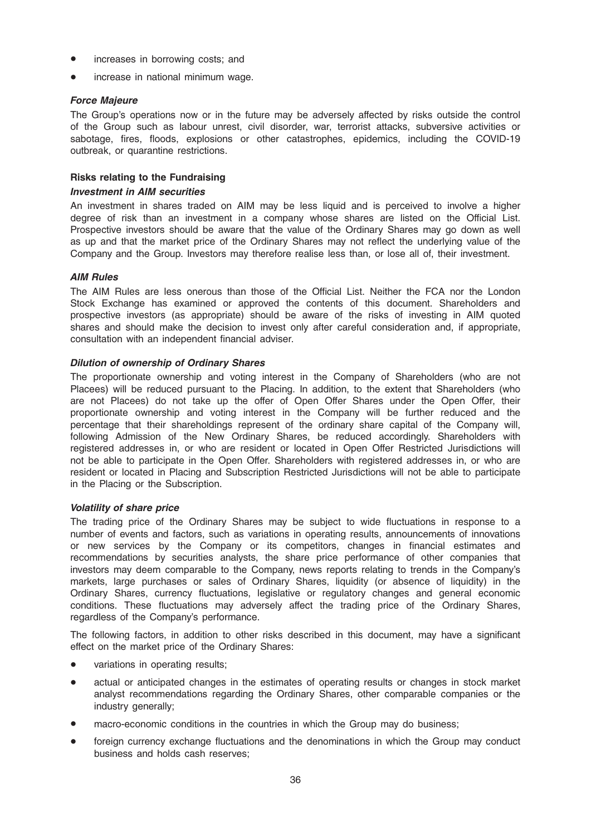- increases in borrowing costs; and
- increase in national minimum wage.

## Force Majeure

The Group's operations now or in the future may be adversely affected by risks outside the control of the Group such as labour unrest, civil disorder, war, terrorist attacks, subversive activities or sabotage, fires, floods, explosions or other catastrophes, epidemics, including the COVID-19 outbreak, or quarantine restrictions.

## Risks relating to the Fundraising

#### Investment in AIM securities

An investment in shares traded on AIM may be less liquid and is perceived to involve a higher degree of risk than an investment in a company whose shares are listed on the Official List. Prospective investors should be aware that the value of the Ordinary Shares may go down as well as up and that the market price of the Ordinary Shares may not reflect the underlying value of the Company and the Group. Investors may therefore realise less than, or lose all of, their investment.

## AIM Rules

The AIM Rules are less onerous than those of the Official List. Neither the FCA nor the London Stock Exchange has examined or approved the contents of this document. Shareholders and prospective investors (as appropriate) should be aware of the risks of investing in AIM quoted shares and should make the decision to invest only after careful consideration and, if appropriate, consultation with an independent financial adviser.

## Dilution of ownership of Ordinary Shares

The proportionate ownership and voting interest in the Company of Shareholders (who are not Placees) will be reduced pursuant to the Placing. In addition, to the extent that Shareholders (who are not Placees) do not take up the offer of Open Offer Shares under the Open Offer, their proportionate ownership and voting interest in the Company will be further reduced and the percentage that their shareholdings represent of the ordinary share capital of the Company will, following Admission of the New Ordinary Shares, be reduced accordingly. Shareholders with registered addresses in, or who are resident or located in Open Offer Restricted Jurisdictions will not be able to participate in the Open Offer. Shareholders with registered addresses in, or who are resident or located in Placing and Subscription Restricted Jurisdictions will not be able to participate in the Placing or the Subscription.

#### Volatility of share price

The trading price of the Ordinary Shares may be subject to wide fluctuations in response to a number of events and factors, such as variations in operating results, announcements of innovations or new services by the Company or its competitors, changes in financial estimates and recommendations by securities analysts, the share price performance of other companies that investors may deem comparable to the Company, news reports relating to trends in the Company's markets, large purchases or sales of Ordinary Shares, liquidity (or absence of liquidity) in the Ordinary Shares, currency fluctuations, legislative or regulatory changes and general economic conditions. These fluctuations may adversely affect the trading price of the Ordinary Shares, regardless of the Company's performance.

The following factors, in addition to other risks described in this document, may have a significant effect on the market price of the Ordinary Shares:

- variations in operating results;
- actual or anticipated changes in the estimates of operating results or changes in stock market analyst recommendations regarding the Ordinary Shares, other comparable companies or the industry generally;
- macro-economic conditions in the countries in which the Group may do business;
- foreign currency exchange fluctuations and the denominations in which the Group may conduct business and holds cash reserves;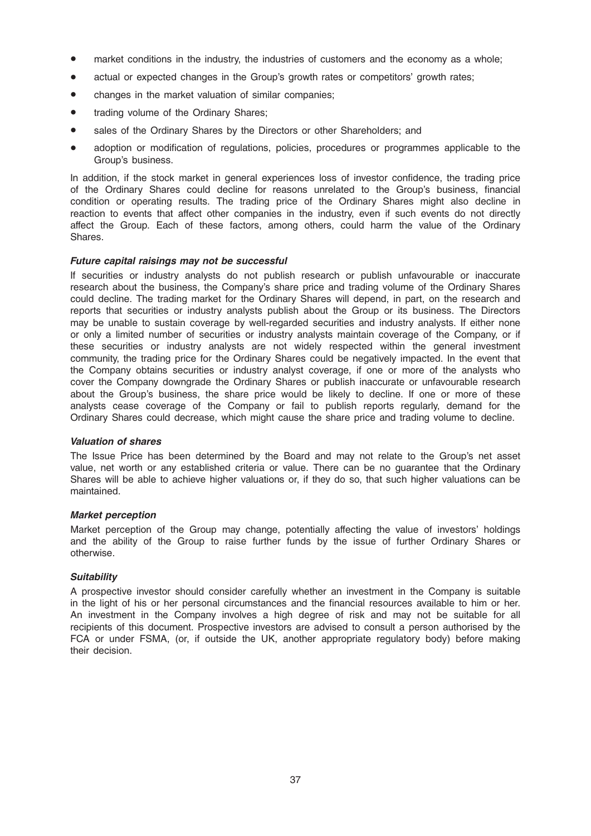- market conditions in the industry, the industries of customers and the economy as a whole;
- actual or expected changes in the Group's growth rates or competitors' growth rates;
- changes in the market valuation of similar companies;
- trading volume of the Ordinary Shares;
- sales of the Ordinary Shares by the Directors or other Shareholders; and
- adoption or modification of regulations, policies, procedures or programmes applicable to the Group's business.

In addition, if the stock market in general experiences loss of investor confidence, the trading price of the Ordinary Shares could decline for reasons unrelated to the Group's business, financial condition or operating results. The trading price of the Ordinary Shares might also decline in reaction to events that affect other companies in the industry, even if such events do not directly affect the Group. Each of these factors, among others, could harm the value of the Ordinary Shares.

#### Future capital raisings may not be successful

If securities or industry analysts do not publish research or publish unfavourable or inaccurate research about the business, the Company's share price and trading volume of the Ordinary Shares could decline. The trading market for the Ordinary Shares will depend, in part, on the research and reports that securities or industry analysts publish about the Group or its business. The Directors may be unable to sustain coverage by well-regarded securities and industry analysts. If either none or only a limited number of securities or industry analysts maintain coverage of the Company, or if these securities or industry analysts are not widely respected within the general investment community, the trading price for the Ordinary Shares could be negatively impacted. In the event that the Company obtains securities or industry analyst coverage, if one or more of the analysts who cover the Company downgrade the Ordinary Shares or publish inaccurate or unfavourable research about the Group's business, the share price would be likely to decline. If one or more of these analysts cease coverage of the Company or fail to publish reports regularly, demand for the Ordinary Shares could decrease, which might cause the share price and trading volume to decline.

#### Valuation of shares

The Issue Price has been determined by the Board and may not relate to the Group's net asset value, net worth or any established criteria or value. There can be no guarantee that the Ordinary Shares will be able to achieve higher valuations or, if they do so, that such higher valuations can be maintained.

#### Market perception

Market perception of the Group may change, potentially affecting the value of investors' holdings and the ability of the Group to raise further funds by the issue of further Ordinary Shares or otherwise.

## **Suitability**

A prospective investor should consider carefully whether an investment in the Company is suitable in the light of his or her personal circumstances and the financial resources available to him or her. An investment in the Company involves a high degree of risk and may not be suitable for all recipients of this document. Prospective investors are advised to consult a person authorised by the FCA or under FSMA, (or, if outside the UK, another appropriate regulatory body) before making their decision.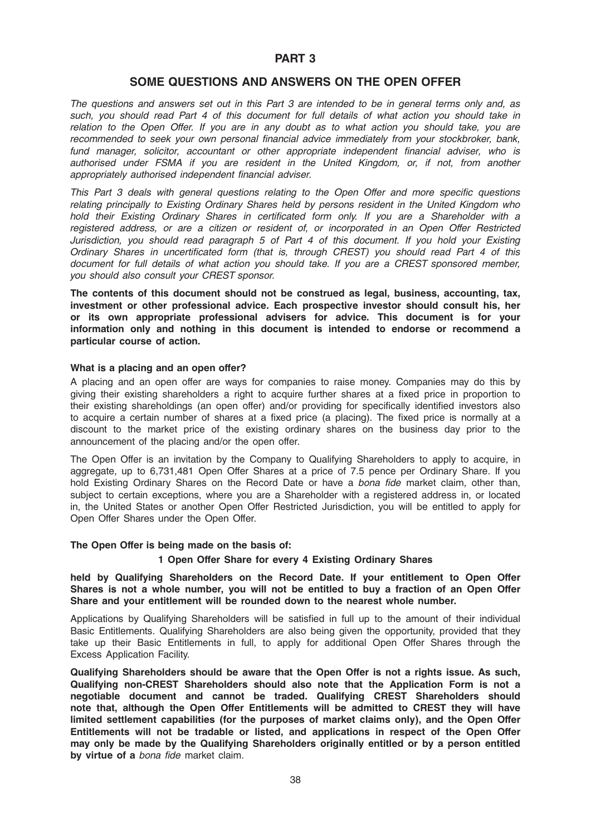## PART 3

## SOME QUESTIONS AND ANSWERS ON THE OPEN OFFER

The questions and answers set out in this Part 3 are intended to be in general terms only and, as such, you should read Part 4 of this document for full details of what action you should take in relation to the Open Offer. If you are in any doubt as to what action you should take, you are recommended to seek your own personal financial advice immediately from your stockbroker, bank, fund manager, solicitor, accountant or other appropriate independent financial adviser, who is authorised under FSMA if you are resident in the United Kingdom, or, if not, from another appropriately authorised independent financial adviser.

This Part 3 deals with general questions relating to the Open Offer and more specific questions relating principally to Existing Ordinary Shares held by persons resident in the United Kingdom who hold their Existing Ordinary Shares in certificated form only. If you are a Shareholder with a registered address, or are a citizen or resident of, or incorporated in an Open Offer Restricted Jurisdiction, you should read paragraph 5 of Part 4 of this document. If you hold your Existing Ordinary Shares in uncertificated form (that is, through CREST) you should read Part 4 of this document for full details of what action you should take. If you are a CREST sponsored member, you should also consult your CREST sponsor.

The contents of this document should not be construed as legal, business, accounting, tax, investment or other professional advice. Each prospective investor should consult his, her or its own appropriate professional advisers for advice. This document is for your information only and nothing in this document is intended to endorse or recommend a particular course of action.

## What is a placing and an open offer?

A placing and an open offer are ways for companies to raise money. Companies may do this by giving their existing shareholders a right to acquire further shares at a fixed price in proportion to their existing shareholdings (an open offer) and/or providing for specifically identified investors also to acquire a certain number of shares at a fixed price (a placing). The fixed price is normally at a discount to the market price of the existing ordinary shares on the business day prior to the announcement of the placing and/or the open offer.

The Open Offer is an invitation by the Company to Qualifying Shareholders to apply to acquire, in aggregate, up to 6,731,481 Open Offer Shares at a price of 7.5 pence per Ordinary Share. If you hold Existing Ordinary Shares on the Record Date or have a *bona fide* market claim, other than, subject to certain exceptions, where you are a Shareholder with a registered address in, or located in, the United States or another Open Offer Restricted Jurisdiction, you will be entitled to apply for Open Offer Shares under the Open Offer.

#### The Open Offer is being made on the basis of:

## 1 Open Offer Share for every 4 Existing Ordinary Shares

#### held by Qualifying Shareholders on the Record Date. If your entitlement to Open Offer Shares is not a whole number, you will not be entitled to buy a fraction of an Open Offer Share and your entitlement will be rounded down to the nearest whole number.

Applications by Qualifying Shareholders will be satisfied in full up to the amount of their individual Basic Entitlements. Qualifying Shareholders are also being given the opportunity, provided that they take up their Basic Entitlements in full, to apply for additional Open Offer Shares through the Excess Application Facility.

Qualifying Shareholders should be aware that the Open Offer is not a rights issue. As such, Qualifying non-CREST Shareholders should also note that the Application Form is not a negotiable document and cannot be traded. Qualifying CREST Shareholders should note that, although the Open Offer Entitlements will be admitted to CREST they will have limited settlement capabilities (for the purposes of market claims only), and the Open Offer Entitlements will not be tradable or listed, and applications in respect of the Open Offer may only be made by the Qualifying Shareholders originally entitled or by a person entitled by virtue of a bona fide market claim.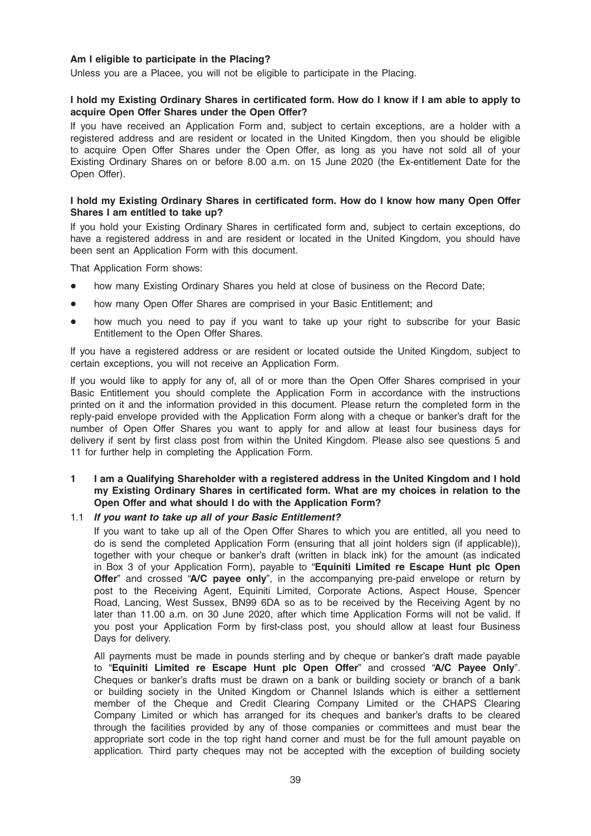## Am I eligible to participate in the Placing?

Unless you are a Placee, you will not be eligible to participate in the Placing.

## I hold my Existing Ordinary Shares in certificated form. How do I know if I am able to apply to acquire Open Offer Shares under the Open Offer?

If you have received an Application Form and, subject to certain exceptions, are a holder with a registered address and are resident or located in the United Kingdom, then you should be eligible to acquire Open Offer Shares under the Open Offer, as long as you have not sold all of your Existing Ordinary Shares on or before 8.00 a.m. on 15 June 2020 (the Ex-entitlement Date for the Open Offer).

#### I hold my Existing Ordinary Shares in certificated form. How do I know how many Open Offer Shares I am entitled to take up?

If you hold your Existing Ordinary Shares in certificated form and, subject to certain exceptions, do have a registered address in and are resident or located in the United Kingdom, you should have been sent an Application Form with this document.

That Application Form shows:

- how many Existing Ordinary Shares you held at close of business on the Record Date;
- how many Open Offer Shares are comprised in your Basic Entitlement; and
- how much you need to pay if you want to take up your right to subscribe for your Basic Entitlement to the Open Offer Shares.

If you have a registered address or are resident or located outside the United Kingdom, subject to certain exceptions, you will not receive an Application Form.

If you would like to apply for any of, all of or more than the Open Offer Shares comprised in your Basic Entitlement you should complete the Application Form in accordance with the instructions printed on it and the information provided in this document. Please return the completed form in the reply-paid envelope provided with the Application Form along with a cheque or banker's draft for the number of Open Offer Shares you want to apply for and allow at least four business days for delivery if sent by first class post from within the United Kingdom. Please also see questions 5 and 11 for further help in completing the Application Form.

## 1 I am a Qualifying Shareholder with a registered address in the United Kingdom and I hold my Existing Ordinary Shares in certificated form. What are my choices in relation to the Open Offer and what should I do with the Application Form?

## 1.1 If you want to take up all of your Basic Entitlement?

If you want to take up all of the Open Offer Shares to which you are entitled, all you need to do is send the completed Application Form (ensuring that all joint holders sign (if applicable)), together with your cheque or banker's draft (written in black ink) for the amount (as indicated in Box 3 of your Application Form), payable to "Equiniti Limited re Escape Hunt plc Open Offer" and crossed "A/C payee only", in the accompanying pre-paid envelope or return by post to the Receiving Agent, Equiniti Limited, Corporate Actions, Aspect House, Spencer Road, Lancing, West Sussex, BN99 6DA so as to be received by the Receiving Agent by no later than 11.00 a.m. on 30 June 2020, after which time Application Forms will not be valid. If you post your Application Form by first-class post, you should allow at least four Business Days for delivery.

All payments must be made in pounds sterling and by cheque or banker's draft made payable to "Equiniti Limited re Escape Hunt plc Open Offer" and crossed "A/C Payee Only". Cheques or banker's drafts must be drawn on a bank or building society or branch of a bank or building society in the United Kingdom or Channel Islands which is either a settlement member of the Cheque and Credit Clearing Company Limited or the CHAPS Clearing Company Limited or which has arranged for its cheques and banker's drafts to be cleared through the facilities provided by any of those companies or committees and must bear the appropriate sort code in the top right hand corner and must be for the full amount payable on application. Third party cheques may not be accepted with the exception of building society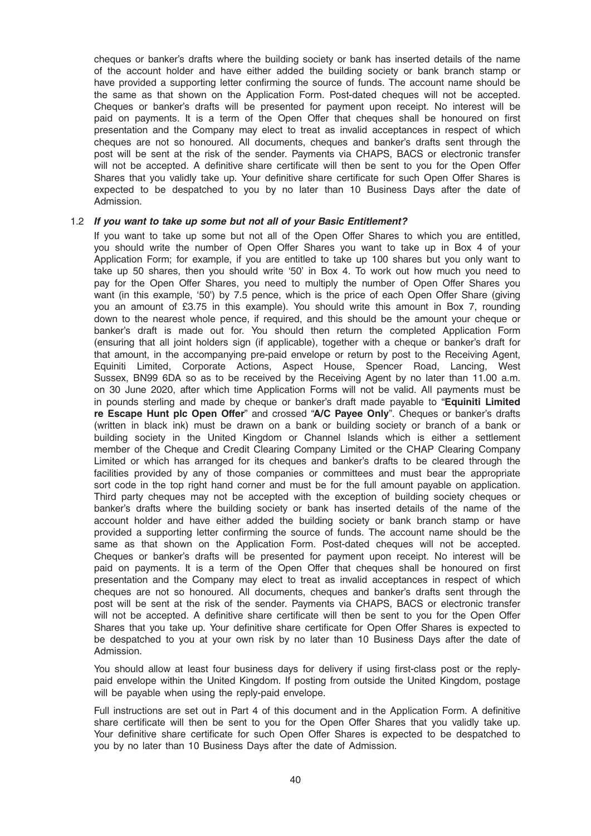cheques or banker's drafts where the building society or bank has inserted details of the name of the account holder and have either added the building society or bank branch stamp or have provided a supporting letter confirming the source of funds. The account name should be the same as that shown on the Application Form. Post-dated cheques will not be accepted. Cheques or banker's drafts will be presented for payment upon receipt. No interest will be paid on payments. It is a term of the Open Offer that cheques shall be honoured on first presentation and the Company may elect to treat as invalid acceptances in respect of which cheques are not so honoured. All documents, cheques and banker's drafts sent through the post will be sent at the risk of the sender. Payments via CHAPS, BACS or electronic transfer will not be accepted. A definitive share certificate will then be sent to you for the Open Offer Shares that you validly take up. Your definitive share certificate for such Open Offer Shares is expected to be despatched to you by no later than 10 Business Days after the date of Admission.

#### 1.2 If you want to take up some but not all of your Basic Entitlement?

If you want to take up some but not all of the Open Offer Shares to which you are entitled, you should write the number of Open Offer Shares you want to take up in Box 4 of your Application Form; for example, if you are entitled to take up 100 shares but you only want to take up 50 shares, then you should write '50' in Box 4. To work out how much you need to pay for the Open Offer Shares, you need to multiply the number of Open Offer Shares you want (in this example, '50') by 7.5 pence, which is the price of each Open Offer Share (giving you an amount of £3.75 in this example). You should write this amount in Box 7, rounding down to the nearest whole pence, if required, and this should be the amount your cheque or banker's draft is made out for. You should then return the completed Application Form (ensuring that all joint holders sign (if applicable), together with a cheque or banker's draft for that amount, in the accompanying pre-paid envelope or return by post to the Receiving Agent, Equiniti Limited, Corporate Actions, Aspect House, Spencer Road, Lancing, West Sussex, BN99 6DA so as to be received by the Receiving Agent by no later than 11.00 a.m. on 30 June 2020, after which time Application Forms will not be valid. All payments must be in pounds sterling and made by cheque or banker's draft made payable to "Equiniti Limited re Escape Hunt plc Open Offer" and crossed "A/C Payee Only". Cheques or banker's drafts (written in black ink) must be drawn on a bank or building society or branch of a bank or building society in the United Kingdom or Channel Islands which is either a settlement member of the Cheque and Credit Clearing Company Limited or the CHAP Clearing Company Limited or which has arranged for its cheques and banker's drafts to be cleared through the facilities provided by any of those companies or committees and must bear the appropriate sort code in the top right hand corner and must be for the full amount payable on application. Third party cheques may not be accepted with the exception of building society cheques or banker's drafts where the building society or bank has inserted details of the name of the account holder and have either added the building society or bank branch stamp or have provided a supporting letter confirming the source of funds. The account name should be the same as that shown on the Application Form. Post-dated cheques will not be accepted. Cheques or banker's drafts will be presented for payment upon receipt. No interest will be paid on payments. It is a term of the Open Offer that cheques shall be honoured on first presentation and the Company may elect to treat as invalid acceptances in respect of which cheques are not so honoured. All documents, cheques and banker's drafts sent through the post will be sent at the risk of the sender. Payments via CHAPS, BACS or electronic transfer will not be accepted. A definitive share certificate will then be sent to you for the Open Offer Shares that you take up. Your definitive share certificate for Open Offer Shares is expected to be despatched to you at your own risk by no later than 10 Business Days after the date of Admission.

You should allow at least four business days for delivery if using first-class post or the replypaid envelope within the United Kingdom. If posting from outside the United Kingdom, postage will be payable when using the reply-paid envelope.

Full instructions are set out in Part 4 of this document and in the Application Form. A definitive share certificate will then be sent to you for the Open Offer Shares that you validly take up. Your definitive share certificate for such Open Offer Shares is expected to be despatched to you by no later than 10 Business Days after the date of Admission.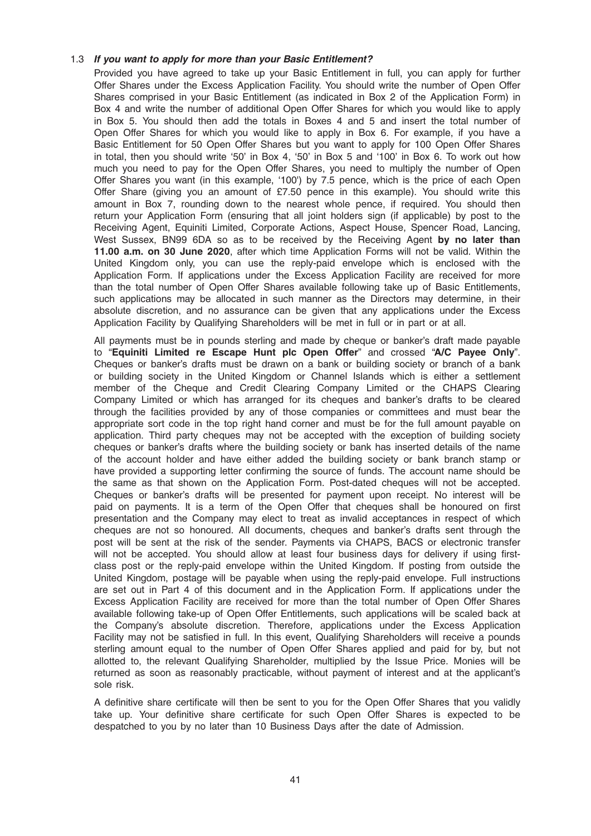## 1.3 If you want to apply for more than your Basic Entitlement?

Provided you have agreed to take up your Basic Entitlement in full, you can apply for further Offer Shares under the Excess Application Facility. You should write the number of Open Offer Shares comprised in your Basic Entitlement (as indicated in Box 2 of the Application Form) in Box 4 and write the number of additional Open Offer Shares for which you would like to apply in Box 5. You should then add the totals in Boxes 4 and 5 and insert the total number of Open Offer Shares for which you would like to apply in Box 6. For example, if you have a Basic Entitlement for 50 Open Offer Shares but you want to apply for 100 Open Offer Shares in total, then you should write '50' in Box 4, '50' in Box 5 and '100' in Box 6. To work out how much you need to pay for the Open Offer Shares, you need to multiply the number of Open Offer Shares you want (in this example, '100') by 7.5 pence, which is the price of each Open Offer Share (giving you an amount of £7.50 pence in this example). You should write this amount in Box 7, rounding down to the nearest whole pence, if required. You should then return your Application Form (ensuring that all joint holders sign (if applicable) by post to the Receiving Agent, Equiniti Limited, Corporate Actions, Aspect House, Spencer Road, Lancing, West Sussex, BN99 6DA so as to be received by the Receiving Agent by no later than 11.00 a.m. on 30 June 2020, after which time Application Forms will not be valid. Within the United Kingdom only, you can use the reply-paid envelope which is enclosed with the Application Form. If applications under the Excess Application Facility are received for more than the total number of Open Offer Shares available following take up of Basic Entitlements, such applications may be allocated in such manner as the Directors may determine, in their absolute discretion, and no assurance can be given that any applications under the Excess Application Facility by Qualifying Shareholders will be met in full or in part or at all.

All payments must be in pounds sterling and made by cheque or banker's draft made payable to "Equiniti Limited re Escape Hunt plc Open Offer" and crossed "A/C Payee Only". Cheques or banker's drafts must be drawn on a bank or building society or branch of a bank or building society in the United Kingdom or Channel Islands which is either a settlement member of the Cheque and Credit Clearing Company Limited or the CHAPS Clearing Company Limited or which has arranged for its cheques and banker's drafts to be cleared through the facilities provided by any of those companies or committees and must bear the appropriate sort code in the top right hand corner and must be for the full amount payable on application. Third party cheques may not be accepted with the exception of building society cheques or banker's drafts where the building society or bank has inserted details of the name of the account holder and have either added the building society or bank branch stamp or have provided a supporting letter confirming the source of funds. The account name should be the same as that shown on the Application Form. Post-dated cheques will not be accepted. Cheques or banker's drafts will be presented for payment upon receipt. No interest will be paid on payments. It is a term of the Open Offer that cheques shall be honoured on first presentation and the Company may elect to treat as invalid acceptances in respect of which cheques are not so honoured. All documents, cheques and banker's drafts sent through the post will be sent at the risk of the sender. Payments via CHAPS, BACS or electronic transfer will not be accepted. You should allow at least four business days for delivery if using firstclass post or the reply-paid envelope within the United Kingdom. If posting from outside the United Kingdom, postage will be payable when using the reply-paid envelope. Full instructions are set out in Part 4 of this document and in the Application Form. If applications under the Excess Application Facility are received for more than the total number of Open Offer Shares available following take-up of Open Offer Entitlements, such applications will be scaled back at the Company's absolute discretion. Therefore, applications under the Excess Application Facility may not be satisfied in full. In this event, Qualifying Shareholders will receive a pounds sterling amount equal to the number of Open Offer Shares applied and paid for by, but not allotted to, the relevant Qualifying Shareholder, multiplied by the Issue Price. Monies will be returned as soon as reasonably practicable, without payment of interest and at the applicant's sole risk.

A definitive share certificate will then be sent to you for the Open Offer Shares that you validly take up. Your definitive share certificate for such Open Offer Shares is expected to be despatched to you by no later than 10 Business Days after the date of Admission.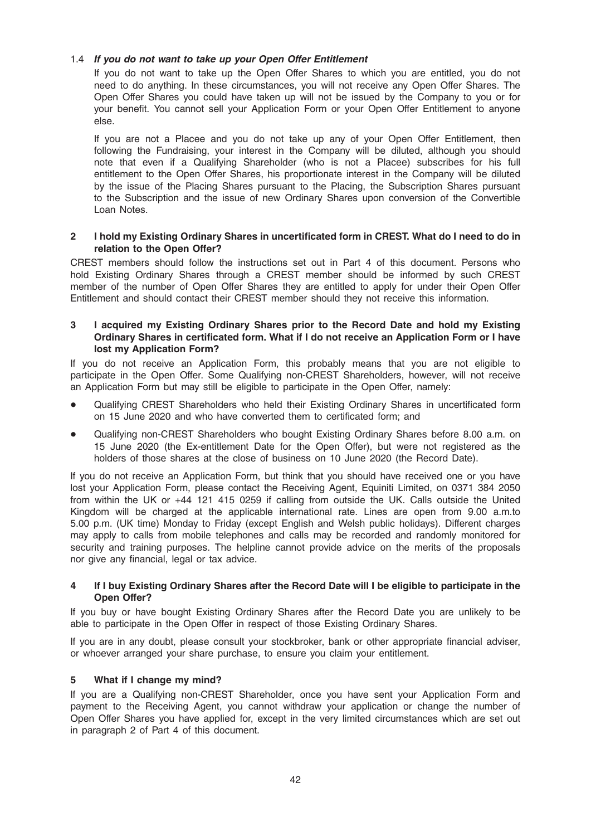## 1.4 If you do not want to take up your Open Offer Entitlement

If you do not want to take up the Open Offer Shares to which you are entitled, you do not need to do anything. In these circumstances, you will not receive any Open Offer Shares. The Open Offer Shares you could have taken up will not be issued by the Company to you or for your benefit. You cannot sell your Application Form or your Open Offer Entitlement to anyone else.

If you are not a Placee and you do not take up any of your Open Offer Entitlement, then following the Fundraising, your interest in the Company will be diluted, although you should note that even if a Qualifying Shareholder (who is not a Placee) subscribes for his full entitlement to the Open Offer Shares, his proportionate interest in the Company will be diluted by the issue of the Placing Shares pursuant to the Placing, the Subscription Shares pursuant to the Subscription and the issue of new Ordinary Shares upon conversion of the Convertible Loan Notes.

## 2 I hold my Existing Ordinary Shares in uncertificated form in CREST. What do I need to do in relation to the Open Offer?

CREST members should follow the instructions set out in Part 4 of this document. Persons who hold Existing Ordinary Shares through a CREST member should be informed by such CREST member of the number of Open Offer Shares they are entitled to apply for under their Open Offer Entitlement and should contact their CREST member should they not receive this information.

## 3 I acquired my Existing Ordinary Shares prior to the Record Date and hold my Existing Ordinary Shares in certificated form. What if I do not receive an Application Form or I have lost my Application Form?

If you do not receive an Application Form, this probably means that you are not eligible to participate in the Open Offer. Some Qualifying non-CREST Shareholders, however, will not receive an Application Form but may still be eligible to participate in the Open Offer, namely:

- Qualifying CREST Shareholders who held their Existing Ordinary Shares in uncertificated form on 15 June 2020 and who have converted them to certificated form; and
- Qualifying non-CREST Shareholders who bought Existing Ordinary Shares before 8.00 a.m. on 15 June 2020 (the Ex-entitlement Date for the Open Offer), but were not registered as the holders of those shares at the close of business on 10 June 2020 (the Record Date).

If you do not receive an Application Form, but think that you should have received one or you have lost your Application Form, please contact the Receiving Agent, Equiniti Limited, on 0371 384 2050 from within the UK or +44 121 415 0259 if calling from outside the UK. Calls outside the United Kingdom will be charged at the applicable international rate. Lines are open from 9.00 a.m.to 5.00 p.m. (UK time) Monday to Friday (except English and Welsh public holidays). Different charges may apply to calls from mobile telephones and calls may be recorded and randomly monitored for security and training purposes. The helpline cannot provide advice on the merits of the proposals nor give any financial, legal or tax advice.

## 4 If I buy Existing Ordinary Shares after the Record Date will I be eligible to participate in the Open Offer?

If you buy or have bought Existing Ordinary Shares after the Record Date you are unlikely to be able to participate in the Open Offer in respect of those Existing Ordinary Shares.

If you are in any doubt, please consult your stockbroker, bank or other appropriate financial adviser, or whoever arranged your share purchase, to ensure you claim your entitlement.

## 5 What if I change my mind?

If you are a Qualifying non-CREST Shareholder, once you have sent your Application Form and payment to the Receiving Agent, you cannot withdraw your application or change the number of Open Offer Shares you have applied for, except in the very limited circumstances which are set out in paragraph 2 of Part 4 of this document.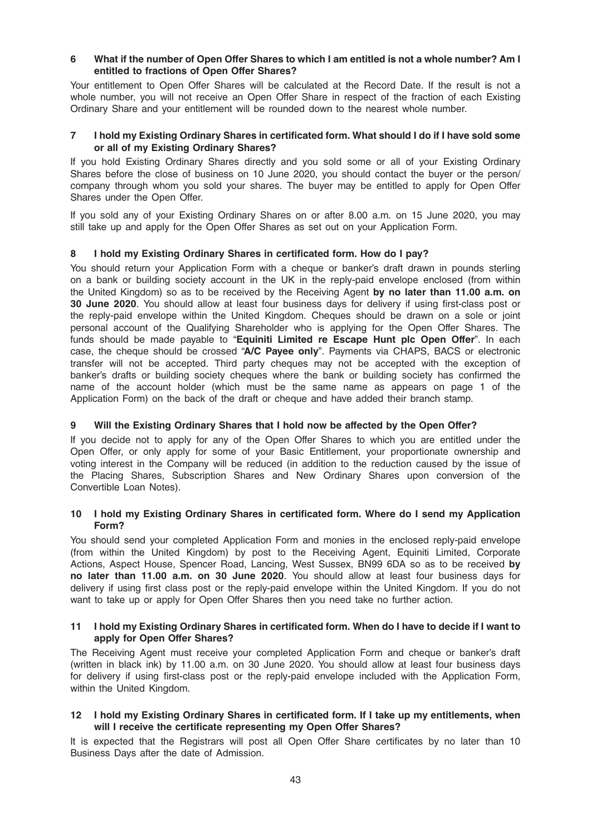## 6 What if the number of Open Offer Shares to which I am entitled is not a whole number? Am I entitled to fractions of Open Offer Shares?

Your entitlement to Open Offer Shares will be calculated at the Record Date. If the result is not a whole number, you will not receive an Open Offer Share in respect of the fraction of each Existing Ordinary Share and your entitlement will be rounded down to the nearest whole number.

## 7 I hold my Existing Ordinary Shares in certificated form. What should I do if I have sold some or all of my Existing Ordinary Shares?

If you hold Existing Ordinary Shares directly and you sold some or all of your Existing Ordinary Shares before the close of business on 10 June 2020, you should contact the buyer or the person/ company through whom you sold your shares. The buyer may be entitled to apply for Open Offer Shares under the Open Offer.

If you sold any of your Existing Ordinary Shares on or after 8.00 a.m. on 15 June 2020, you may still take up and apply for the Open Offer Shares as set out on your Application Form.

## 8 I hold my Existing Ordinary Shares in certificated form. How do I pay?

You should return your Application Form with a cheque or banker's draft drawn in pounds sterling on a bank or building society account in the UK in the reply-paid envelope enclosed (from within the United Kingdom) so as to be received by the Receiving Agent by no later than 11.00 a.m. on 30 June 2020. You should allow at least four business days for delivery if using first-class post or the reply-paid envelope within the United Kingdom. Cheques should be drawn on a sole or joint personal account of the Qualifying Shareholder who is applying for the Open Offer Shares. The funds should be made payable to "Equiniti Limited re Escape Hunt plc Open Offer". In each case, the cheque should be crossed "A/C Payee only". Payments via CHAPS, BACS or electronic transfer will not be accepted. Third party cheques may not be accepted with the exception of banker's drafts or building society cheques where the bank or building society has confirmed the name of the account holder (which must be the same name as appears on page 1 of the Application Form) on the back of the draft or cheque and have added their branch stamp.

## 9 Will the Existing Ordinary Shares that I hold now be affected by the Open Offer?

If you decide not to apply for any of the Open Offer Shares to which you are entitled under the Open Offer, or only apply for some of your Basic Entitlement, your proportionate ownership and voting interest in the Company will be reduced (in addition to the reduction caused by the issue of the Placing Shares, Subscription Shares and New Ordinary Shares upon conversion of the Convertible Loan Notes).

#### 10 I hold my Existing Ordinary Shares in certificated form. Where do I send my Application Form?

You should send your completed Application Form and monies in the enclosed reply-paid envelope (from within the United Kingdom) by post to the Receiving Agent, Equiniti Limited, Corporate Actions, Aspect House, Spencer Road, Lancing, West Sussex, BN99 6DA so as to be received by no later than 11.00 a.m. on 30 June 2020. You should allow at least four business days for delivery if using first class post or the reply-paid envelope within the United Kingdom. If you do not want to take up or apply for Open Offer Shares then you need take no further action.

## 11 I hold my Existing Ordinary Shares in certificated form. When do I have to decide if I want to apply for Open Offer Shares?

The Receiving Agent must receive your completed Application Form and cheque or banker's draft (written in black ink) by 11.00 a.m. on 30 June 2020. You should allow at least four business days for delivery if using first-class post or the reply-paid envelope included with the Application Form, within the United Kingdom.

## 12 I hold my Existing Ordinary Shares in certificated form. If I take up my entitlements, when will I receive the certificate representing my Open Offer Shares?

It is expected that the Registrars will post all Open Offer Share certificates by no later than 10 Business Days after the date of Admission.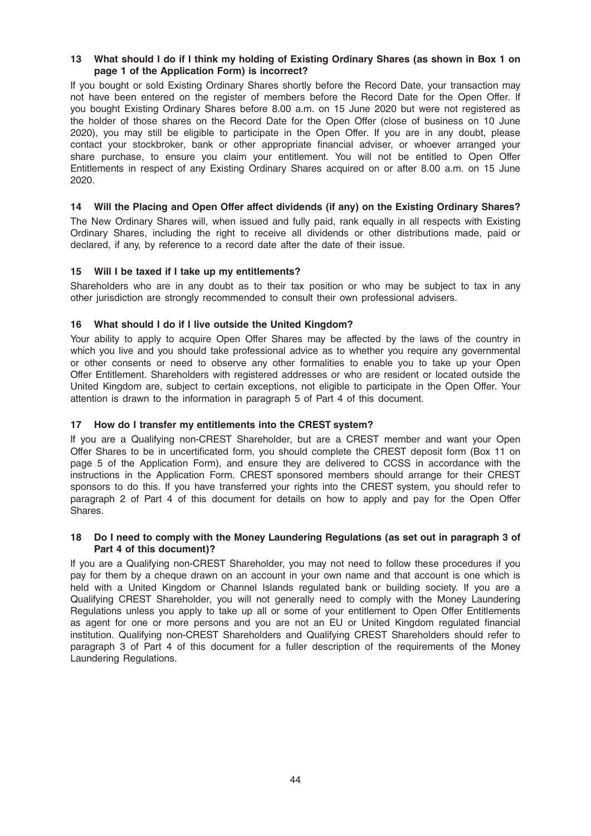## 13 What should I do if I think my holding of Existing Ordinary Shares (as shown in Box 1 on page 1 of the Application Form) is incorrect?

If you bought or sold Existing Ordinary Shares shortly before the Record Date, your transaction may not have been entered on the register of members before the Record Date for the Open Offer. If you bought Existing Ordinary Shares before 8.00 a.m. on 15 June 2020 but were not registered as the holder of those shares on the Record Date for the Open Offer (close of business on 10 June 2020), you may still be eligible to participate in the Open Offer. If you are in any doubt, please contact your stockbroker, bank or other appropriate financial adviser, or whoever arranged your share purchase, to ensure you claim your entitlement. You will not be entitled to Open Offer Entitlements in respect of any Existing Ordinary Shares acquired on or after 8.00 a.m. on 15 June 2020.

## 14 Will the Placing and Open Offer affect dividends (if any) on the Existing Ordinary Shares?

The New Ordinary Shares will, when issued and fully paid, rank equally in all respects with Existing Ordinary Shares, including the right to receive all dividends or other distributions made, paid or declared, if any, by reference to a record date after the date of their issue.

## 15 Will I be taxed if I take up my entitlements?

Shareholders who are in any doubt as to their tax position or who may be subject to tax in any other jurisdiction are strongly recommended to consult their own professional advisers.

## 16 What should I do if I live outside the United Kingdom?

Your ability to apply to acquire Open Offer Shares may be affected by the laws of the country in which you live and you should take professional advice as to whether you require any governmental or other consents or need to observe any other formalities to enable you to take up your Open Offer Entitlement. Shareholders with registered addresses or who are resident or located outside the United Kingdom are, subject to certain exceptions, not eligible to participate in the Open Offer. Your attention is drawn to the information in paragraph 5 of Part 4 of this document.

## 17 How do I transfer my entitlements into the CREST system?

If you are a Qualifying non-CREST Shareholder, but are a CREST member and want your Open Offer Shares to be in uncertificated form, you should complete the CREST deposit form (Box 11 on page 5 of the Application Form), and ensure they are delivered to CCSS in accordance with the instructions in the Application Form. CREST sponsored members should arrange for their CREST sponsors to do this. If you have transferred your rights into the CREST system, you should refer to paragraph 2 of Part 4 of this document for details on how to apply and pay for the Open Offer Shares.

#### 18 Do I need to comply with the Money Laundering Regulations (as set out in paragraph 3 of Part 4 of this document)?

If you are a Qualifying non-CREST Shareholder, you may not need to follow these procedures if you pay for them by a cheque drawn on an account in your own name and that account is one which is held with a United Kingdom or Channel Islands regulated bank or building society. If you are a Qualifying CREST Shareholder, you will not generally need to comply with the Money Laundering Regulations unless you apply to take up all or some of your entitlement to Open Offer Entitlements as agent for one or more persons and you are not an EU or United Kingdom regulated financial institution. Qualifying non-CREST Shareholders and Qualifying CREST Shareholders should refer to paragraph 3 of Part 4 of this document for a fuller description of the requirements of the Money Laundering Regulations.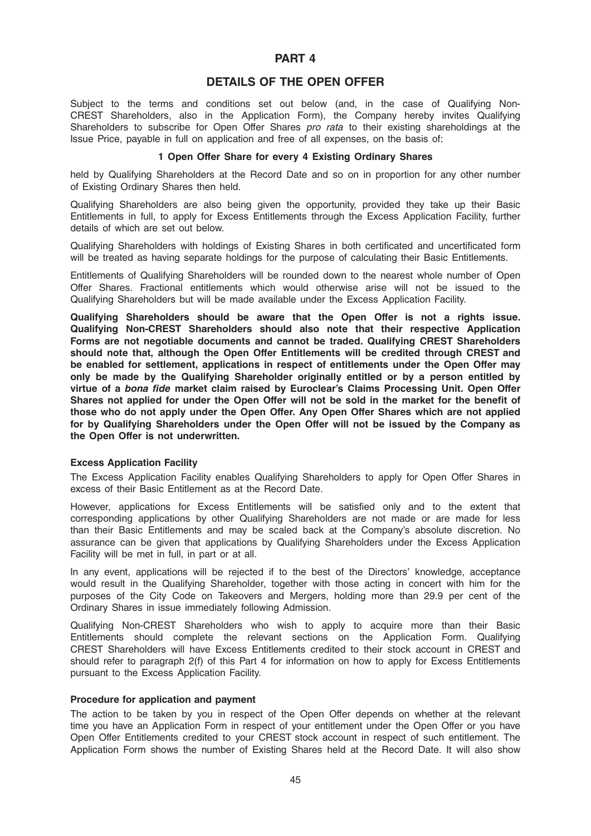## PART 4

## DETAILS OF THE OPEN OFFER

Subject to the terms and conditions set out below (and, in the case of Qualifying Non-CREST Shareholders, also in the Application Form), the Company hereby invites Qualifying Shareholders to subscribe for Open Offer Shares pro rata to their existing shareholdings at the Issue Price, payable in full on application and free of all expenses, on the basis of:

## 1 Open Offer Share for every 4 Existing Ordinary Shares

held by Qualifying Shareholders at the Record Date and so on in proportion for any other number of Existing Ordinary Shares then held.

Qualifying Shareholders are also being given the opportunity, provided they take up their Basic Entitlements in full, to apply for Excess Entitlements through the Excess Application Facility, further details of which are set out below.

Qualifying Shareholders with holdings of Existing Shares in both certificated and uncertificated form will be treated as having separate holdings for the purpose of calculating their Basic Entitlements.

Entitlements of Qualifying Shareholders will be rounded down to the nearest whole number of Open Offer Shares. Fractional entitlements which would otherwise arise will not be issued to the Qualifying Shareholders but will be made available under the Excess Application Facility.

Qualifying Shareholders should be aware that the Open Offer is not a rights issue. Qualifying Non-CREST Shareholders should also note that their respective Application Forms are not negotiable documents and cannot be traded. Qualifying CREST Shareholders should note that, although the Open Offer Entitlements will be credited through CREST and be enabled for settlement, applications in respect of entitlements under the Open Offer may only be made by the Qualifying Shareholder originally entitled or by a person entitled by virtue of a bona fide market claim raised by Euroclear's Claims Processing Unit. Open Offer Shares not applied for under the Open Offer will not be sold in the market for the benefit of those who do not apply under the Open Offer. Any Open Offer Shares which are not applied for by Qualifying Shareholders under the Open Offer will not be issued by the Company as the Open Offer is not underwritten.

#### Excess Application Facility

The Excess Application Facility enables Qualifying Shareholders to apply for Open Offer Shares in excess of their Basic Entitlement as at the Record Date.

However, applications for Excess Entitlements will be satisfied only and to the extent that corresponding applications by other Qualifying Shareholders are not made or are made for less than their Basic Entitlements and may be scaled back at the Company's absolute discretion. No assurance can be given that applications by Qualifying Shareholders under the Excess Application Facility will be met in full, in part or at all.

In any event, applications will be rejected if to the best of the Directors' knowledge, acceptance would result in the Qualifying Shareholder, together with those acting in concert with him for the purposes of the City Code on Takeovers and Mergers, holding more than 29.9 per cent of the Ordinary Shares in issue immediately following Admission.

Qualifying Non-CREST Shareholders who wish to apply to acquire more than their Basic Entitlements should complete the relevant sections on the Application Form. Qualifying CREST Shareholders will have Excess Entitlements credited to their stock account in CREST and should refer to paragraph 2(f) of this Part 4 for information on how to apply for Excess Entitlements pursuant to the Excess Application Facility.

#### Procedure for application and payment

The action to be taken by you in respect of the Open Offer depends on whether at the relevant time you have an Application Form in respect of your entitlement under the Open Offer or you have Open Offer Entitlements credited to your CREST stock account in respect of such entitlement. The Application Form shows the number of Existing Shares held at the Record Date. It will also show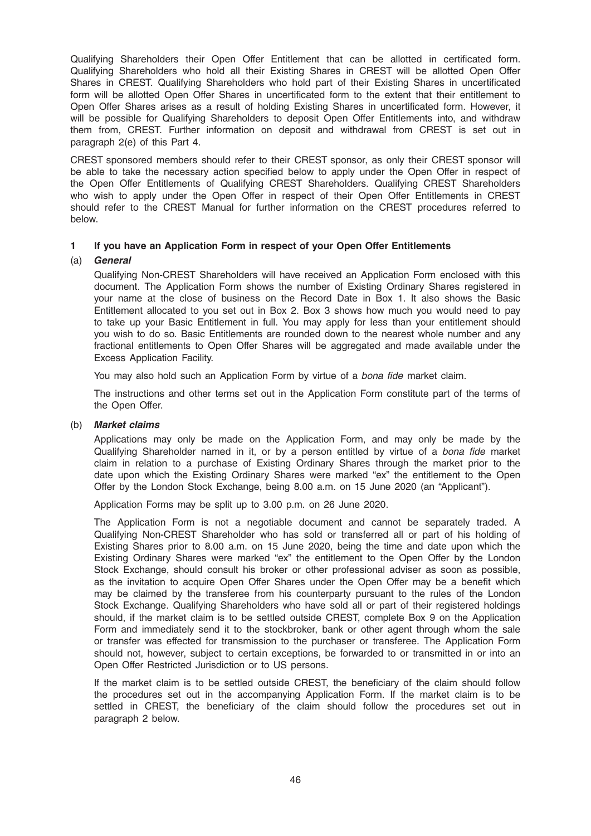Qualifying Shareholders their Open Offer Entitlement that can be allotted in certificated form. Qualifying Shareholders who hold all their Existing Shares in CREST will be allotted Open Offer Shares in CREST. Qualifying Shareholders who hold part of their Existing Shares in uncertificated form will be allotted Open Offer Shares in uncertificated form to the extent that their entitlement to Open Offer Shares arises as a result of holding Existing Shares in uncertificated form. However, it will be possible for Qualifying Shareholders to deposit Open Offer Entitlements into, and withdraw them from, CREST. Further information on deposit and withdrawal from CREST is set out in paragraph 2(e) of this Part 4.

CREST sponsored members should refer to their CREST sponsor, as only their CREST sponsor will be able to take the necessary action specified below to apply under the Open Offer in respect of the Open Offer Entitlements of Qualifying CREST Shareholders. Qualifying CREST Shareholders who wish to apply under the Open Offer in respect of their Open Offer Entitlements in CREST should refer to the CREST Manual for further information on the CREST procedures referred to below.

## 1 If you have an Application Form in respect of your Open Offer Entitlements

## (a) General

Qualifying Non-CREST Shareholders will have received an Application Form enclosed with this document. The Application Form shows the number of Existing Ordinary Shares registered in your name at the close of business on the Record Date in Box 1. It also shows the Basic Entitlement allocated to you set out in Box 2. Box 3 shows how much you would need to pay to take up your Basic Entitlement in full. You may apply for less than your entitlement should you wish to do so. Basic Entitlements are rounded down to the nearest whole number and any fractional entitlements to Open Offer Shares will be aggregated and made available under the Excess Application Facility.

You may also hold such an Application Form by virtue of a bona fide market claim.

The instructions and other terms set out in the Application Form constitute part of the terms of the Open Offer.

#### (b) Market claims

Applications may only be made on the Application Form, and may only be made by the Qualifying Shareholder named in it, or by a person entitled by virtue of a bona fide market claim in relation to a purchase of Existing Ordinary Shares through the market prior to the date upon which the Existing Ordinary Shares were marked "ex" the entitlement to the Open Offer by the London Stock Exchange, being 8.00 a.m. on 15 June 2020 (an "Applicant").

Application Forms may be split up to 3.00 p.m. on 26 June 2020.

The Application Form is not a negotiable document and cannot be separately traded. A Qualifying Non-CREST Shareholder who has sold or transferred all or part of his holding of Existing Shares prior to 8.00 a.m. on 15 June 2020, being the time and date upon which the Existing Ordinary Shares were marked "ex" the entitlement to the Open Offer by the London Stock Exchange, should consult his broker or other professional adviser as soon as possible, as the invitation to acquire Open Offer Shares under the Open Offer may be a benefit which may be claimed by the transferee from his counterparty pursuant to the rules of the London Stock Exchange. Qualifying Shareholders who have sold all or part of their registered holdings should, if the market claim is to be settled outside CREST, complete Box 9 on the Application Form and immediately send it to the stockbroker, bank or other agent through whom the sale or transfer was effected for transmission to the purchaser or transferee. The Application Form should not, however, subject to certain exceptions, be forwarded to or transmitted in or into an Open Offer Restricted Jurisdiction or to US persons.

If the market claim is to be settled outside CREST, the beneficiary of the claim should follow the procedures set out in the accompanying Application Form. If the market claim is to be settled in CREST, the beneficiary of the claim should follow the procedures set out in paragraph 2 below.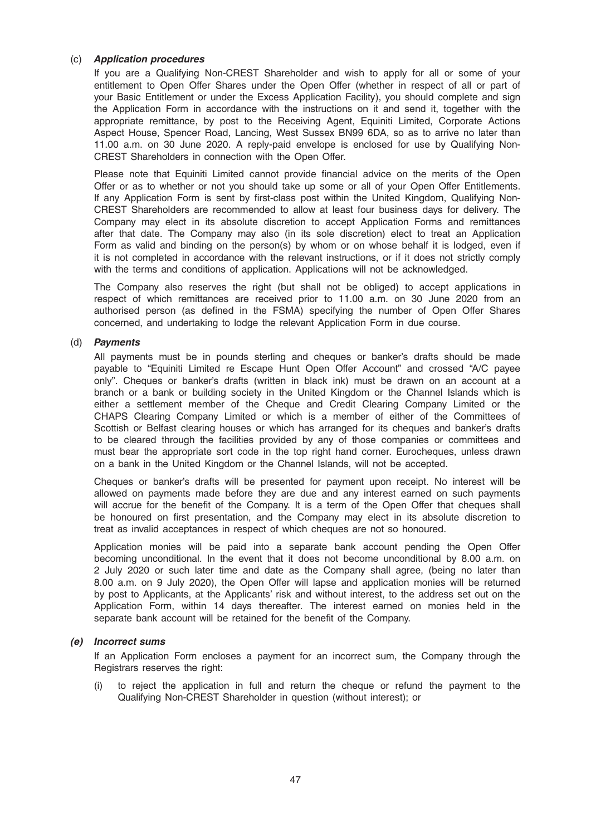## (c) Application procedures

If you are a Qualifying Non-CREST Shareholder and wish to apply for all or some of your entitlement to Open Offer Shares under the Open Offer (whether in respect of all or part of your Basic Entitlement or under the Excess Application Facility), you should complete and sign the Application Form in accordance with the instructions on it and send it, together with the appropriate remittance, by post to the Receiving Agent, Equiniti Limited, Corporate Actions Aspect House, Spencer Road, Lancing, West Sussex BN99 6DA, so as to arrive no later than 11.00 a.m. on 30 June 2020. A reply-paid envelope is enclosed for use by Qualifying Non-CREST Shareholders in connection with the Open Offer.

Please note that Equiniti Limited cannot provide financial advice on the merits of the Open Offer or as to whether or not you should take up some or all of your Open Offer Entitlements. If any Application Form is sent by first-class post within the United Kingdom, Qualifying Non-CREST Shareholders are recommended to allow at least four business days for delivery. The Company may elect in its absolute discretion to accept Application Forms and remittances after that date. The Company may also (in its sole discretion) elect to treat an Application Form as valid and binding on the person(s) by whom or on whose behalf it is lodged, even if it is not completed in accordance with the relevant instructions, or if it does not strictly comply with the terms and conditions of application. Applications will not be acknowledged.

The Company also reserves the right (but shall not be obliged) to accept applications in respect of which remittances are received prior to 11.00 a.m. on 30 June 2020 from an authorised person (as defined in the FSMA) specifying the number of Open Offer Shares concerned, and undertaking to lodge the relevant Application Form in due course.

## (d) Payments

All payments must be in pounds sterling and cheques or banker's drafts should be made payable to "Equiniti Limited re Escape Hunt Open Offer Account" and crossed "A/C payee only". Cheques or banker's drafts (written in black ink) must be drawn on an account at a branch or a bank or building society in the United Kingdom or the Channel Islands which is either a settlement member of the Cheque and Credit Clearing Company Limited or the CHAPS Clearing Company Limited or which is a member of either of the Committees of Scottish or Belfast clearing houses or which has arranged for its cheques and banker's drafts to be cleared through the facilities provided by any of those companies or committees and must bear the appropriate sort code in the top right hand corner. Eurocheques, unless drawn on a bank in the United Kingdom or the Channel Islands, will not be accepted.

Cheques or banker's drafts will be presented for payment upon receipt. No interest will be allowed on payments made before they are due and any interest earned on such payments will accrue for the benefit of the Company. It is a term of the Open Offer that cheques shall be honoured on first presentation, and the Company may elect in its absolute discretion to treat as invalid acceptances in respect of which cheques are not so honoured.

Application monies will be paid into a separate bank account pending the Open Offer becoming unconditional. In the event that it does not become unconditional by 8.00 a.m. on 2 July 2020 or such later time and date as the Company shall agree, (being no later than 8.00 a.m. on 9 July 2020), the Open Offer will lapse and application monies will be returned by post to Applicants, at the Applicants' risk and without interest, to the address set out on the Application Form, within 14 days thereafter. The interest earned on monies held in the separate bank account will be retained for the benefit of the Company.

## (e) Incorrect sums

If an Application Form encloses a payment for an incorrect sum, the Company through the Registrars reserves the right:

(i) to reject the application in full and return the cheque or refund the payment to the Qualifying Non-CREST Shareholder in question (without interest); or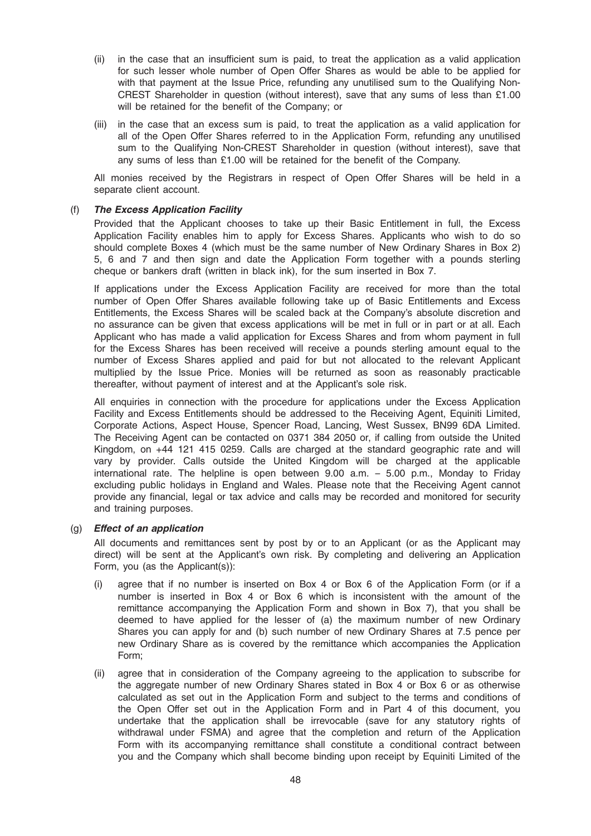- (ii) in the case that an insufficient sum is paid, to treat the application as a valid application for such lesser whole number of Open Offer Shares as would be able to be applied for with that payment at the Issue Price, refunding any unutilised sum to the Qualifying Non-CREST Shareholder in question (without interest), save that any sums of less than £1.00 will be retained for the benefit of the Company; or
- (iii) in the case that an excess sum is paid, to treat the application as a valid application for all of the Open Offer Shares referred to in the Application Form, refunding any unutilised sum to the Qualifying Non-CREST Shareholder in question (without interest), save that any sums of less than £1.00 will be retained for the benefit of the Company.

All monies received by the Registrars in respect of Open Offer Shares will be held in a separate client account.

## (f) The Excess Application Facility

Provided that the Applicant chooses to take up their Basic Entitlement in full, the Excess Application Facility enables him to apply for Excess Shares. Applicants who wish to do so should complete Boxes 4 (which must be the same number of New Ordinary Shares in Box 2) 5, 6 and 7 and then sign and date the Application Form together with a pounds sterling cheque or bankers draft (written in black ink), for the sum inserted in Box 7.

If applications under the Excess Application Facility are received for more than the total number of Open Offer Shares available following take up of Basic Entitlements and Excess Entitlements, the Excess Shares will be scaled back at the Company's absolute discretion and no assurance can be given that excess applications will be met in full or in part or at all. Each Applicant who has made a valid application for Excess Shares and from whom payment in full for the Excess Shares has been received will receive a pounds sterling amount equal to the number of Excess Shares applied and paid for but not allocated to the relevant Applicant multiplied by the Issue Price. Monies will be returned as soon as reasonably practicable thereafter, without payment of interest and at the Applicant's sole risk.

All enquiries in connection with the procedure for applications under the Excess Application Facility and Excess Entitlements should be addressed to the Receiving Agent, Equiniti Limited, Corporate Actions, Aspect House, Spencer Road, Lancing, West Sussex, BN99 6DA Limited. The Receiving Agent can be contacted on 0371 384 2050 or, if calling from outside the United Kingdom, on +44 121 415 0259. Calls are charged at the standard geographic rate and will vary by provider. Calls outside the United Kingdom will be charged at the applicable international rate. The helpline is open between 9.00 a.m. – 5.00 p.m., Monday to Friday excluding public holidays in England and Wales. Please note that the Receiving Agent cannot provide any financial, legal or tax advice and calls may be recorded and monitored for security and training purposes.

## (g) Effect of an application

All documents and remittances sent by post by or to an Applicant (or as the Applicant may direct) will be sent at the Applicant's own risk. By completing and delivering an Application Form, you (as the Applicant(s)):

- (i) agree that if no number is inserted on Box 4 or Box 6 of the Application Form (or if a number is inserted in Box 4 or Box 6 which is inconsistent with the amount of the remittance accompanying the Application Form and shown in Box 7), that you shall be deemed to have applied for the lesser of (a) the maximum number of new Ordinary Shares you can apply for and (b) such number of new Ordinary Shares at 7.5 pence per new Ordinary Share as is covered by the remittance which accompanies the Application Form;
- (ii) agree that in consideration of the Company agreeing to the application to subscribe for the aggregate number of new Ordinary Shares stated in Box 4 or Box 6 or as otherwise calculated as set out in the Application Form and subject to the terms and conditions of the Open Offer set out in the Application Form and in Part 4 of this document, you undertake that the application shall be irrevocable (save for any statutory rights of withdrawal under FSMA) and agree that the completion and return of the Application Form with its accompanying remittance shall constitute a conditional contract between you and the Company which shall become binding upon receipt by Equiniti Limited of the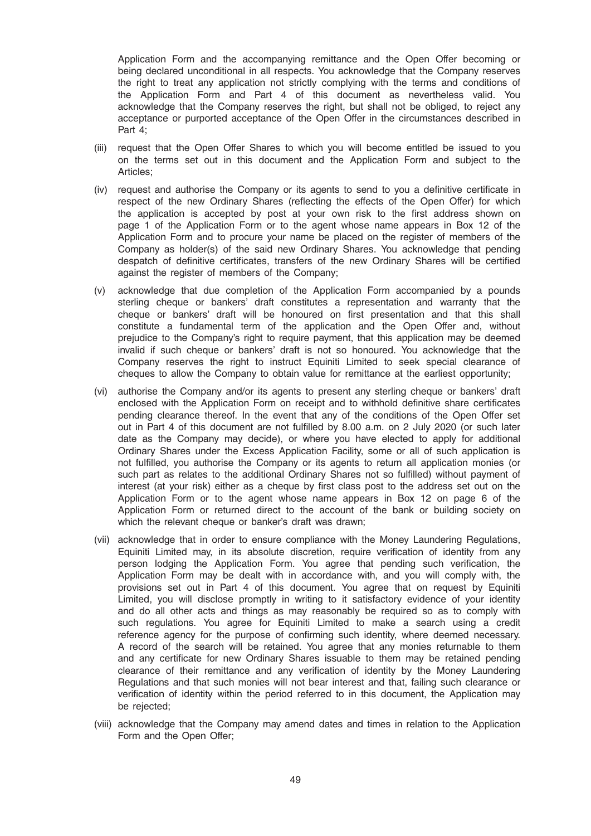Application Form and the accompanying remittance and the Open Offer becoming or being declared unconditional in all respects. You acknowledge that the Company reserves the right to treat any application not strictly complying with the terms and conditions of the Application Form and Part 4 of this document as nevertheless valid. You acknowledge that the Company reserves the right, but shall not be obliged, to reject any acceptance or purported acceptance of the Open Offer in the circumstances described in Part 4;

- (iii) request that the Open Offer Shares to which you will become entitled be issued to you on the terms set out in this document and the Application Form and subject to the Articles;
- (iv) request and authorise the Company or its agents to send to you a definitive certificate in respect of the new Ordinary Shares (reflecting the effects of the Open Offer) for which the application is accepted by post at your own risk to the first address shown on page 1 of the Application Form or to the agent whose name appears in Box 12 of the Application Form and to procure your name be placed on the register of members of the Company as holder(s) of the said new Ordinary Shares. You acknowledge that pending despatch of definitive certificates, transfers of the new Ordinary Shares will be certified against the register of members of the Company;
- (v) acknowledge that due completion of the Application Form accompanied by a pounds sterling cheque or bankers' draft constitutes a representation and warranty that the cheque or bankers' draft will be honoured on first presentation and that this shall constitute a fundamental term of the application and the Open Offer and, without prejudice to the Company's right to require payment, that this application may be deemed invalid if such cheque or bankers' draft is not so honoured. You acknowledge that the Company reserves the right to instruct Equiniti Limited to seek special clearance of cheques to allow the Company to obtain value for remittance at the earliest opportunity;
- (vi) authorise the Company and/or its agents to present any sterling cheque or bankers' draft enclosed with the Application Form on receipt and to withhold definitive share certificates pending clearance thereof. In the event that any of the conditions of the Open Offer set out in Part 4 of this document are not fulfilled by 8.00 a.m. on 2 July 2020 (or such later date as the Company may decide), or where you have elected to apply for additional Ordinary Shares under the Excess Application Facility, some or all of such application is not fulfilled, you authorise the Company or its agents to return all application monies (or such part as relates to the additional Ordinary Shares not so fulfilled) without payment of interest (at your risk) either as a cheque by first class post to the address set out on the Application Form or to the agent whose name appears in Box 12 on page 6 of the Application Form or returned direct to the account of the bank or building society on which the relevant cheque or banker's draft was drawn;
- (vii) acknowledge that in order to ensure compliance with the Money Laundering Regulations, Equiniti Limited may, in its absolute discretion, require verification of identity from any person lodging the Application Form. You agree that pending such verification, the Application Form may be dealt with in accordance with, and you will comply with, the provisions set out in Part 4 of this document. You agree that on request by Equiniti Limited, you will disclose promptly in writing to it satisfactory evidence of your identity and do all other acts and things as may reasonably be required so as to comply with such regulations. You agree for Equiniti Limited to make a search using a credit reference agency for the purpose of confirming such identity, where deemed necessary. A record of the search will be retained. You agree that any monies returnable to them and any certificate for new Ordinary Shares issuable to them may be retained pending clearance of their remittance and any verification of identity by the Money Laundering Regulations and that such monies will not bear interest and that, failing such clearance or verification of identity within the period referred to in this document, the Application may be rejected;
- (viii) acknowledge that the Company may amend dates and times in relation to the Application Form and the Open Offer;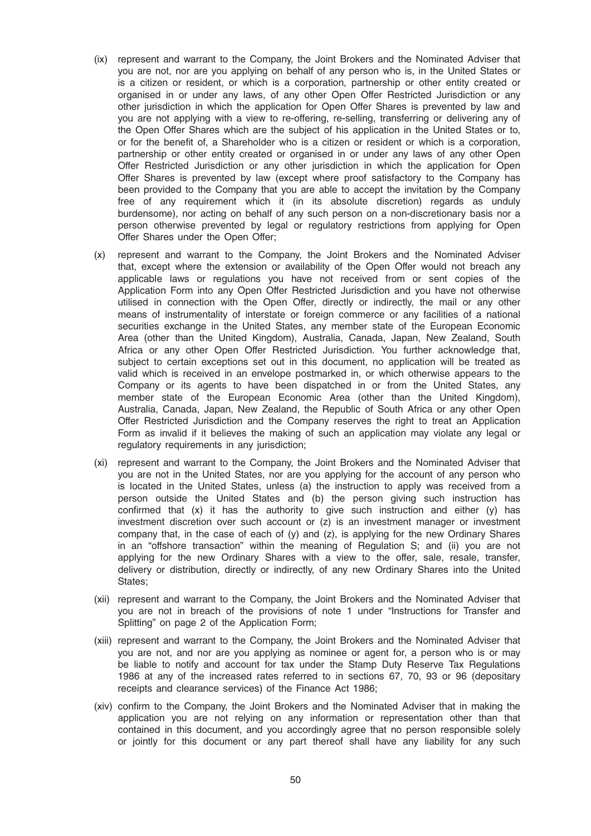- (ix) represent and warrant to the Company, the Joint Brokers and the Nominated Adviser that you are not, nor are you applying on behalf of any person who is, in the United States or is a citizen or resident, or which is a corporation, partnership or other entity created or organised in or under any laws, of any other Open Offer Restricted Jurisdiction or any other jurisdiction in which the application for Open Offer Shares is prevented by law and you are not applying with a view to re-offering, re-selling, transferring or delivering any of the Open Offer Shares which are the subject of his application in the United States or to, or for the benefit of, a Shareholder who is a citizen or resident or which is a corporation, partnership or other entity created or organised in or under any laws of any other Open Offer Restricted Jurisdiction or any other jurisdiction in which the application for Open Offer Shares is prevented by law (except where proof satisfactory to the Company has been provided to the Company that you are able to accept the invitation by the Company free of any requirement which it (in its absolute discretion) regards as unduly burdensome), nor acting on behalf of any such person on a non-discretionary basis nor a person otherwise prevented by legal or regulatory restrictions from applying for Open Offer Shares under the Open Offer;
- (x) represent and warrant to the Company, the Joint Brokers and the Nominated Adviser that, except where the extension or availability of the Open Offer would not breach any applicable laws or regulations you have not received from or sent copies of the Application Form into any Open Offer Restricted Jurisdiction and you have not otherwise utilised in connection with the Open Offer, directly or indirectly, the mail or any other means of instrumentality of interstate or foreign commerce or any facilities of a national securities exchange in the United States, any member state of the European Economic Area (other than the United Kingdom), Australia, Canada, Japan, New Zealand, South Africa or any other Open Offer Restricted Jurisdiction. You further acknowledge that, subject to certain exceptions set out in this document, no application will be treated as valid which is received in an envelope postmarked in, or which otherwise appears to the Company or its agents to have been dispatched in or from the United States, any member state of the European Economic Area (other than the United Kingdom), Australia, Canada, Japan, New Zealand, the Republic of South Africa or any other Open Offer Restricted Jurisdiction and the Company reserves the right to treat an Application Form as invalid if it believes the making of such an application may violate any legal or regulatory requirements in any jurisdiction;
- (xi) represent and warrant to the Company, the Joint Brokers and the Nominated Adviser that you are not in the United States, nor are you applying for the account of any person who is located in the United States, unless (a) the instruction to apply was received from a person outside the United States and (b) the person giving such instruction has confirmed that  $(x)$  it has the authority to give such instruction and either  $(y)$  has investment discretion over such account or (z) is an investment manager or investment company that, in the case of each of  $(y)$  and  $(z)$ , is applying for the new Ordinary Shares in an "offshore transaction" within the meaning of Regulation S; and (ii) you are not applying for the new Ordinary Shares with a view to the offer, sale, resale, transfer, delivery or distribution, directly or indirectly, of any new Ordinary Shares into the United States;
- (xii) represent and warrant to the Company, the Joint Brokers and the Nominated Adviser that you are not in breach of the provisions of note 1 under "Instructions for Transfer and Splitting" on page 2 of the Application Form;
- (xiii) represent and warrant to the Company, the Joint Brokers and the Nominated Adviser that you are not, and nor are you applying as nominee or agent for, a person who is or may be liable to notify and account for tax under the Stamp Duty Reserve Tax Regulations 1986 at any of the increased rates referred to in sections 67, 70, 93 or 96 (depositary receipts and clearance services) of the Finance Act 1986;
- (xiv) confirm to the Company, the Joint Brokers and the Nominated Adviser that in making the application you are not relying on any information or representation other than that contained in this document, and you accordingly agree that no person responsible solely or jointly for this document or any part thereof shall have any liability for any such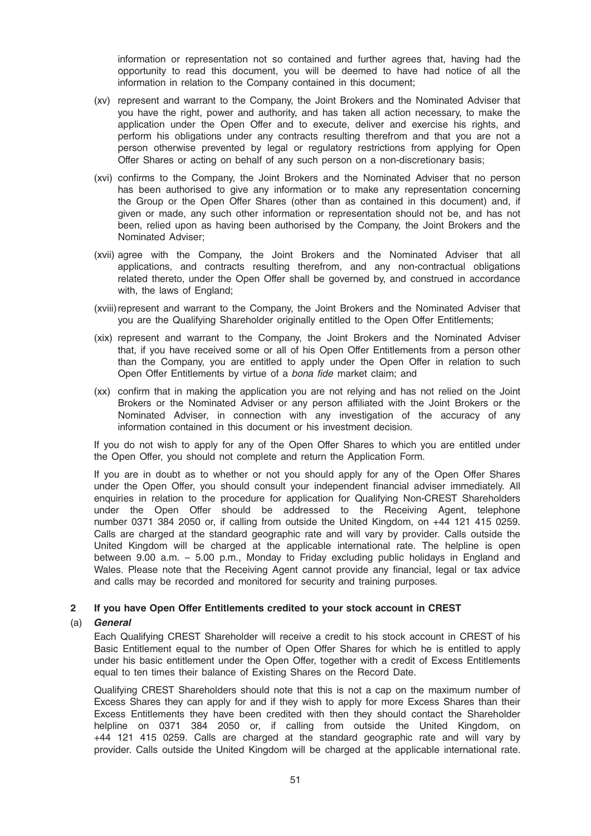information or representation not so contained and further agrees that, having had the opportunity to read this document, you will be deemed to have had notice of all the information in relation to the Company contained in this document;

- (xv) represent and warrant to the Company, the Joint Brokers and the Nominated Adviser that you have the right, power and authority, and has taken all action necessary, to make the application under the Open Offer and to execute, deliver and exercise his rights, and perform his obligations under any contracts resulting therefrom and that you are not a person otherwise prevented by legal or regulatory restrictions from applying for Open Offer Shares or acting on behalf of any such person on a non-discretionary basis;
- (xvi) confirms to the Company, the Joint Brokers and the Nominated Adviser that no person has been authorised to give any information or to make any representation concerning the Group or the Open Offer Shares (other than as contained in this document) and, if given or made, any such other information or representation should not be, and has not been, relied upon as having been authorised by the Company, the Joint Brokers and the Nominated Adviser;
- (xvii) agree with the Company, the Joint Brokers and the Nominated Adviser that all applications, and contracts resulting therefrom, and any non-contractual obligations related thereto, under the Open Offer shall be governed by, and construed in accordance with, the laws of England;
- (xviii) represent and warrant to the Company, the Joint Brokers and the Nominated Adviser that you are the Qualifying Shareholder originally entitled to the Open Offer Entitlements;
- (xix) represent and warrant to the Company, the Joint Brokers and the Nominated Adviser that, if you have received some or all of his Open Offer Entitlements from a person other than the Company, you are entitled to apply under the Open Offer in relation to such Open Offer Entitlements by virtue of a bona fide market claim; and
- (xx) confirm that in making the application you are not relying and has not relied on the Joint Brokers or the Nominated Adviser or any person affiliated with the Joint Brokers or the Nominated Adviser, in connection with any investigation of the accuracy of any information contained in this document or his investment decision.

If you do not wish to apply for any of the Open Offer Shares to which you are entitled under the Open Offer, you should not complete and return the Application Form.

If you are in doubt as to whether or not you should apply for any of the Open Offer Shares under the Open Offer, you should consult your independent financial adviser immediately. All enquiries in relation to the procedure for application for Qualifying Non-CREST Shareholders under the Open Offer should be addressed to the Receiving Agent, telephone number 0371 384 2050 or, if calling from outside the United Kingdom, on +44 121 415 0259. Calls are charged at the standard geographic rate and will vary by provider. Calls outside the United Kingdom will be charged at the applicable international rate. The helpline is open between 9.00 a.m. – 5.00 p.m., Monday to Friday excluding public holidays in England and Wales. Please note that the Receiving Agent cannot provide any financial, legal or tax advice and calls may be recorded and monitored for security and training purposes.

#### 2 If you have Open Offer Entitlements credited to your stock account in CREST

#### (a) General

Each Qualifying CREST Shareholder will receive a credit to his stock account in CREST of his Basic Entitlement equal to the number of Open Offer Shares for which he is entitled to apply under his basic entitlement under the Open Offer, together with a credit of Excess Entitlements equal to ten times their balance of Existing Shares on the Record Date.

Qualifying CREST Shareholders should note that this is not a cap on the maximum number of Excess Shares they can apply for and if they wish to apply for more Excess Shares than their Excess Entitlements they have been credited with then they should contact the Shareholder helpline on 0371 384 2050 or, if calling from outside the United Kingdom, on +44 121 415 0259. Calls are charged at the standard geographic rate and will vary by provider. Calls outside the United Kingdom will be charged at the applicable international rate.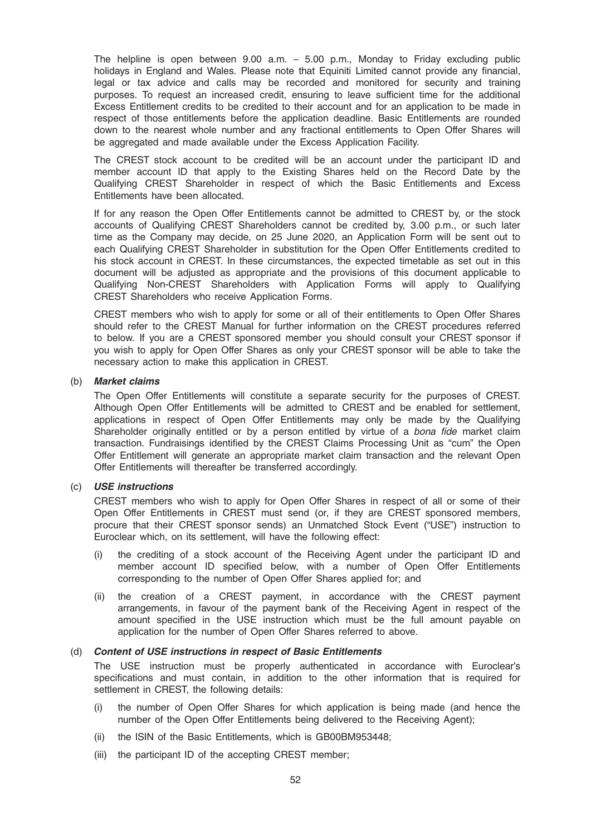The helpline is open between 9.00 a.m. – 5.00 p.m., Monday to Friday excluding public holidays in England and Wales. Please note that Equiniti Limited cannot provide any financial, legal or tax advice and calls may be recorded and monitored for security and training purposes. To request an increased credit, ensuring to leave sufficient time for the additional Excess Entitlement credits to be credited to their account and for an application to be made in respect of those entitlements before the application deadline. Basic Entitlements are rounded down to the nearest whole number and any fractional entitlements to Open Offer Shares will be aggregated and made available under the Excess Application Facility.

The CREST stock account to be credited will be an account under the participant ID and member account ID that apply to the Existing Shares held on the Record Date by the Qualifying CREST Shareholder in respect of which the Basic Entitlements and Excess Entitlements have been allocated.

If for any reason the Open Offer Entitlements cannot be admitted to CREST by, or the stock accounts of Qualifying CREST Shareholders cannot be credited by, 3.00 p.m., or such later time as the Company may decide, on 25 June 2020, an Application Form will be sent out to each Qualifying CREST Shareholder in substitution for the Open Offer Entitlements credited to his stock account in CREST. In these circumstances, the expected timetable as set out in this document will be adjusted as appropriate and the provisions of this document applicable to Qualifying Non-CREST Shareholders with Application Forms will apply to Qualifying CREST Shareholders who receive Application Forms.

CREST members who wish to apply for some or all of their entitlements to Open Offer Shares should refer to the CREST Manual for further information on the CREST procedures referred to below. If you are a CREST sponsored member you should consult your CREST sponsor if you wish to apply for Open Offer Shares as only your CREST sponsor will be able to take the necessary action to make this application in CREST.

#### (b) Market claims

The Open Offer Entitlements will constitute a separate security for the purposes of CREST. Although Open Offer Entitlements will be admitted to CREST and be enabled for settlement, applications in respect of Open Offer Entitlements may only be made by the Qualifying Shareholder originally entitled or by a person entitled by virtue of a bona fide market claim transaction. Fundraisings identified by the CREST Claims Processing Unit as "cum" the Open Offer Entitlement will generate an appropriate market claim transaction and the relevant Open Offer Entitlements will thereafter be transferred accordingly.

#### (c) USE instructions

CREST members who wish to apply for Open Offer Shares in respect of all or some of their Open Offer Entitlements in CREST must send (or, if they are CREST sponsored members, procure that their CREST sponsor sends) an Unmatched Stock Event ("USE") instruction to Euroclear which, on its settlement, will have the following effect:

- (i) the crediting of a stock account of the Receiving Agent under the participant ID and member account ID specified below, with a number of Open Offer Entitlements corresponding to the number of Open Offer Shares applied for; and
- (ii) the creation of a CREST payment, in accordance with the CREST payment arrangements, in favour of the payment bank of the Receiving Agent in respect of the amount specified in the USE instruction which must be the full amount payable on application for the number of Open Offer Shares referred to above.

#### (d) Content of USE instructions in respect of Basic Entitlements

The USE instruction must be properly authenticated in accordance with Euroclear's specifications and must contain, in addition to the other information that is required for settlement in CREST, the following details:

- the number of Open Offer Shares for which application is being made (and hence the number of the Open Offer Entitlements being delivered to the Receiving Agent);
- (ii) the ISIN of the Basic Entitlements, which is GB00BM953448;
- (iii) the participant ID of the accepting CREST member;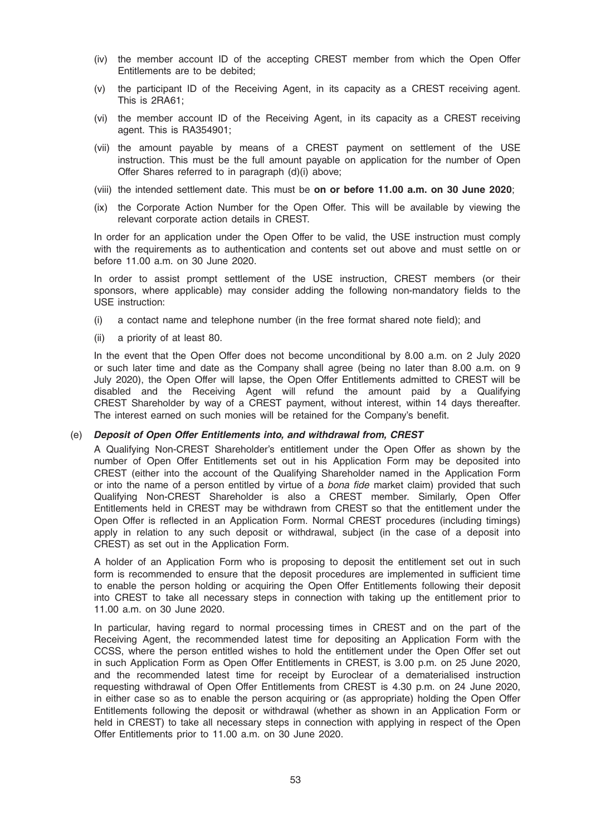- (iv) the member account ID of the accepting CREST member from which the Open Offer Entitlements are to be debited;
- (v) the participant ID of the Receiving Agent, in its capacity as a CREST receiving agent. This is 2RA61;
- (vi) the member account ID of the Receiving Agent, in its capacity as a CREST receiving agent. This is RA354901;
- (vii) the amount payable by means of a CREST payment on settlement of the USE instruction. This must be the full amount payable on application for the number of Open Offer Shares referred to in paragraph (d)(i) above;
- (viii) the intended settlement date. This must be on or before 11.00 a.m. on 30 June 2020;
- (ix) the Corporate Action Number for the Open Offer. This will be available by viewing the relevant corporate action details in CREST.

In order for an application under the Open Offer to be valid, the USE instruction must comply with the requirements as to authentication and contents set out above and must settle on or before 11.00 a.m. on 30 June 2020.

In order to assist prompt settlement of the USE instruction, CREST members (or their sponsors, where applicable) may consider adding the following non-mandatory fields to the USE instruction:

- (i) a contact name and telephone number (in the free format shared note field); and
- (ii) a priority of at least 80.

In the event that the Open Offer does not become unconditional by 8.00 a.m. on 2 July 2020 or such later time and date as the Company shall agree (being no later than 8.00 a.m. on 9 July 2020), the Open Offer will lapse, the Open Offer Entitlements admitted to CREST will be disabled and the Receiving Agent will refund the amount paid by a Qualifying CREST Shareholder by way of a CREST payment, without interest, within 14 days thereafter. The interest earned on such monies will be retained for the Company's benefit.

#### (e) Deposit of Open Offer Entitlements into, and withdrawal from, CREST

A Qualifying Non-CREST Shareholder's entitlement under the Open Offer as shown by the number of Open Offer Entitlements set out in his Application Form may be deposited into CREST (either into the account of the Qualifying Shareholder named in the Application Form or into the name of a person entitled by virtue of a *bona fide* market claim) provided that such Qualifying Non-CREST Shareholder is also a CREST member. Similarly, Open Offer Entitlements held in CREST may be withdrawn from CREST so that the entitlement under the Open Offer is reflected in an Application Form. Normal CREST procedures (including timings) apply in relation to any such deposit or withdrawal, subject (in the case of a deposit into CREST) as set out in the Application Form.

A holder of an Application Form who is proposing to deposit the entitlement set out in such form is recommended to ensure that the deposit procedures are implemented in sufficient time to enable the person holding or acquiring the Open Offer Entitlements following their deposit into CREST to take all necessary steps in connection with taking up the entitlement prior to 11.00 a.m. on 30 June 2020.

In particular, having regard to normal processing times in CREST and on the part of the Receiving Agent, the recommended latest time for depositing an Application Form with the CCSS, where the person entitled wishes to hold the entitlement under the Open Offer set out in such Application Form as Open Offer Entitlements in CREST, is 3.00 p.m. on 25 June 2020, and the recommended latest time for receipt by Euroclear of a dematerialised instruction requesting withdrawal of Open Offer Entitlements from CREST is 4.30 p.m. on 24 June 2020, in either case so as to enable the person acquiring or (as appropriate) holding the Open Offer Entitlements following the deposit or withdrawal (whether as shown in an Application Form or held in CREST) to take all necessary steps in connection with applying in respect of the Open Offer Entitlements prior to 11.00 a.m. on 30 June 2020.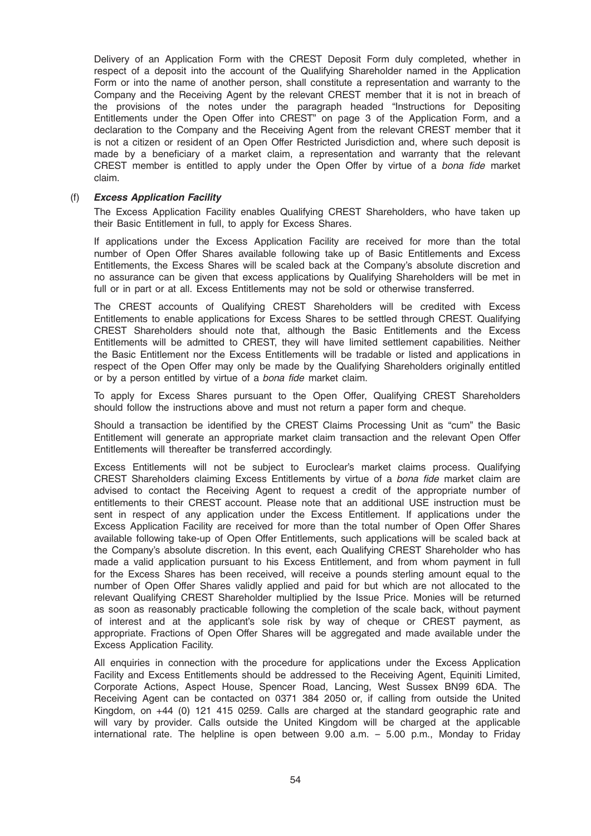Delivery of an Application Form with the CREST Deposit Form duly completed, whether in respect of a deposit into the account of the Qualifying Shareholder named in the Application Form or into the name of another person, shall constitute a representation and warranty to the Company and the Receiving Agent by the relevant CREST member that it is not in breach of the provisions of the notes under the paragraph headed "Instructions for Depositing Entitlements under the Open Offer into CREST" on page 3 of the Application Form, and a declaration to the Company and the Receiving Agent from the relevant CREST member that it is not a citizen or resident of an Open Offer Restricted Jurisdiction and, where such deposit is made by a beneficiary of a market claim, a representation and warranty that the relevant CREST member is entitled to apply under the Open Offer by virtue of a bona fide market claim.

#### (f) Excess Application Facility

The Excess Application Facility enables Qualifying CREST Shareholders, who have taken up their Basic Entitlement in full, to apply for Excess Shares.

If applications under the Excess Application Facility are received for more than the total number of Open Offer Shares available following take up of Basic Entitlements and Excess Entitlements, the Excess Shares will be scaled back at the Company's absolute discretion and no assurance can be given that excess applications by Qualifying Shareholders will be met in full or in part or at all. Excess Entitlements may not be sold or otherwise transferred.

The CREST accounts of Qualifying CREST Shareholders will be credited with Excess Entitlements to enable applications for Excess Shares to be settled through CREST. Qualifying CREST Shareholders should note that, although the Basic Entitlements and the Excess Entitlements will be admitted to CREST, they will have limited settlement capabilities. Neither the Basic Entitlement nor the Excess Entitlements will be tradable or listed and applications in respect of the Open Offer may only be made by the Qualifying Shareholders originally entitled or by a person entitled by virtue of a bona fide market claim.

To apply for Excess Shares pursuant to the Open Offer, Qualifying CREST Shareholders should follow the instructions above and must not return a paper form and cheque.

Should a transaction be identified by the CREST Claims Processing Unit as "cum" the Basic Entitlement will generate an appropriate market claim transaction and the relevant Open Offer Entitlements will thereafter be transferred accordingly.

Excess Entitlements will not be subject to Euroclear's market claims process. Qualifying CREST Shareholders claiming Excess Entitlements by virtue of a bona fide market claim are advised to contact the Receiving Agent to request a credit of the appropriate number of entitlements to their CREST account. Please note that an additional USE instruction must be sent in respect of any application under the Excess Entitlement. If applications under the Excess Application Facility are received for more than the total number of Open Offer Shares available following take-up of Open Offer Entitlements, such applications will be scaled back at the Company's absolute discretion. In this event, each Qualifying CREST Shareholder who has made a valid application pursuant to his Excess Entitlement, and from whom payment in full for the Excess Shares has been received, will receive a pounds sterling amount equal to the number of Open Offer Shares validly applied and paid for but which are not allocated to the relevant Qualifying CREST Shareholder multiplied by the Issue Price. Monies will be returned as soon as reasonably practicable following the completion of the scale back, without payment of interest and at the applicant's sole risk by way of cheque or CREST payment, as appropriate. Fractions of Open Offer Shares will be aggregated and made available under the Excess Application Facility.

All enquiries in connection with the procedure for applications under the Excess Application Facility and Excess Entitlements should be addressed to the Receiving Agent, Equiniti Limited, Corporate Actions, Aspect House, Spencer Road, Lancing, West Sussex BN99 6DA. The Receiving Agent can be contacted on 0371 384 2050 or, if calling from outside the United Kingdom, on +44 (0) 121 415 0259. Calls are charged at the standard geographic rate and will vary by provider. Calls outside the United Kingdom will be charged at the applicable international rate. The helpline is open between 9.00 a.m. – 5.00 p.m., Monday to Friday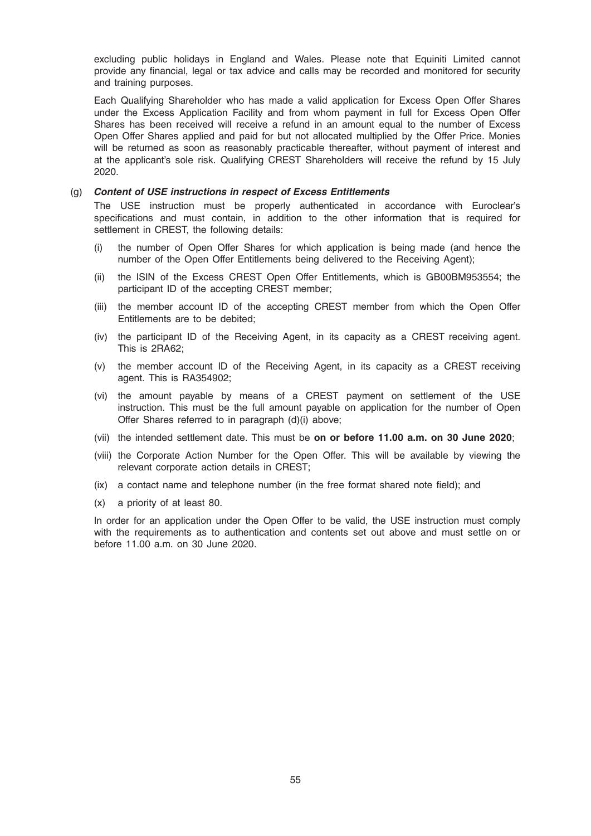excluding public holidays in England and Wales. Please note that Equiniti Limited cannot provide any financial, legal or tax advice and calls may be recorded and monitored for security and training purposes.

Each Qualifying Shareholder who has made a valid application for Excess Open Offer Shares under the Excess Application Facility and from whom payment in full for Excess Open Offer Shares has been received will receive a refund in an amount equal to the number of Excess Open Offer Shares applied and paid for but not allocated multiplied by the Offer Price. Monies will be returned as soon as reasonably practicable thereafter, without payment of interest and at the applicant's sole risk. Qualifying CREST Shareholders will receive the refund by 15 July 2020.

#### (g) Content of USE instructions in respect of Excess Entitlements

The USE instruction must be properly authenticated in accordance with Euroclear's specifications and must contain, in addition to the other information that is required for settlement in CREST, the following details:

- (i) the number of Open Offer Shares for which application is being made (and hence the number of the Open Offer Entitlements being delivered to the Receiving Agent);
- (ii) the ISIN of the Excess CREST Open Offer Entitlements, which is GB00BM953554; the participant ID of the accepting CREST member;
- (iii) the member account ID of the accepting CREST member from which the Open Offer Entitlements are to be debited;
- (iv) the participant ID of the Receiving Agent, in its capacity as a CREST receiving agent. This is 2RA62;
- (v) the member account ID of the Receiving Agent, in its capacity as a CREST receiving agent. This is RA354902;
- (vi) the amount payable by means of a CREST payment on settlement of the USE instruction. This must be the full amount payable on application for the number of Open Offer Shares referred to in paragraph (d)(i) above;
- (vii) the intended settlement date. This must be on or before 11.00 a.m. on 30 June 2020;
- (viii) the Corporate Action Number for the Open Offer. This will be available by viewing the relevant corporate action details in CREST;
- (ix) a contact name and telephone number (in the free format shared note field); and
- (x) a priority of at least 80.

In order for an application under the Open Offer to be valid, the USE instruction must comply with the requirements as to authentication and contents set out above and must settle on or before 11.00 a.m. on 30 June 2020.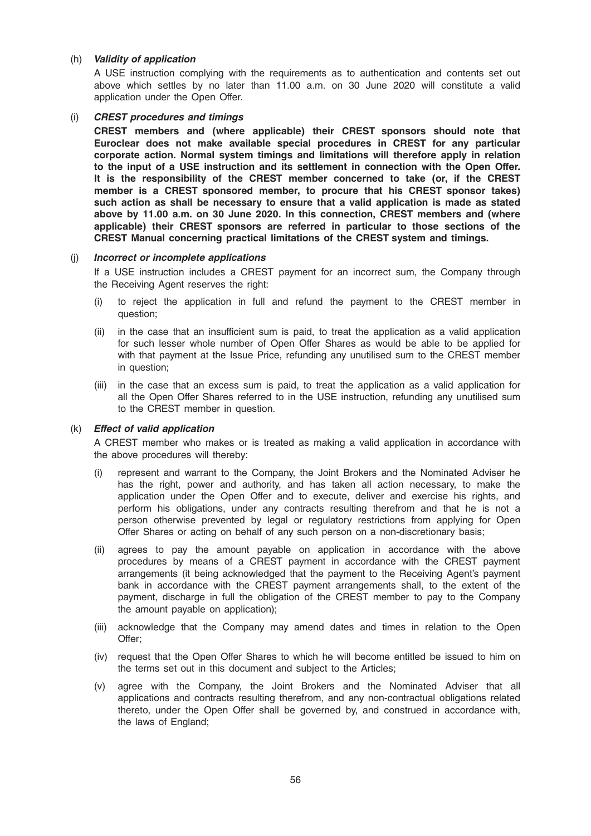## (h) Validity of application

A USE instruction complying with the requirements as to authentication and contents set out above which settles by no later than 11.00 a.m. on 30 June 2020 will constitute a valid application under the Open Offer.

## (i) CREST procedures and timings

CREST members and (where applicable) their CREST sponsors should note that Euroclear does not make available special procedures in CREST for any particular corporate action. Normal system timings and limitations will therefore apply in relation to the input of a USE instruction and its settlement in connection with the Open Offer. It is the responsibility of the CREST member concerned to take (or, if the CREST member is a CREST sponsored member, to procure that his CREST sponsor takes) such action as shall be necessary to ensure that a valid application is made as stated above by 11.00 a.m. on 30 June 2020. In this connection, CREST members and (where applicable) their CREST sponsors are referred in particular to those sections of the CREST Manual concerning practical limitations of the CREST system and timings.

#### (j) Incorrect or incomplete applications

If a USE instruction includes a CREST payment for an incorrect sum, the Company through the Receiving Agent reserves the right:

- (i) to reject the application in full and refund the payment to the CREST member in question;
- (ii) in the case that an insufficient sum is paid, to treat the application as a valid application for such lesser whole number of Open Offer Shares as would be able to be applied for with that payment at the Issue Price, refunding any unutilised sum to the CREST member in question;
- (iii) in the case that an excess sum is paid, to treat the application as a valid application for all the Open Offer Shares referred to in the USE instruction, refunding any unutilised sum to the CREST member in question.

## (k) Effect of valid application

A CREST member who makes or is treated as making a valid application in accordance with the above procedures will thereby:

- (i) represent and warrant to the Company, the Joint Brokers and the Nominated Adviser he has the right, power and authority, and has taken all action necessary, to make the application under the Open Offer and to execute, deliver and exercise his rights, and perform his obligations, under any contracts resulting therefrom and that he is not a person otherwise prevented by legal or regulatory restrictions from applying for Open Offer Shares or acting on behalf of any such person on a non-discretionary basis;
- (ii) agrees to pay the amount payable on application in accordance with the above procedures by means of a CREST payment in accordance with the CREST payment arrangements (it being acknowledged that the payment to the Receiving Agent's payment bank in accordance with the CREST payment arrangements shall, to the extent of the payment, discharge in full the obligation of the CREST member to pay to the Company the amount payable on application);
- (iii) acknowledge that the Company may amend dates and times in relation to the Open Offer;
- (iv) request that the Open Offer Shares to which he will become entitled be issued to him on the terms set out in this document and subject to the Articles;
- (v) agree with the Company, the Joint Brokers and the Nominated Adviser that all applications and contracts resulting therefrom, and any non-contractual obligations related thereto, under the Open Offer shall be governed by, and construed in accordance with, the laws of England;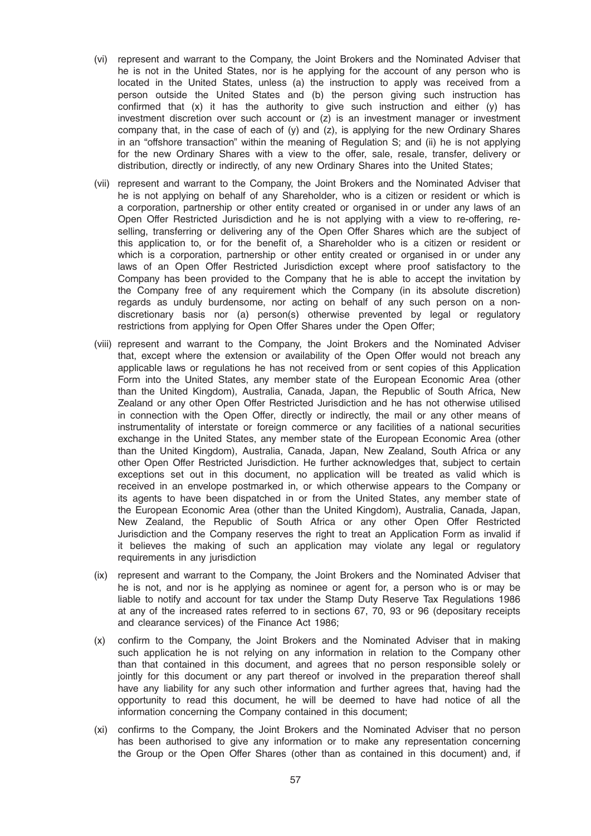- (vi) represent and warrant to the Company, the Joint Brokers and the Nominated Adviser that he is not in the United States, nor is he applying for the account of any person who is located in the United States, unless (a) the instruction to apply was received from a person outside the United States and (b) the person giving such instruction has confirmed that (x) it has the authority to give such instruction and either (y) has investment discretion over such account or (z) is an investment manager or investment company that, in the case of each of  $(y)$  and  $(z)$ , is applying for the new Ordinary Shares in an "offshore transaction" within the meaning of Regulation S; and (ii) he is not applying for the new Ordinary Shares with a view to the offer, sale, resale, transfer, delivery or distribution, directly or indirectly, of any new Ordinary Shares into the United States;
- (vii) represent and warrant to the Company, the Joint Brokers and the Nominated Adviser that he is not applying on behalf of any Shareholder, who is a citizen or resident or which is a corporation, partnership or other entity created or organised in or under any laws of an Open Offer Restricted Jurisdiction and he is not applying with a view to re-offering, reselling, transferring or delivering any of the Open Offer Shares which are the subject of this application to, or for the benefit of, a Shareholder who is a citizen or resident or which is a corporation, partnership or other entity created or organised in or under any laws of an Open Offer Restricted Jurisdiction except where proof satisfactory to the Company has been provided to the Company that he is able to accept the invitation by the Company free of any requirement which the Company (in its absolute discretion) regards as unduly burdensome, nor acting on behalf of any such person on a nondiscretionary basis nor (a) person(s) otherwise prevented by legal or regulatory restrictions from applying for Open Offer Shares under the Open Offer;
- (viii) represent and warrant to the Company, the Joint Brokers and the Nominated Adviser that, except where the extension or availability of the Open Offer would not breach any applicable laws or regulations he has not received from or sent copies of this Application Form into the United States, any member state of the European Economic Area (other than the United Kingdom), Australia, Canada, Japan, the Republic of South Africa, New Zealand or any other Open Offer Restricted Jurisdiction and he has not otherwise utilised in connection with the Open Offer, directly or indirectly, the mail or any other means of instrumentality of interstate or foreign commerce or any facilities of a national securities exchange in the United States, any member state of the European Economic Area (other than the United Kingdom), Australia, Canada, Japan, New Zealand, South Africa or any other Open Offer Restricted Jurisdiction. He further acknowledges that, subject to certain exceptions set out in this document, no application will be treated as valid which is received in an envelope postmarked in, or which otherwise appears to the Company or its agents to have been dispatched in or from the United States, any member state of the European Economic Area (other than the United Kingdom), Australia, Canada, Japan, New Zealand, the Republic of South Africa or any other Open Offer Restricted Jurisdiction and the Company reserves the right to treat an Application Form as invalid if it believes the making of such an application may violate any legal or regulatory requirements in any jurisdiction
- (ix) represent and warrant to the Company, the Joint Brokers and the Nominated Adviser that he is not, and nor is he applying as nominee or agent for, a person who is or may be liable to notify and account for tax under the Stamp Duty Reserve Tax Regulations 1986 at any of the increased rates referred to in sections 67, 70, 93 or 96 (depositary receipts and clearance services) of the Finance Act 1986;
- (x) confirm to the Company, the Joint Brokers and the Nominated Adviser that in making such application he is not relying on any information in relation to the Company other than that contained in this document, and agrees that no person responsible solely or jointly for this document or any part thereof or involved in the preparation thereof shall have any liability for any such other information and further agrees that, having had the opportunity to read this document, he will be deemed to have had notice of all the information concerning the Company contained in this document;
- (xi) confirms to the Company, the Joint Brokers and the Nominated Adviser that no person has been authorised to give any information or to make any representation concerning the Group or the Open Offer Shares (other than as contained in this document) and, if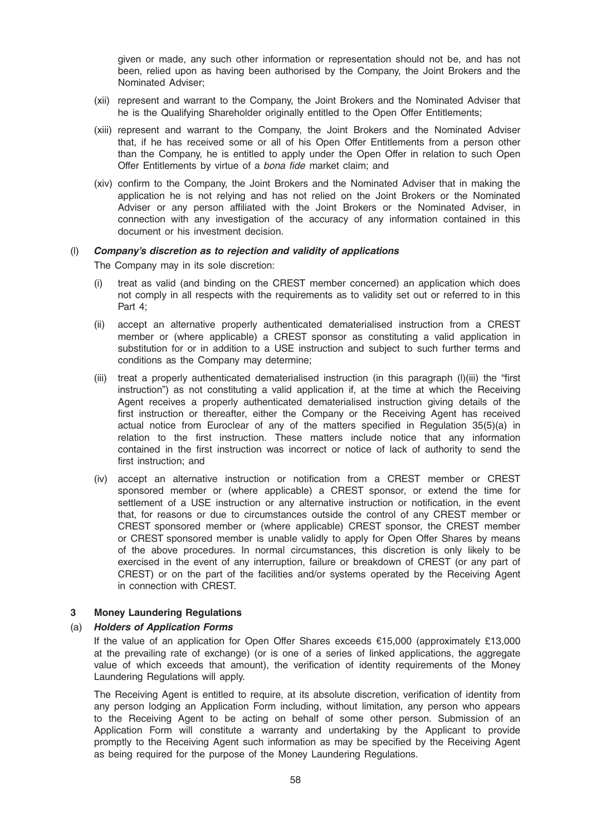given or made, any such other information or representation should not be, and has not been, relied upon as having been authorised by the Company, the Joint Brokers and the Nominated Adviser;

- (xii) represent and warrant to the Company, the Joint Brokers and the Nominated Adviser that he is the Qualifying Shareholder originally entitled to the Open Offer Entitlements;
- (xiii) represent and warrant to the Company, the Joint Brokers and the Nominated Adviser that, if he has received some or all of his Open Offer Entitlements from a person other than the Company, he is entitled to apply under the Open Offer in relation to such Open Offer Entitlements by virtue of a bona fide market claim; and
- (xiv) confirm to the Company, the Joint Brokers and the Nominated Adviser that in making the application he is not relying and has not relied on the Joint Brokers or the Nominated Adviser or any person affiliated with the Joint Brokers or the Nominated Adviser, in connection with any investigation of the accuracy of any information contained in this document or his investment decision.

#### (l) Company's discretion as to rejection and validity of applications

The Company may in its sole discretion:

- (i) treat as valid (and binding on the CREST member concerned) an application which does not comply in all respects with the requirements as to validity set out or referred to in this Part 4;
- (ii) accept an alternative properly authenticated dematerialised instruction from a CREST member or (where applicable) a CREST sponsor as constituting a valid application in substitution for or in addition to a USE instruction and subject to such further terms and conditions as the Company may determine;
- (iii) treat a properly authenticated dematerialised instruction (in this paragraph (l)(iii) the "first instruction") as not constituting a valid application if, at the time at which the Receiving Agent receives a properly authenticated dematerialised instruction giving details of the first instruction or thereafter, either the Company or the Receiving Agent has received actual notice from Euroclear of any of the matters specified in Regulation 35(5)(a) in relation to the first instruction. These matters include notice that any information contained in the first instruction was incorrect or notice of lack of authority to send the first instruction; and
- (iv) accept an alternative instruction or notification from a CREST member or CREST sponsored member or (where applicable) a CREST sponsor, or extend the time for settlement of a USE instruction or any alternative instruction or notification, in the event that, for reasons or due to circumstances outside the control of any CREST member or CREST sponsored member or (where applicable) CREST sponsor, the CREST member or CREST sponsored member is unable validly to apply for Open Offer Shares by means of the above procedures. In normal circumstances, this discretion is only likely to be exercised in the event of any interruption, failure or breakdown of CREST (or any part of CREST) or on the part of the facilities and/or systems operated by the Receiving Agent in connection with CREST.

## 3 Money Laundering Regulations

#### (a) Holders of Application Forms

If the value of an application for Open Offer Shares exceeds €15,000 (approximately £13,000 at the prevailing rate of exchange) (or is one of a series of linked applications, the aggregate value of which exceeds that amount), the verification of identity requirements of the Money Laundering Regulations will apply.

The Receiving Agent is entitled to require, at its absolute discretion, verification of identity from any person lodging an Application Form including, without limitation, any person who appears to the Receiving Agent to be acting on behalf of some other person. Submission of an Application Form will constitute a warranty and undertaking by the Applicant to provide promptly to the Receiving Agent such information as may be specified by the Receiving Agent as being required for the purpose of the Money Laundering Regulations.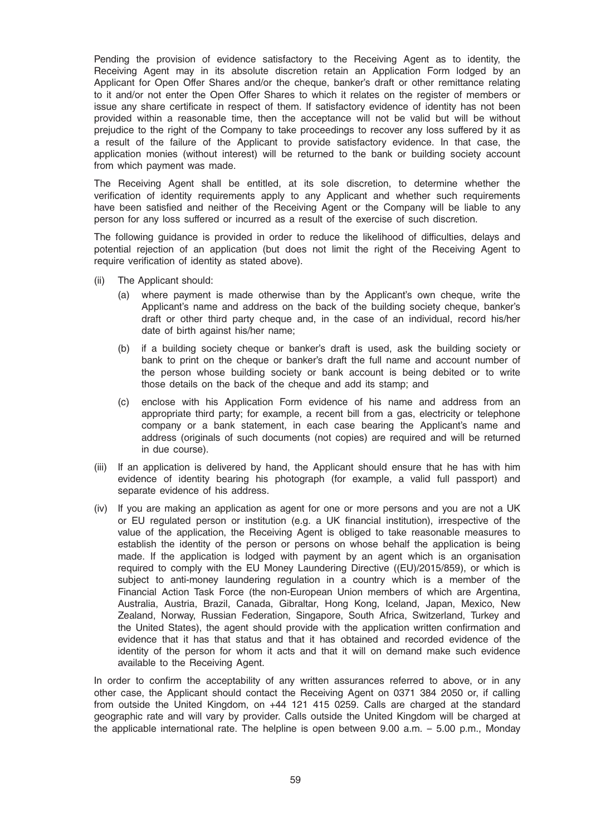Pending the provision of evidence satisfactory to the Receiving Agent as to identity, the Receiving Agent may in its absolute discretion retain an Application Form lodged by an Applicant for Open Offer Shares and/or the cheque, banker's draft or other remittance relating to it and/or not enter the Open Offer Shares to which it relates on the register of members or issue any share certificate in respect of them. If satisfactory evidence of identity has not been provided within a reasonable time, then the acceptance will not be valid but will be without prejudice to the right of the Company to take proceedings to recover any loss suffered by it as a result of the failure of the Applicant to provide satisfactory evidence. In that case, the application monies (without interest) will be returned to the bank or building society account from which payment was made.

The Receiving Agent shall be entitled, at its sole discretion, to determine whether the verification of identity requirements apply to any Applicant and whether such requirements have been satisfied and neither of the Receiving Agent or the Company will be liable to any person for any loss suffered or incurred as a result of the exercise of such discretion.

The following guidance is provided in order to reduce the likelihood of difficulties, delays and potential rejection of an application (but does not limit the right of the Receiving Agent to require verification of identity as stated above).

- (ii) The Applicant should:
	- (a) where payment is made otherwise than by the Applicant's own cheque, write the Applicant's name and address on the back of the building society cheque, banker's draft or other third party cheque and, in the case of an individual, record his/her date of birth against his/her name;
	- (b) if a building society cheque or banker's draft is used, ask the building society or bank to print on the cheque or banker's draft the full name and account number of the person whose building society or bank account is being debited or to write those details on the back of the cheque and add its stamp; and
	- (c) enclose with his Application Form evidence of his name and address from an appropriate third party; for example, a recent bill from a gas, electricity or telephone company or a bank statement, in each case bearing the Applicant's name and address (originals of such documents (not copies) are required and will be returned in due course).
- (iii) If an application is delivered by hand, the Applicant should ensure that he has with him evidence of identity bearing his photograph (for example, a valid full passport) and separate evidence of his address.
- (iv) If you are making an application as agent for one or more persons and you are not a UK or EU regulated person or institution (e.g. a UK financial institution), irrespective of the value of the application, the Receiving Agent is obliged to take reasonable measures to establish the identity of the person or persons on whose behalf the application is being made. If the application is lodged with payment by an agent which is an organisation required to comply with the EU Money Laundering Directive ((EU)/2015/859), or which is subject to anti-money laundering regulation in a country which is a member of the Financial Action Task Force (the non-European Union members of which are Argentina, Australia, Austria, Brazil, Canada, Gibraltar, Hong Kong, Iceland, Japan, Mexico, New Zealand, Norway, Russian Federation, Singapore, South Africa, Switzerland, Turkey and the United States), the agent should provide with the application written confirmation and evidence that it has that status and that it has obtained and recorded evidence of the identity of the person for whom it acts and that it will on demand make such evidence available to the Receiving Agent.

In order to confirm the acceptability of any written assurances referred to above, or in any other case, the Applicant should contact the Receiving Agent on 0371 384 2050 or, if calling from outside the United Kingdom, on +44 121 415 0259. Calls are charged at the standard geographic rate and will vary by provider. Calls outside the United Kingdom will be charged at the applicable international rate. The helpline is open between 9.00 a.m. – 5.00 p.m., Monday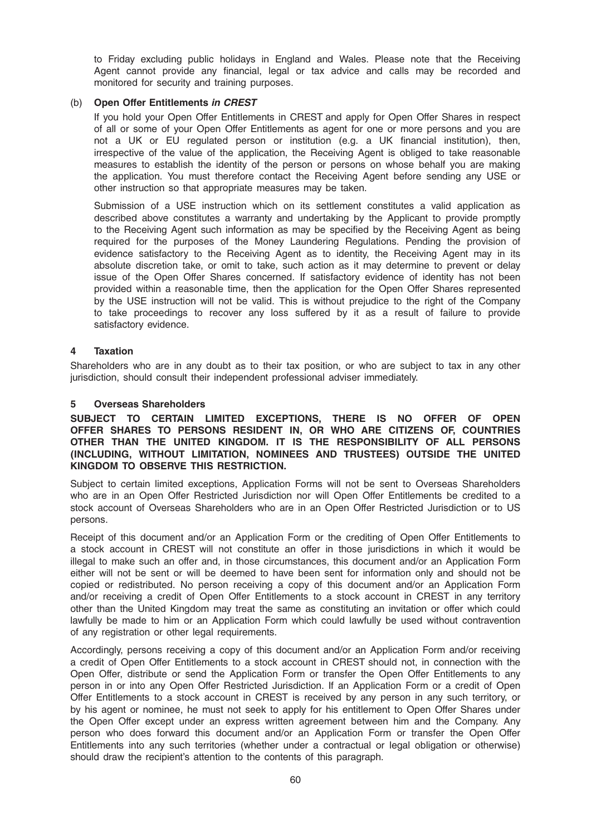to Friday excluding public holidays in England and Wales. Please note that the Receiving Agent cannot provide any financial, legal or tax advice and calls may be recorded and monitored for security and training purposes.

## (b) Open Offer Entitlements in CREST

If you hold your Open Offer Entitlements in CREST and apply for Open Offer Shares in respect of all or some of your Open Offer Entitlements as agent for one or more persons and you are not a UK or EU regulated person or institution (e.g. a UK financial institution), then, irrespective of the value of the application, the Receiving Agent is obliged to take reasonable measures to establish the identity of the person or persons on whose behalf you are making the application. You must therefore contact the Receiving Agent before sending any USE or other instruction so that appropriate measures may be taken.

Submission of a USE instruction which on its settlement constitutes a valid application as described above constitutes a warranty and undertaking by the Applicant to provide promptly to the Receiving Agent such information as may be specified by the Receiving Agent as being required for the purposes of the Money Laundering Regulations. Pending the provision of evidence satisfactory to the Receiving Agent as to identity, the Receiving Agent may in its absolute discretion take, or omit to take, such action as it may determine to prevent or delay issue of the Open Offer Shares concerned. If satisfactory evidence of identity has not been provided within a reasonable time, then the application for the Open Offer Shares represented by the USE instruction will not be valid. This is without prejudice to the right of the Company to take proceedings to recover any loss suffered by it as a result of failure to provide satisfactory evidence.

## 4 Taxation

Shareholders who are in any doubt as to their tax position, or who are subject to tax in any other jurisdiction, should consult their independent professional adviser immediately.

#### 5 Overseas Shareholders

SUBJECT TO CERTAIN LIMITED EXCEPTIONS, THERE IS NO OFFER OF OPEN OFFER SHARES TO PERSONS RESIDENT IN, OR WHO ARE CITIZENS OF, COUNTRIES OTHER THAN THE UNITED KINGDOM. IT IS THE RESPONSIBILITY OF ALL PERSONS (INCLUDING, WITHOUT LIMITATION, NOMINEES AND TRUSTEES) OUTSIDE THE UNITED KINGDOM TO OBSERVE THIS RESTRICTION.

Subject to certain limited exceptions, Application Forms will not be sent to Overseas Shareholders who are in an Open Offer Restricted Jurisdiction nor will Open Offer Entitlements be credited to a stock account of Overseas Shareholders who are in an Open Offer Restricted Jurisdiction or to US persons.

Receipt of this document and/or an Application Form or the crediting of Open Offer Entitlements to a stock account in CREST will not constitute an offer in those jurisdictions in which it would be illegal to make such an offer and, in those circumstances, this document and/or an Application Form either will not be sent or will be deemed to have been sent for information only and should not be copied or redistributed. No person receiving a copy of this document and/or an Application Form and/or receiving a credit of Open Offer Entitlements to a stock account in CREST in any territory other than the United Kingdom may treat the same as constituting an invitation or offer which could lawfully be made to him or an Application Form which could lawfully be used without contravention of any registration or other legal requirements.

Accordingly, persons receiving a copy of this document and/or an Application Form and/or receiving a credit of Open Offer Entitlements to a stock account in CREST should not, in connection with the Open Offer, distribute or send the Application Form or transfer the Open Offer Entitlements to any person in or into any Open Offer Restricted Jurisdiction. If an Application Form or a credit of Open Offer Entitlements to a stock account in CREST is received by any person in any such territory, or by his agent or nominee, he must not seek to apply for his entitlement to Open Offer Shares under the Open Offer except under an express written agreement between him and the Company. Any person who does forward this document and/or an Application Form or transfer the Open Offer Entitlements into any such territories (whether under a contractual or legal obligation or otherwise) should draw the recipient's attention to the contents of this paragraph.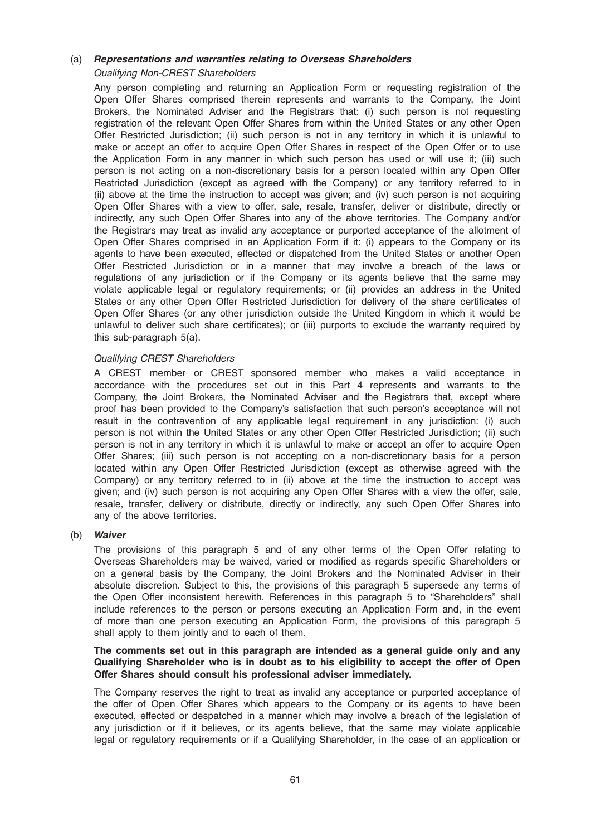## (a) Representations and warranties relating to Overseas Shareholders Qualifying Non-CREST Shareholders

Any person completing and returning an Application Form or requesting registration of the Open Offer Shares comprised therein represents and warrants to the Company, the Joint Brokers, the Nominated Adviser and the Registrars that: (i) such person is not requesting registration of the relevant Open Offer Shares from within the United States or any other Open Offer Restricted Jurisdiction; (ii) such person is not in any territory in which it is unlawful to make or accept an offer to acquire Open Offer Shares in respect of the Open Offer or to use the Application Form in any manner in which such person has used or will use it; (iii) such person is not acting on a non-discretionary basis for a person located within any Open Offer Restricted Jurisdiction (except as agreed with the Company) or any territory referred to in (ii) above at the time the instruction to accept was given; and (iv) such person is not acquiring Open Offer Shares with a view to offer, sale, resale, transfer, deliver or distribute, directly or indirectly, any such Open Offer Shares into any of the above territories. The Company and/or the Registrars may treat as invalid any acceptance or purported acceptance of the allotment of Open Offer Shares comprised in an Application Form if it: (i) appears to the Company or its agents to have been executed, effected or dispatched from the United States or another Open Offer Restricted Jurisdiction or in a manner that may involve a breach of the laws or regulations of any jurisdiction or if the Company or its agents believe that the same may violate applicable legal or regulatory requirements; or (ii) provides an address in the United States or any other Open Offer Restricted Jurisdiction for delivery of the share certificates of Open Offer Shares (or any other jurisdiction outside the United Kingdom in which it would be unlawful to deliver such share certificates); or (iii) purports to exclude the warranty required by this sub-paragraph 5(a).

## Qualifying CREST Shareholders

A CREST member or CREST sponsored member who makes a valid acceptance in accordance with the procedures set out in this Part 4 represents and warrants to the Company, the Joint Brokers, the Nominated Adviser and the Registrars that, except where proof has been provided to the Company's satisfaction that such person's acceptance will not result in the contravention of any applicable legal requirement in any jurisdiction: (i) such person is not within the United States or any other Open Offer Restricted Jurisdiction; (ii) such person is not in any territory in which it is unlawful to make or accept an offer to acquire Open Offer Shares; (iii) such person is not accepting on a non-discretionary basis for a person located within any Open Offer Restricted Jurisdiction (except as otherwise agreed with the Company) or any territory referred to in (ii) above at the time the instruction to accept was given; and (iv) such person is not acquiring any Open Offer Shares with a view the offer, sale, resale, transfer, delivery or distribute, directly or indirectly, any such Open Offer Shares into any of the above territories.

#### (b) Waiver

The provisions of this paragraph 5 and of any other terms of the Open Offer relating to Overseas Shareholders may be waived, varied or modified as regards specific Shareholders or on a general basis by the Company, the Joint Brokers and the Nominated Adviser in their absolute discretion. Subject to this, the provisions of this paragraph 5 supersede any terms of the Open Offer inconsistent herewith. References in this paragraph 5 to "Shareholders" shall include references to the person or persons executing an Application Form and, in the event of more than one person executing an Application Form, the provisions of this paragraph 5 shall apply to them jointly and to each of them.

### The comments set out in this paragraph are intended as a general guide only and any Qualifying Shareholder who is in doubt as to his eligibility to accept the offer of Open Offer Shares should consult his professional adviser immediately.

The Company reserves the right to treat as invalid any acceptance or purported acceptance of the offer of Open Offer Shares which appears to the Company or its agents to have been executed, effected or despatched in a manner which may involve a breach of the legislation of any jurisdiction or if it believes, or its agents believe, that the same may violate applicable legal or regulatory requirements or if a Qualifying Shareholder, in the case of an application or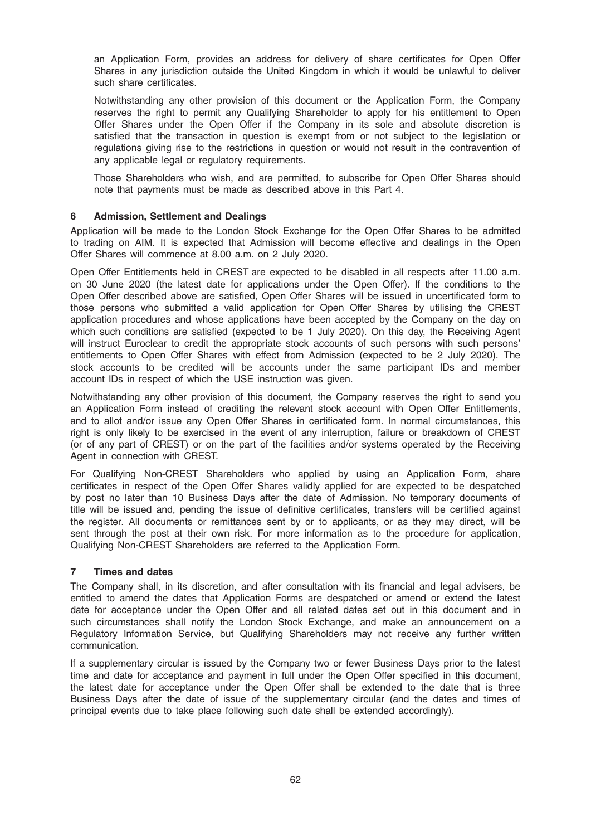an Application Form, provides an address for delivery of share certificates for Open Offer Shares in any jurisdiction outside the United Kingdom in which it would be unlawful to deliver such share certificates.

Notwithstanding any other provision of this document or the Application Form, the Company reserves the right to permit any Qualifying Shareholder to apply for his entitlement to Open Offer Shares under the Open Offer if the Company in its sole and absolute discretion is satisfied that the transaction in question is exempt from or not subject to the legislation or regulations giving rise to the restrictions in question or would not result in the contravention of any applicable legal or regulatory requirements.

Those Shareholders who wish, and are permitted, to subscribe for Open Offer Shares should note that payments must be made as described above in this Part 4.

## 6 Admission, Settlement and Dealings

Application will be made to the London Stock Exchange for the Open Offer Shares to be admitted to trading on AIM. It is expected that Admission will become effective and dealings in the Open Offer Shares will commence at 8.00 a.m. on 2 July 2020.

Open Offer Entitlements held in CREST are expected to be disabled in all respects after 11.00 a.m. on 30 June 2020 (the latest date for applications under the Open Offer). If the conditions to the Open Offer described above are satisfied, Open Offer Shares will be issued in uncertificated form to those persons who submitted a valid application for Open Offer Shares by utilising the CREST application procedures and whose applications have been accepted by the Company on the day on which such conditions are satisfied (expected to be 1 July 2020). On this day, the Receiving Agent will instruct Euroclear to credit the appropriate stock accounts of such persons with such persons' entitlements to Open Offer Shares with effect from Admission (expected to be 2 July 2020). The stock accounts to be credited will be accounts under the same participant IDs and member account IDs in respect of which the USE instruction was given.

Notwithstanding any other provision of this document, the Company reserves the right to send you an Application Form instead of crediting the relevant stock account with Open Offer Entitlements, and to allot and/or issue any Open Offer Shares in certificated form. In normal circumstances, this right is only likely to be exercised in the event of any interruption, failure or breakdown of CREST (or of any part of CREST) or on the part of the facilities and/or systems operated by the Receiving Agent in connection with CREST.

For Qualifying Non-CREST Shareholders who applied by using an Application Form, share certificates in respect of the Open Offer Shares validly applied for are expected to be despatched by post no later than 10 Business Days after the date of Admission. No temporary documents of title will be issued and, pending the issue of definitive certificates, transfers will be certified against the register. All documents or remittances sent by or to applicants, or as they may direct, will be sent through the post at their own risk. For more information as to the procedure for application, Qualifying Non-CREST Shareholders are referred to the Application Form.

## 7 Times and dates

The Company shall, in its discretion, and after consultation with its financial and legal advisers, be entitled to amend the dates that Application Forms are despatched or amend or extend the latest date for acceptance under the Open Offer and all related dates set out in this document and in such circumstances shall notify the London Stock Exchange, and make an announcement on a Regulatory Information Service, but Qualifying Shareholders may not receive any further written communication.

If a supplementary circular is issued by the Company two or fewer Business Days prior to the latest time and date for acceptance and payment in full under the Open Offer specified in this document, the latest date for acceptance under the Open Offer shall be extended to the date that is three Business Days after the date of issue of the supplementary circular (and the dates and times of principal events due to take place following such date shall be extended accordingly).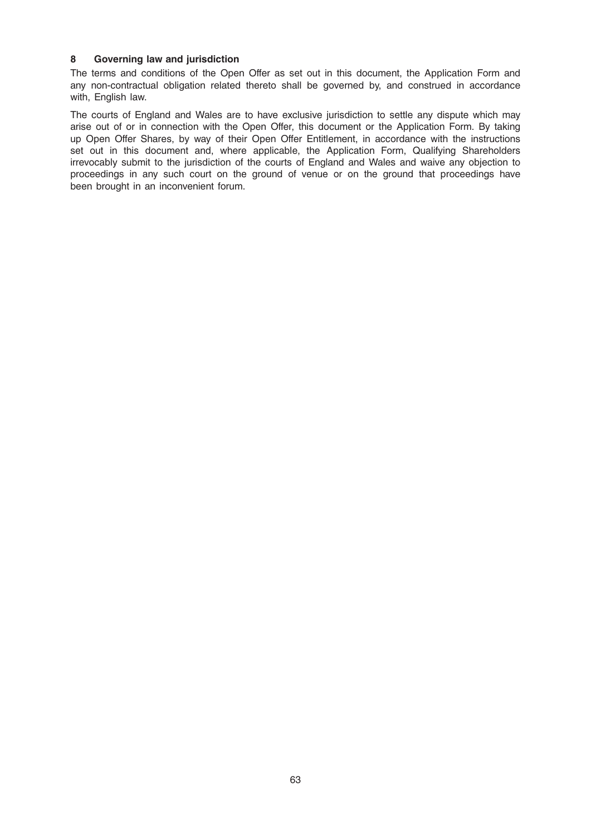## 8 Governing law and jurisdiction

The terms and conditions of the Open Offer as set out in this document, the Application Form and any non-contractual obligation related thereto shall be governed by, and construed in accordance with, English law.

The courts of England and Wales are to have exclusive jurisdiction to settle any dispute which may arise out of or in connection with the Open Offer, this document or the Application Form. By taking up Open Offer Shares, by way of their Open Offer Entitlement, in accordance with the instructions set out in this document and, where applicable, the Application Form, Qualifying Shareholders irrevocably submit to the jurisdiction of the courts of England and Wales and waive any objection to proceedings in any such court on the ground of venue or on the ground that proceedings have been brought in an inconvenient forum.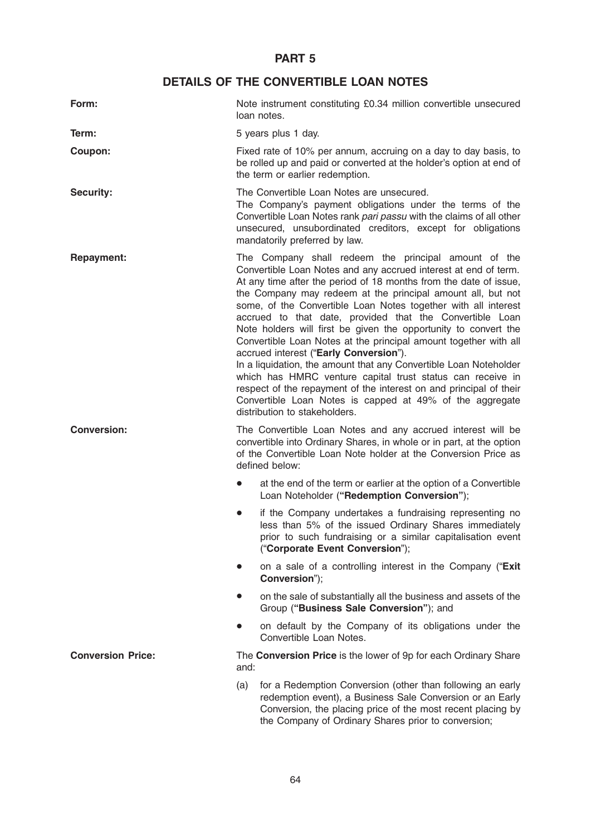# PART 5

# DETAILS OF THE CONVERTIBLE LOAN NOTES

| Form:                    | Note instrument constituting £0.34 million convertible unsecured<br>loan notes.                                                                                                                                                                                                                                                                                                                                                                                                                                                                                                                                                                                                                                                                                                                                                                                                  |
|--------------------------|----------------------------------------------------------------------------------------------------------------------------------------------------------------------------------------------------------------------------------------------------------------------------------------------------------------------------------------------------------------------------------------------------------------------------------------------------------------------------------------------------------------------------------------------------------------------------------------------------------------------------------------------------------------------------------------------------------------------------------------------------------------------------------------------------------------------------------------------------------------------------------|
| Term:                    | 5 years plus 1 day.                                                                                                                                                                                                                                                                                                                                                                                                                                                                                                                                                                                                                                                                                                                                                                                                                                                              |
| Coupon:                  | Fixed rate of 10% per annum, accruing on a day to day basis, to<br>be rolled up and paid or converted at the holder's option at end of<br>the term or earlier redemption.                                                                                                                                                                                                                                                                                                                                                                                                                                                                                                                                                                                                                                                                                                        |
| <b>Security:</b>         | The Convertible Loan Notes are unsecured.<br>The Company's payment obligations under the terms of the<br>Convertible Loan Notes rank pari passu with the claims of all other<br>unsecured, unsubordinated creditors, except for obligations<br>mandatorily preferred by law.                                                                                                                                                                                                                                                                                                                                                                                                                                                                                                                                                                                                     |
| <b>Repayment:</b>        | The Company shall redeem the principal amount of the<br>Convertible Loan Notes and any accrued interest at end of term.<br>At any time after the period of 18 months from the date of issue,<br>the Company may redeem at the principal amount all, but not<br>some, of the Convertible Loan Notes together with all interest<br>accrued to that date, provided that the Convertible Loan<br>Note holders will first be given the opportunity to convert the<br>Convertible Loan Notes at the principal amount together with all<br>accrued interest ("Early Conversion").<br>In a liquidation, the amount that any Convertible Loan Noteholder<br>which has HMRC venture capital trust status can receive in<br>respect of the repayment of the interest on and principal of their<br>Convertible Loan Notes is capped at 49% of the aggregate<br>distribution to stakeholders. |
| <b>Conversion:</b>       | The Convertible Loan Notes and any accrued interest will be<br>convertible into Ordinary Shares, in whole or in part, at the option<br>of the Convertible Loan Note holder at the Conversion Price as<br>defined below:                                                                                                                                                                                                                                                                                                                                                                                                                                                                                                                                                                                                                                                          |
|                          | at the end of the term or earlier at the option of a Convertible<br>Loan Noteholder ("Redemption Conversion");                                                                                                                                                                                                                                                                                                                                                                                                                                                                                                                                                                                                                                                                                                                                                                   |
|                          | if the Company undertakes a fundraising representing no<br>less than 5% of the issued Ordinary Shares immediately<br>prior to such fundraising or a similar capitalisation event<br>("Corporate Event Conversion");                                                                                                                                                                                                                                                                                                                                                                                                                                                                                                                                                                                                                                                              |
|                          | on a sale of a controlling interest in the Company ("Exit<br>Conversion");                                                                                                                                                                                                                                                                                                                                                                                                                                                                                                                                                                                                                                                                                                                                                                                                       |
|                          | on the sale of substantially all the business and assets of the<br>Group ("Business Sale Conversion"); and                                                                                                                                                                                                                                                                                                                                                                                                                                                                                                                                                                                                                                                                                                                                                                       |
|                          | on default by the Company of its obligations under the<br>Convertible Loan Notes.                                                                                                                                                                                                                                                                                                                                                                                                                                                                                                                                                                                                                                                                                                                                                                                                |
| <b>Conversion Price:</b> | The Conversion Price is the lower of 9p for each Ordinary Share<br>and:                                                                                                                                                                                                                                                                                                                                                                                                                                                                                                                                                                                                                                                                                                                                                                                                          |
|                          | for a Redemption Conversion (other than following an early<br>(a)<br>redemption event), a Business Sale Conversion or an Early<br>Conversion, the placing price of the most recent placing by<br>the Company of Ordinary Shares prior to conversion;                                                                                                                                                                                                                                                                                                                                                                                                                                                                                                                                                                                                                             |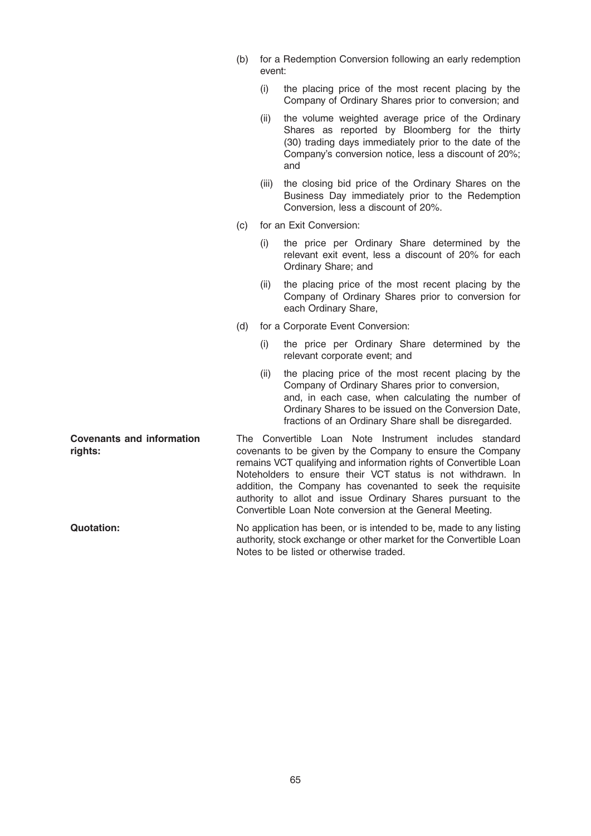- (b) for a Redemption Conversion following an early redemption event:
	- (i) the placing price of the most recent placing by the Company of Ordinary Shares prior to conversion; and
	- (ii) the volume weighted average price of the Ordinary Shares as reported by Bloomberg for the thirty (30) trading days immediately prior to the date of the Company's conversion notice, less a discount of 20%; and
	- (iii) the closing bid price of the Ordinary Shares on the Business Day immediately prior to the Redemption Conversion, less a discount of 20%.
- (c) for an Exit Conversion:
	- (i) the price per Ordinary Share determined by the relevant exit event, less a discount of 20% for each Ordinary Share; and
	- (ii) the placing price of the most recent placing by the Company of Ordinary Shares prior to conversion for each Ordinary Share,
- (d) for a Corporate Event Conversion:
	- (i) the price per Ordinary Share determined by the relevant corporate event; and
	- (ii) the placing price of the most recent placing by the Company of Ordinary Shares prior to conversion, and, in each case, when calculating the number of Ordinary Shares to be issued on the Conversion Date, fractions of an Ordinary Share shall be disregarded.

Covenants and information riahts: The Convertible Loan Note Instrument includes standard covenants to be given by the Company to ensure the Company remains VCT qualifying and information rights of Convertible Loan Noteholders to ensure their VCT status is not withdrawn. In addition, the Company has covenanted to seek the requisite authority to allot and issue Ordinary Shares pursuant to the Convertible Loan Note conversion at the General Meeting.

Quotation: No application has been, or is intended to be, made to any listing authority, stock exchange or other market for the Convertible Loan Notes to be listed or otherwise traded.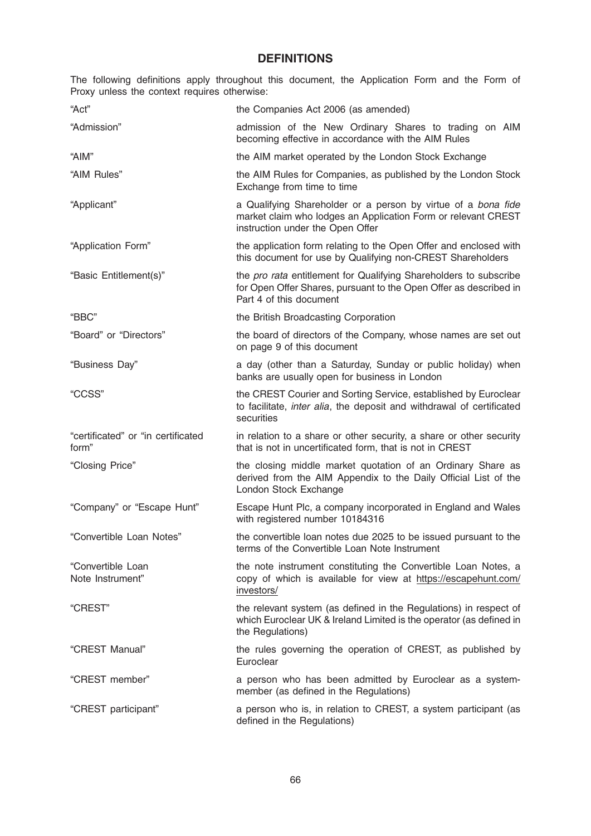# **DEFINITIONS**

The following definitions apply throughout this document, the Application Form and the Form of Proxy unless the context requires otherwise:

| "Act"                                       | the Companies Act 2006 (as amended)                                                                                                                                |
|---------------------------------------------|--------------------------------------------------------------------------------------------------------------------------------------------------------------------|
| "Admission"                                 | admission of the New Ordinary Shares to trading on AIM<br>becoming effective in accordance with the AIM Rules                                                      |
| "AIM"                                       | the AIM market operated by the London Stock Exchange                                                                                                               |
| "AIM Rules"                                 | the AIM Rules for Companies, as published by the London Stock<br>Exchange from time to time                                                                        |
| "Applicant"                                 | a Qualifying Shareholder or a person by virtue of a bona fide<br>market claim who lodges an Application Form or relevant CREST<br>instruction under the Open Offer |
| "Application Form"                          | the application form relating to the Open Offer and enclosed with<br>this document for use by Qualifying non-CREST Shareholders                                    |
| "Basic Entitlement(s)"                      | the pro rata entitlement for Qualifying Shareholders to subscribe<br>for Open Offer Shares, pursuant to the Open Offer as described in<br>Part 4 of this document  |
| "BBC"                                       | the British Broadcasting Corporation                                                                                                                               |
| "Board" or "Directors"                      | the board of directors of the Company, whose names are set out<br>on page 9 of this document                                                                       |
| "Business Day"                              | a day (other than a Saturday, Sunday or public holiday) when<br>banks are usually open for business in London                                                      |
| "CCSS"                                      | the CREST Courier and Sorting Service, established by Euroclear<br>to facilitate, inter alia, the deposit and withdrawal of certificated<br>securities             |
| "certificated" or "in certificated<br>form" | in relation to a share or other security, a share or other security<br>that is not in uncertificated form, that is not in CREST                                    |
| "Closing Price"                             | the closing middle market quotation of an Ordinary Share as<br>derived from the AIM Appendix to the Daily Official List of the<br>London Stock Exchange            |
| "Company" or "Escape Hunt"                  | Escape Hunt Plc, a company incorporated in England and Wales<br>with registered number 10184316                                                                    |
| "Convertible Loan Notes"                    | the convertible loan notes due 2025 to be issued pursuant to the<br>terms of the Convertible Loan Note Instrument                                                  |
| "Convertible Loan<br>Note Instrument"       | the note instrument constituting the Convertible Loan Notes, a<br>copy of which is available for view at https://escapehunt.com/<br>investors/                     |
| "CREST"                                     | the relevant system (as defined in the Regulations) in respect of<br>which Euroclear UK & Ireland Limited is the operator (as defined in<br>the Regulations)       |
| "CREST Manual"                              | the rules governing the operation of CREST, as published by<br>Euroclear                                                                                           |
| "CREST member"                              | a person who has been admitted by Euroclear as a system-<br>member (as defined in the Regulations)                                                                 |
| "CREST participant"                         | a person who is, in relation to CREST, a system participant (as<br>defined in the Regulations)                                                                     |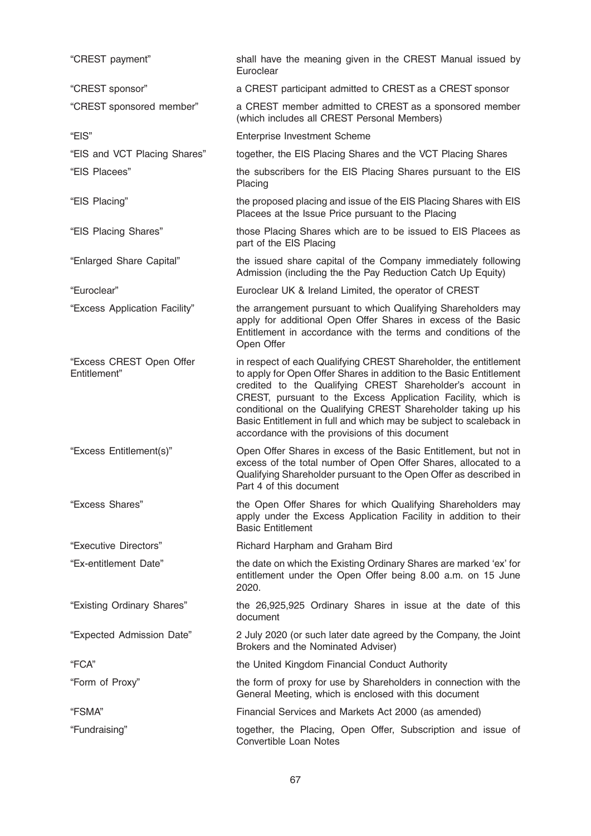| "CREST payment"                          | shall have the meaning given in the CREST Manual issued by<br>Euroclear                                                                                                                                                                                                                                                                                                                                                                                        |
|------------------------------------------|----------------------------------------------------------------------------------------------------------------------------------------------------------------------------------------------------------------------------------------------------------------------------------------------------------------------------------------------------------------------------------------------------------------------------------------------------------------|
| "CREST sponsor"                          | a CREST participant admitted to CREST as a CREST sponsor                                                                                                                                                                                                                                                                                                                                                                                                       |
| "CREST sponsored member"                 | a CREST member admitted to CREST as a sponsored member<br>(which includes all CREST Personal Members)                                                                                                                                                                                                                                                                                                                                                          |
| "EIS"                                    | <b>Enterprise Investment Scheme</b>                                                                                                                                                                                                                                                                                                                                                                                                                            |
| "EIS and VCT Placing Shares"             | together, the EIS Placing Shares and the VCT Placing Shares                                                                                                                                                                                                                                                                                                                                                                                                    |
| "EIS Placees"                            | the subscribers for the EIS Placing Shares pursuant to the EIS<br>Placing                                                                                                                                                                                                                                                                                                                                                                                      |
| "EIS Placing"                            | the proposed placing and issue of the EIS Placing Shares with EIS<br>Placees at the Issue Price pursuant to the Placing                                                                                                                                                                                                                                                                                                                                        |
| "EIS Placing Shares"                     | those Placing Shares which are to be issued to EIS Placees as<br>part of the EIS Placing                                                                                                                                                                                                                                                                                                                                                                       |
| "Enlarged Share Capital"                 | the issued share capital of the Company immediately following<br>Admission (including the the Pay Reduction Catch Up Equity)                                                                                                                                                                                                                                                                                                                                   |
| "Euroclear"                              | Euroclear UK & Ireland Limited, the operator of CREST                                                                                                                                                                                                                                                                                                                                                                                                          |
| "Excess Application Facility"            | the arrangement pursuant to which Qualifying Shareholders may<br>apply for additional Open Offer Shares in excess of the Basic<br>Entitlement in accordance with the terms and conditions of the<br>Open Offer                                                                                                                                                                                                                                                 |
| "Excess CREST Open Offer<br>Entitlement" | in respect of each Qualifying CREST Shareholder, the entitlement<br>to apply for Open Offer Shares in addition to the Basic Entitlement<br>credited to the Qualifying CREST Shareholder's account in<br>CREST, pursuant to the Excess Application Facility, which is<br>conditional on the Qualifying CREST Shareholder taking up his<br>Basic Entitlement in full and which may be subject to scaleback in<br>accordance with the provisions of this document |
| "Excess Entitlement(s)"                  | Open Offer Shares in excess of the Basic Entitlement, but not in<br>excess of the total number of Open Offer Shares, allocated to a<br>Qualifying Shareholder pursuant to the Open Offer as described in<br>Part 4 of this document                                                                                                                                                                                                                            |
| "Excess Shares"                          | the Open Offer Shares for which Qualifying Shareholders may<br>apply under the Excess Application Facility in addition to their<br><b>Basic Entitlement</b>                                                                                                                                                                                                                                                                                                    |
| "Executive Directors"                    | Richard Harpham and Graham Bird                                                                                                                                                                                                                                                                                                                                                                                                                                |
| "Ex-entitlement Date"                    | the date on which the Existing Ordinary Shares are marked 'ex' for<br>entitlement under the Open Offer being 8.00 a.m. on 15 June<br>2020.                                                                                                                                                                                                                                                                                                                     |
| "Existing Ordinary Shares"               | the 26,925,925 Ordinary Shares in issue at the date of this<br>document                                                                                                                                                                                                                                                                                                                                                                                        |
| "Expected Admission Date"                | 2 July 2020 (or such later date agreed by the Company, the Joint<br>Brokers and the Nominated Adviser)                                                                                                                                                                                                                                                                                                                                                         |
| "FCA"                                    | the United Kingdom Financial Conduct Authority                                                                                                                                                                                                                                                                                                                                                                                                                 |
| "Form of Proxy"                          | the form of proxy for use by Shareholders in connection with the<br>General Meeting, which is enclosed with this document                                                                                                                                                                                                                                                                                                                                      |
| "FSMA"                                   | Financial Services and Markets Act 2000 (as amended)                                                                                                                                                                                                                                                                                                                                                                                                           |
| "Fundraising"                            | together, the Placing, Open Offer, Subscription and issue of<br>Convertible Loan Notes                                                                                                                                                                                                                                                                                                                                                                         |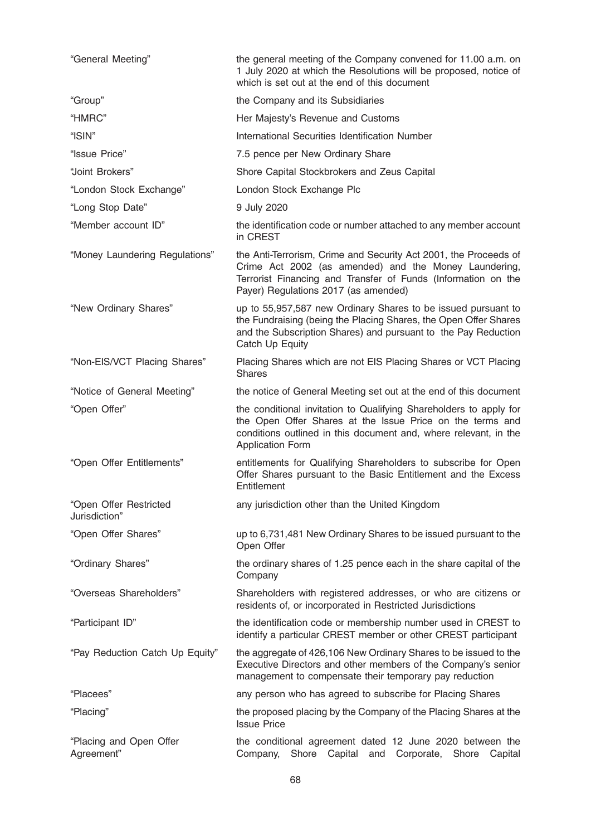| "General Meeting"                       | the general meeting of the Company convened for 11.00 a.m. on<br>1 July 2020 at which the Resolutions will be proposed, notice of<br>which is set out at the end of this document                                                  |
|-----------------------------------------|------------------------------------------------------------------------------------------------------------------------------------------------------------------------------------------------------------------------------------|
| "Group"                                 | the Company and its Subsidiaries                                                                                                                                                                                                   |
| "HMRC"                                  | Her Majesty's Revenue and Customs                                                                                                                                                                                                  |
| "ISIN"                                  | International Securities Identification Number                                                                                                                                                                                     |
| "Issue Price"                           | 7.5 pence per New Ordinary Share                                                                                                                                                                                                   |
| "Joint Brokers"                         | Shore Capital Stockbrokers and Zeus Capital                                                                                                                                                                                        |
| "London Stock Exchange"                 | London Stock Exchange Plc                                                                                                                                                                                                          |
| "Long Stop Date"                        | 9 July 2020                                                                                                                                                                                                                        |
| "Member account ID"                     | the identification code or number attached to any member account<br>in CREST                                                                                                                                                       |
| "Money Laundering Regulations"          | the Anti-Terrorism, Crime and Security Act 2001, the Proceeds of<br>Crime Act 2002 (as amended) and the Money Laundering,<br>Terrorist Financing and Transfer of Funds (Information on the<br>Payer) Regulations 2017 (as amended) |
| "New Ordinary Shares"                   | up to 55,957,587 new Ordinary Shares to be issued pursuant to<br>the Fundraising (being the Placing Shares, the Open Offer Shares<br>and the Subscription Shares) and pursuant to the Pay Reduction<br>Catch Up Equity             |
| "Non-EIS/VCT Placing Shares"            | Placing Shares which are not EIS Placing Shares or VCT Placing<br><b>Shares</b>                                                                                                                                                    |
| "Notice of General Meeting"             | the notice of General Meeting set out at the end of this document                                                                                                                                                                  |
| "Open Offer"                            | the conditional invitation to Qualifying Shareholders to apply for<br>the Open Offer Shares at the Issue Price on the terms and<br>conditions outlined in this document and, where relevant, in the<br><b>Application Form</b>     |
| "Open Offer Entitlements"               | entitlements for Qualifying Shareholders to subscribe for Open<br>Offer Shares pursuant to the Basic Entitlement and the Excess<br>Entitlement                                                                                     |
| "Open Offer Restricted<br>Jurisdiction" | any jurisdiction other than the United Kingdom                                                                                                                                                                                     |
| "Open Offer Shares"                     | up to 6,731,481 New Ordinary Shares to be issued pursuant to the<br>Open Offer                                                                                                                                                     |
| "Ordinary Shares"                       | the ordinary shares of 1.25 pence each in the share capital of the<br>Company                                                                                                                                                      |
| "Overseas Shareholders"                 | Shareholders with registered addresses, or who are citizens or<br>residents of, or incorporated in Restricted Jurisdictions                                                                                                        |
| "Participant ID"                        | the identification code or membership number used in CREST to<br>identify a particular CREST member or other CREST participant                                                                                                     |
| "Pay Reduction Catch Up Equity"         | the aggregate of 426,106 New Ordinary Shares to be issued to the<br>Executive Directors and other members of the Company's senior<br>management to compensate their temporary pay reduction                                        |
| "Placees"                               | any person who has agreed to subscribe for Placing Shares                                                                                                                                                                          |
| "Placing"                               | the proposed placing by the Company of the Placing Shares at the<br><b>Issue Price</b>                                                                                                                                             |
| "Placing and Open Offer<br>Agreement"   | the conditional agreement dated 12 June 2020 between the<br>Shore Capital<br>Company,<br>Corporate,<br>Shore<br>Capital<br>and                                                                                                     |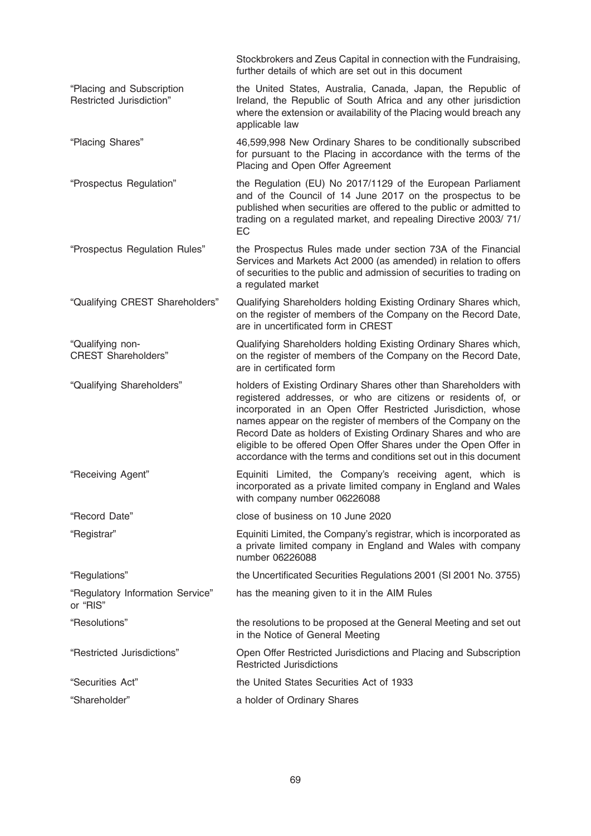|                                                       | Stockbrokers and Zeus Capital in connection with the Fundraising,<br>further details of which are set out in this document                                                                                                                                                                                                                                                                                                                                                    |
|-------------------------------------------------------|-------------------------------------------------------------------------------------------------------------------------------------------------------------------------------------------------------------------------------------------------------------------------------------------------------------------------------------------------------------------------------------------------------------------------------------------------------------------------------|
| "Placing and Subscription<br>Restricted Jurisdiction" | the United States, Australia, Canada, Japan, the Republic of<br>Ireland, the Republic of South Africa and any other jurisdiction<br>where the extension or availability of the Placing would breach any<br>applicable law                                                                                                                                                                                                                                                     |
| "Placing Shares"                                      | 46,599,998 New Ordinary Shares to be conditionally subscribed<br>for pursuant to the Placing in accordance with the terms of the<br>Placing and Open Offer Agreement                                                                                                                                                                                                                                                                                                          |
| "Prospectus Regulation"                               | the Regulation (EU) No 2017/1129 of the European Parliament<br>and of the Council of 14 June 2017 on the prospectus to be<br>published when securities are offered to the public or admitted to<br>trading on a regulated market, and repealing Directive 2003/71/<br>EC                                                                                                                                                                                                      |
| "Prospectus Regulation Rules"                         | the Prospectus Rules made under section 73A of the Financial<br>Services and Markets Act 2000 (as amended) in relation to offers<br>of securities to the public and admission of securities to trading on<br>a regulated market                                                                                                                                                                                                                                               |
| "Qualifying CREST Shareholders"                       | Qualifying Shareholders holding Existing Ordinary Shares which,<br>on the register of members of the Company on the Record Date,<br>are in uncertificated form in CREST                                                                                                                                                                                                                                                                                                       |
| "Qualifying non-<br><b>CREST Shareholders"</b>        | Qualifying Shareholders holding Existing Ordinary Shares which,<br>on the register of members of the Company on the Record Date,<br>are in certificated form                                                                                                                                                                                                                                                                                                                  |
| "Qualifying Shareholders"                             | holders of Existing Ordinary Shares other than Shareholders with<br>registered addresses, or who are citizens or residents of, or<br>incorporated in an Open Offer Restricted Jurisdiction, whose<br>names appear on the register of members of the Company on the<br>Record Date as holders of Existing Ordinary Shares and who are<br>eligible to be offered Open Offer Shares under the Open Offer in<br>accordance with the terms and conditions set out in this document |
| "Receiving Agent"                                     | Equiniti Limited, the Company's receiving agent, which is<br>incorporated as a private limited company in England and Wales<br>with company number 06226088                                                                                                                                                                                                                                                                                                                   |
| "Record Date"                                         | close of business on 10 June 2020                                                                                                                                                                                                                                                                                                                                                                                                                                             |
| "Registrar"                                           | Equiniti Limited, the Company's registrar, which is incorporated as<br>a private limited company in England and Wales with company<br>number 06226088                                                                                                                                                                                                                                                                                                                         |
| "Regulations"                                         | the Uncertificated Securities Regulations 2001 (SI 2001 No. 3755)                                                                                                                                                                                                                                                                                                                                                                                                             |
| "Regulatory Information Service"<br>or "RIS"          | has the meaning given to it in the AIM Rules                                                                                                                                                                                                                                                                                                                                                                                                                                  |
| "Resolutions"                                         | the resolutions to be proposed at the General Meeting and set out<br>in the Notice of General Meeting                                                                                                                                                                                                                                                                                                                                                                         |
| "Restricted Jurisdictions"                            | Open Offer Restricted Jurisdictions and Placing and Subscription<br><b>Restricted Jurisdictions</b>                                                                                                                                                                                                                                                                                                                                                                           |
| "Securities Act"                                      | the United States Securities Act of 1933                                                                                                                                                                                                                                                                                                                                                                                                                                      |
| "Shareholder"                                         | a holder of Ordinary Shares                                                                                                                                                                                                                                                                                                                                                                                                                                                   |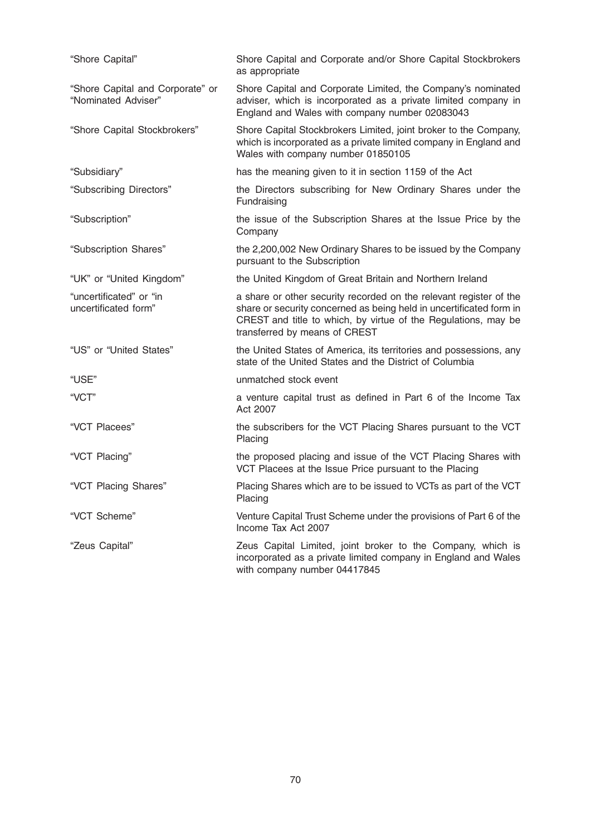| "Shore Capital"                                         | Shore Capital and Corporate and/or Shore Capital Stockbrokers<br>as appropriate                                                                                                                                                              |
|---------------------------------------------------------|----------------------------------------------------------------------------------------------------------------------------------------------------------------------------------------------------------------------------------------------|
| "Shore Capital and Corporate" or<br>"Nominated Adviser" | Shore Capital and Corporate Limited, the Company's nominated<br>adviser, which is incorporated as a private limited company in<br>England and Wales with company number 02083043                                                             |
| "Shore Capital Stockbrokers"                            | Shore Capital Stockbrokers Limited, joint broker to the Company,<br>which is incorporated as a private limited company in England and<br>Wales with company number 01850105                                                                  |
| "Subsidiary"                                            | has the meaning given to it in section 1159 of the Act                                                                                                                                                                                       |
| "Subscribing Directors"                                 | the Directors subscribing for New Ordinary Shares under the<br>Fundraising                                                                                                                                                                   |
| "Subscription"                                          | the issue of the Subscription Shares at the Issue Price by the<br>Company                                                                                                                                                                    |
| "Subscription Shares"                                   | the 2,200,002 New Ordinary Shares to be issued by the Company<br>pursuant to the Subscription                                                                                                                                                |
| "UK" or "United Kingdom"                                | the United Kingdom of Great Britain and Northern Ireland                                                                                                                                                                                     |
| "uncertificated" or "in<br>uncertificated form"         | a share or other security recorded on the relevant register of the<br>share or security concerned as being held in uncertificated form in<br>CREST and title to which, by virtue of the Regulations, may be<br>transferred by means of CREST |
| "US" or "United States"                                 | the United States of America, its territories and possessions, any<br>state of the United States and the District of Columbia                                                                                                                |
| "USE"                                                   | unmatched stock event                                                                                                                                                                                                                        |
| "VCT"                                                   | a venture capital trust as defined in Part 6 of the Income Tax<br>Act 2007                                                                                                                                                                   |
| "VCT Placees"                                           | the subscribers for the VCT Placing Shares pursuant to the VCT<br>Placing                                                                                                                                                                    |
| "VCT Placing"                                           | the proposed placing and issue of the VCT Placing Shares with<br>VCT Placees at the Issue Price pursuant to the Placing                                                                                                                      |
| "VCT Placing Shares"                                    | Placing Shares which are to be issued to VCTs as part of the VCT<br>Placing                                                                                                                                                                  |
| "VCT Scheme"                                            | Venture Capital Trust Scheme under the provisions of Part 6 of the<br>Income Tax Act 2007                                                                                                                                                    |
| "Zeus Capital"                                          | Zeus Capital Limited, joint broker to the Company, which is<br>incorporated as a private limited company in England and Wales<br>with company number 04417845                                                                                |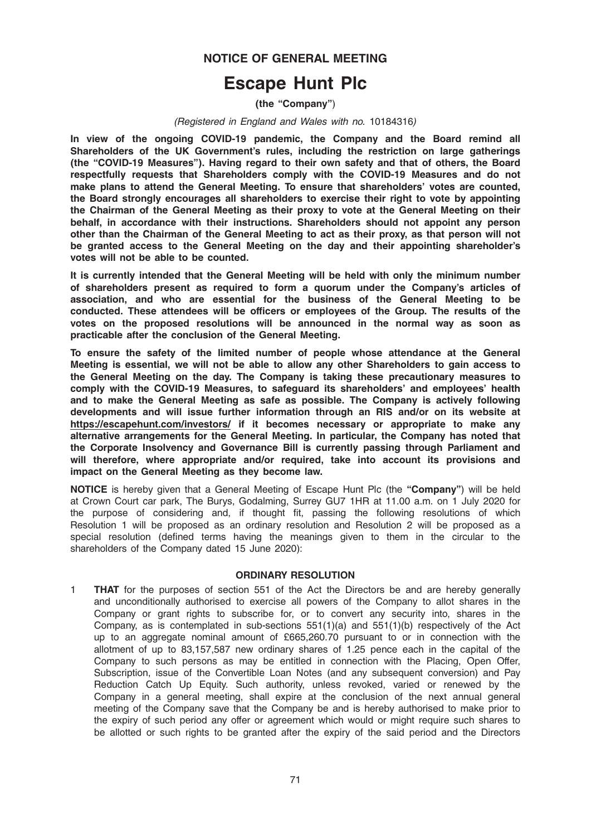# NOTICE OF GENERAL MEETING

# Escape Hunt Plc

(the "Company")

#### (Registered in England and Wales with no. 10184316)

In view of the ongoing COVID-19 pandemic, the Company and the Board remind all Shareholders of the UK Government's rules, including the restriction on large gatherings (the "COVID-19 Measures"). Having regard to their own safety and that of others, the Board respectfully requests that Shareholders comply with the COVID-19 Measures and do not make plans to attend the General Meeting. To ensure that shareholders' votes are counted, the Board strongly encourages all shareholders to exercise their right to vote by appointing the Chairman of the General Meeting as their proxy to vote at the General Meeting on their behalf, in accordance with their instructions. Shareholders should not appoint any person other than the Chairman of the General Meeting to act as their proxy, as that person will not be granted access to the General Meeting on the day and their appointing shareholder's votes will not be able to be counted.

It is currently intended that the General Meeting will be held with only the minimum number of shareholders present as required to form a quorum under the Company's articles of association, and who are essential for the business of the General Meeting to be conducted. These attendees will be officers or employees of the Group. The results of the votes on the proposed resolutions will be announced in the normal way as soon as practicable after the conclusion of the General Meeting.

To ensure the safety of the limited number of people whose attendance at the General Meeting is essential, we will not be able to allow any other Shareholders to gain access to the General Meeting on the day. The Company is taking these precautionary measures to comply with the COVID-19 Measures, to safeguard its shareholders' and employees' health and to make the General Meeting as safe as possible. The Company is actively following developments and will issue further information through an RIS and/or on its website at https://escapehunt.com/investors/ if it becomes necessary or appropriate to make any alternative arrangements for the General Meeting. In particular, the Company has noted that the Corporate Insolvency and Governance Bill is currently passing through Parliament and will therefore, where appropriate and/or required, take into account its provisions and impact on the General Meeting as they become law.

NOTICE is hereby given that a General Meeting of Escape Hunt Plc (the "Company") will be held at Crown Court car park, The Burys, Godalming, Surrey GU7 1HR at 11.00 a.m. on 1 July 2020 for the purpose of considering and, if thought fit, passing the following resolutions of which Resolution 1 will be proposed as an ordinary resolution and Resolution 2 will be proposed as a special resolution (defined terms having the meanings given to them in the circular to the shareholders of the Company dated 15 June 2020):

## ORDINARY RESOLUTION

1 **THAT** for the purposes of section 551 of the Act the Directors be and are hereby generally and unconditionally authorised to exercise all powers of the Company to allot shares in the Company or grant rights to subscribe for, or to convert any security into, shares in the Company, as is contemplated in sub-sections 551(1)(a) and 551(1)(b) respectively of the Act up to an aggregate nominal amount of £665,260.70 pursuant to or in connection with the allotment of up to 83,157,587 new ordinary shares of 1.25 pence each in the capital of the Company to such persons as may be entitled in connection with the Placing, Open Offer, Subscription, issue of the Convertible Loan Notes (and any subsequent conversion) and Pay Reduction Catch Up Equity. Such authority, unless revoked, varied or renewed by the Company in a general meeting, shall expire at the conclusion of the next annual general meeting of the Company save that the Company be and is hereby authorised to make prior to the expiry of such period any offer or agreement which would or might require such shares to be allotted or such rights to be granted after the expiry of the said period and the Directors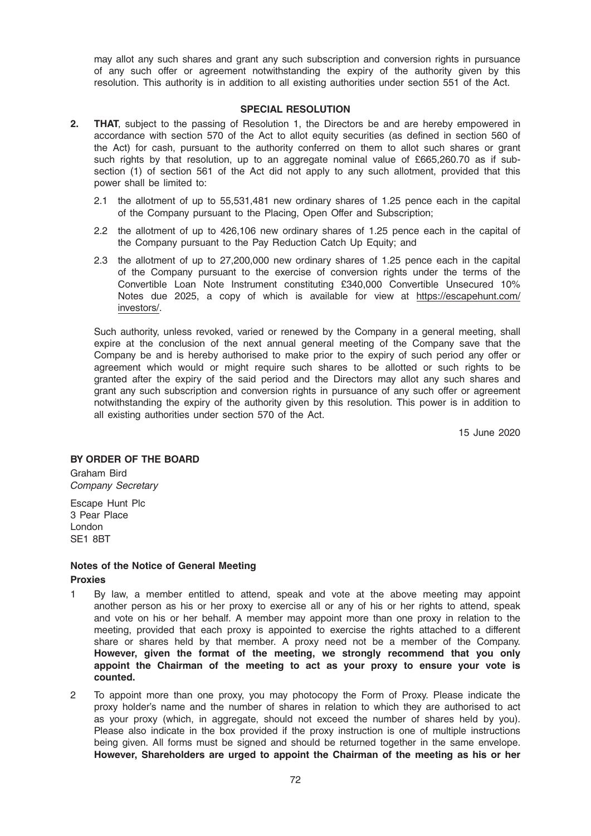may allot any such shares and grant any such subscription and conversion rights in pursuance of any such offer or agreement notwithstanding the expiry of the authority given by this resolution. This authority is in addition to all existing authorities under section 551 of the Act.

#### SPECIAL RESOLUTION

- 2. THAT, subject to the passing of Resolution 1, the Directors be and are hereby empowered in accordance with section 570 of the Act to allot equity securities (as defined in section 560 of the Act) for cash, pursuant to the authority conferred on them to allot such shares or grant such rights by that resolution, up to an aggregate nominal value of £665,260.70 as if subsection (1) of section 561 of the Act did not apply to any such allotment, provided that this power shall be limited to:
	- 2.1 the allotment of up to 55,531,481 new ordinary shares of 1.25 pence each in the capital of the Company pursuant to the Placing, Open Offer and Subscription;
	- 2.2 the allotment of up to 426,106 new ordinary shares of 1.25 pence each in the capital of the Company pursuant to the Pay Reduction Catch Up Equity; and
	- 2.3 the allotment of up to 27,200,000 new ordinary shares of 1.25 pence each in the capital of the Company pursuant to the exercise of conversion rights under the terms of the Convertible Loan Note Instrument constituting £340,000 Convertible Unsecured 10% Notes due 2025, a copy of which is available for view at https://escapehunt.com/ investors/.

Such authority, unless revoked, varied or renewed by the Company in a general meeting, shall expire at the conclusion of the next annual general meeting of the Company save that the Company be and is hereby authorised to make prior to the expiry of such period any offer or agreement which would or might require such shares to be allotted or such rights to be granted after the expiry of the said period and the Directors may allot any such shares and grant any such subscription and conversion rights in pursuance of any such offer or agreement notwithstanding the expiry of the authority given by this resolution. This power is in addition to all existing authorities under section 570 of the Act.

15 June 2020

## BY ORDER OF THE BOARD

Graham Bird Company Secretary

Escape Hunt Plc 3 Pear Place London SE1 8BT

## Notes of the Notice of General Meeting

Proxies

- 1 By law, a member entitled to attend, speak and vote at the above meeting may appoint another person as his or her proxy to exercise all or any of his or her rights to attend, speak and vote on his or her behalf. A member may appoint more than one proxy in relation to the meeting, provided that each proxy is appointed to exercise the rights attached to a different share or shares held by that member. A proxy need not be a member of the Company. However, given the format of the meeting, we strongly recommend that you only appoint the Chairman of the meeting to act as your proxy to ensure your vote is counted.
- 2 To appoint more than one proxy, you may photocopy the Form of Proxy. Please indicate the proxy holder's name and the number of shares in relation to which they are authorised to act as your proxy (which, in aggregate, should not exceed the number of shares held by you). Please also indicate in the box provided if the proxy instruction is one of multiple instructions being given. All forms must be signed and should be returned together in the same envelope. However, Shareholders are urged to appoint the Chairman of the meeting as his or her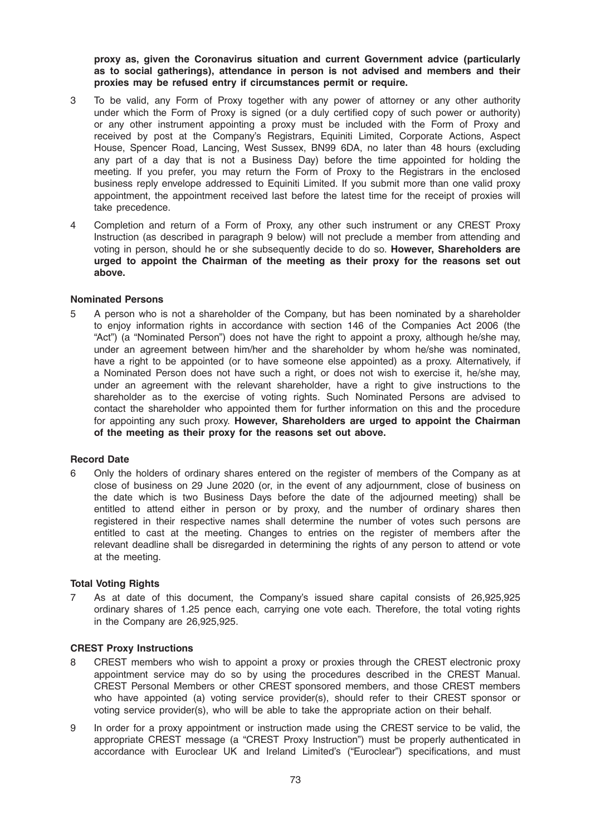proxy as, given the Coronavirus situation and current Government advice (particularly as to social gatherings), attendance in person is not advised and members and their proxies may be refused entry if circumstances permit or require.

- 3 To be valid, any Form of Proxy together with any power of attorney or any other authority under which the Form of Proxy is signed (or a duly certified copy of such power or authority) or any other instrument appointing a proxy must be included with the Form of Proxy and received by post at the Company's Registrars, Equiniti Limited, Corporate Actions, Aspect House, Spencer Road, Lancing, West Sussex, BN99 6DA, no later than 48 hours (excluding any part of a day that is not a Business Day) before the time appointed for holding the meeting. If you prefer, you may return the Form of Proxy to the Registrars in the enclosed business reply envelope addressed to Equiniti Limited. If you submit more than one valid proxy appointment, the appointment received last before the latest time for the receipt of proxies will take precedence.
- 4 Completion and return of a Form of Proxy, any other such instrument or any CREST Proxy Instruction (as described in paragraph 9 below) will not preclude a member from attending and voting in person, should he or she subsequently decide to do so. However, Shareholders are urged to appoint the Chairman of the meeting as their proxy for the reasons set out above.

## Nominated Persons

5 A person who is not a shareholder of the Company, but has been nominated by a shareholder to enjoy information rights in accordance with section 146 of the Companies Act 2006 (the "Act") (a "Nominated Person") does not have the right to appoint a proxy, although he/she may, under an agreement between him/her and the shareholder by whom he/she was nominated, have a right to be appointed (or to have someone else appointed) as a proxy. Alternatively, if a Nominated Person does not have such a right, or does not wish to exercise it, he/she may, under an agreement with the relevant shareholder, have a right to give instructions to the shareholder as to the exercise of voting rights. Such Nominated Persons are advised to contact the shareholder who appointed them for further information on this and the procedure for appointing any such proxy. However, Shareholders are urged to appoint the Chairman of the meeting as their proxy for the reasons set out above.

## Record Date

6 Only the holders of ordinary shares entered on the register of members of the Company as at close of business on 29 June 2020 (or, in the event of any adjournment, close of business on the date which is two Business Days before the date of the adjourned meeting) shall be entitled to attend either in person or by proxy, and the number of ordinary shares then registered in their respective names shall determine the number of votes such persons are entitled to cast at the meeting. Changes to entries on the register of members after the relevant deadline shall be disregarded in determining the rights of any person to attend or vote at the meeting.

## **Total Voting Rights**

7 As at date of this document, the Company's issued share capital consists of 26,925,925 ordinary shares of 1.25 pence each, carrying one vote each. Therefore, the total voting rights in the Company are 26,925,925.

# CREST Proxy Instructions

- 8 CREST members who wish to appoint a proxy or proxies through the CREST electronic proxy appointment service may do so by using the procedures described in the CREST Manual. CREST Personal Members or other CREST sponsored members, and those CREST members who have appointed (a) voting service provider(s), should refer to their CREST sponsor or voting service provider(s), who will be able to take the appropriate action on their behalf.
- 9 In order for a proxy appointment or instruction made using the CREST service to be valid, the appropriate CREST message (a "CREST Proxy Instruction") must be properly authenticated in accordance with Euroclear UK and Ireland Limited's ("Euroclear") specifications, and must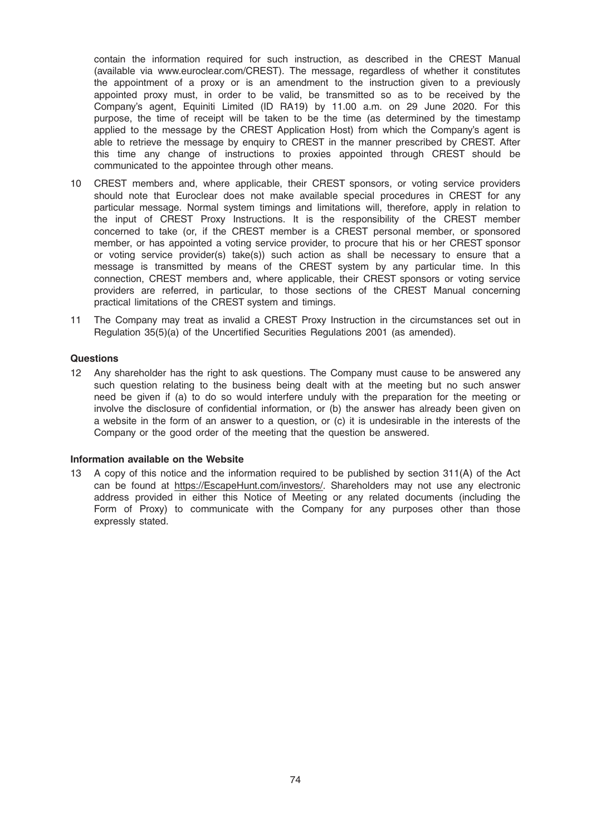contain the information required for such instruction, as described in the CREST Manual (available via www.euroclear.com/CREST). The message, regardless of whether it constitutes the appointment of a proxy or is an amendment to the instruction given to a previously appointed proxy must, in order to be valid, be transmitted so as to be received by the Company's agent, Equiniti Limited (ID RA19) by 11.00 a.m. on 29 June 2020. For this purpose, the time of receipt will be taken to be the time (as determined by the timestamp applied to the message by the CREST Application Host) from which the Company's agent is able to retrieve the message by enquiry to CREST in the manner prescribed by CREST. After this time any change of instructions to proxies appointed through CREST should be communicated to the appointee through other means.

- 10 CREST members and, where applicable, their CREST sponsors, or voting service providers should note that Euroclear does not make available special procedures in CREST for any particular message. Normal system timings and limitations will, therefore, apply in relation to the input of CREST Proxy Instructions. It is the responsibility of the CREST member concerned to take (or, if the CREST member is a CREST personal member, or sponsored member, or has appointed a voting service provider, to procure that his or her CREST sponsor or voting service provider(s) take(s)) such action as shall be necessary to ensure that a message is transmitted by means of the CREST system by any particular time. In this connection, CREST members and, where applicable, their CREST sponsors or voting service providers are referred, in particular, to those sections of the CREST Manual concerning practical limitations of the CREST system and timings.
- 11 The Company may treat as invalid a CREST Proxy Instruction in the circumstances set out in Regulation 35(5)(a) of the Uncertified Securities Regulations 2001 (as amended).

## **Questions**

12 Any shareholder has the right to ask questions. The Company must cause to be answered any such question relating to the business being dealt with at the meeting but no such answer need be given if (a) to do so would interfere unduly with the preparation for the meeting or involve the disclosure of confidential information, or (b) the answer has already been given on a website in the form of an answer to a question, or (c) it is undesirable in the interests of the Company or the good order of the meeting that the question be answered.

#### Information available on the Website

13 A copy of this notice and the information required to be published by section 311(A) of the Act can be found at https://EscapeHunt.com/investors/. Shareholders may not use any electronic address provided in either this Notice of Meeting or any related documents (including the Form of Proxy) to communicate with the Company for any purposes other than those expressly stated.